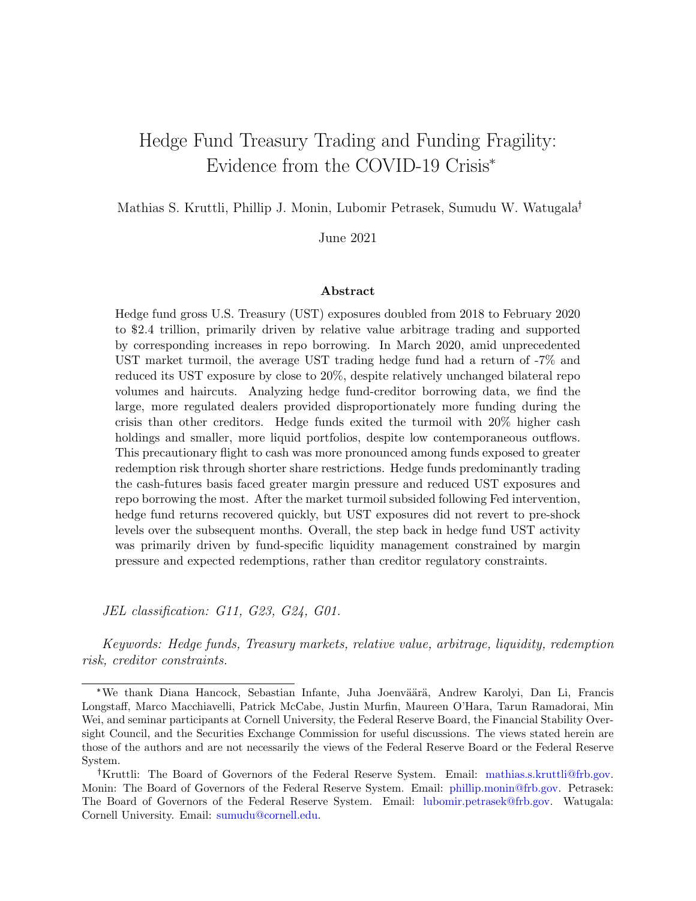# Hedge Fund Treasury Trading and Funding Fragility: Evidence from the COVID-19 Crisis\*

Mathias S. Kruttli, Phillip J. Monin, Lubomir Petrasek, Sumudu W. Watugala

June 2021

#### Abstract

Hedge fund gross U.S. Treasury (UST) exposures doubled from 2018 to February 2020 to \$2.4 trillion, primarily driven by relative value arbitrage trading and supported by corresponding increases in repo borrowing. In March 2020, amid unprecedented UST market turmoil, the average UST trading hedge fund had a return of -7% and reduced its UST exposure by close to 20%, despite relatively unchanged bilateral repo volumes and haircuts. Analyzing hedge fund-creditor borrowing data, we find the large, more regulated dealers provided disproportionately more funding during the crisis than other creditors. Hedge funds exited the turmoil with 20% higher cash holdings and smaller, more liquid portfolios, despite low contemporaneous outflows. This precautionary flight to cash was more pronounced among funds exposed to greater redemption risk through shorter share restrictions. Hedge funds predominantly trading the cash-futures basis faced greater margin pressure and reduced UST exposures and repo borrowing the most. After the market turmoil subsided following Fed intervention, hedge fund returns recovered quickly, but UST exposures did not revert to pre-shock levels over the subsequent months. Overall, the step back in hedge fund UST activity was primarily driven by fund-specific liquidity management constrained by margin pressure and expected redemptions, rather than creditor regulatory constraints.

JEL classification: G11, G23, G24, G01.

Keywords: Hedge funds, Treasury markets, relative value, arbitrage, liquidity, redemption risk, creditor constraints.

<sup>\*</sup>We thank Diana Hancock, Sebastian Infante, Juha Joenväärä, Andrew Karolyi, Dan Li, Francis Longstaff, Marco Macchiavelli, Patrick McCabe, Justin Murfin, Maureen O'Hara, Tarun Ramadorai, Min Wei, and seminar participants at Cornell University, the Federal Reserve Board, the Financial Stability Oversight Council, and the Securities Exchange Commission for useful discussions. The views stated herein are those of the authors and are not necessarily the views of the Federal Reserve Board or the Federal Reserve System.

Kruttli: The Board of Governors of the Federal Reserve System. Email: [mathias.s.kruttli@frb.gov.](mailto:mathias.s.kruttli@frb.gov) Monin: The Board of Governors of the Federal Reserve System. Email: [phillip.monin@frb.gov.](mailto:phillip.monin@frb.gov) Petrasek: The Board of Governors of the Federal Reserve System. Email: [lubomir.petrasek@frb.gov.](mailto:lubomir.petrasek@frb.gov) Watugala: Cornell University. Email: [sumudu@cornell.edu.](mailto:sumudu@cornell.edu)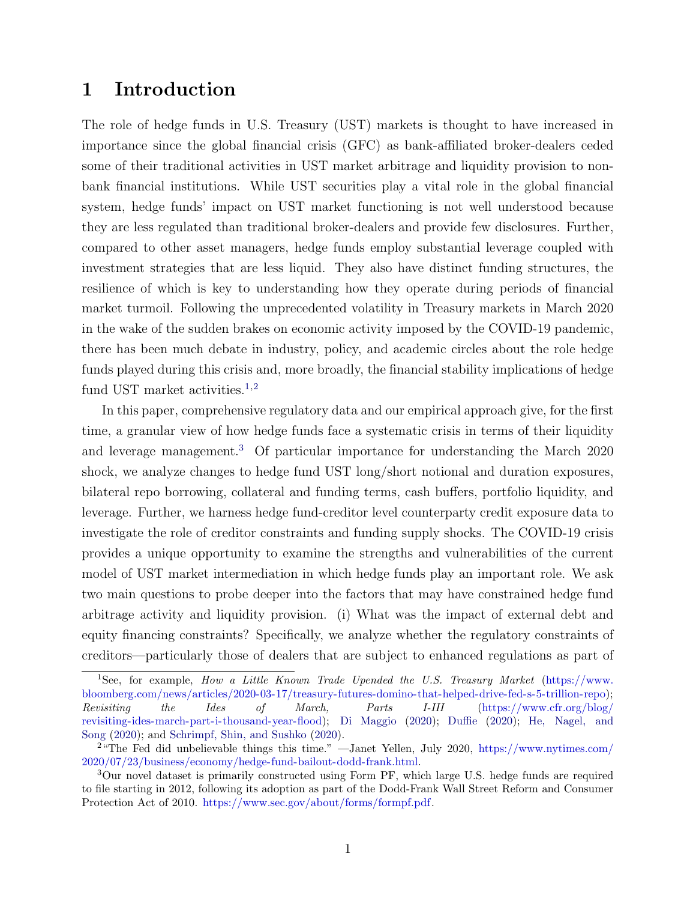# 1 Introduction

The role of hedge funds in U.S. Treasury (UST) markets is thought to have increased in importance since the global financial crisis (GFC) as bank-affiliated broker-dealers ceded some of their traditional activities in UST market arbitrage and liquidity provision to nonbank financial institutions. While UST securities play a vital role in the global financial system, hedge funds' impact on UST market functioning is not well understood because they are less regulated than traditional broker-dealers and provide few disclosures. Further, compared to other asset managers, hedge funds employ substantial leverage coupled with investment strategies that are less liquid. They also have distinct funding structures, the resilience of which is key to understanding how they operate during periods of financial market turmoil. Following the unprecedented volatility in Treasury markets in March 2020 in the wake of the sudden brakes on economic activity imposed by the COVID-19 pandemic, there has been much debate in industry, policy, and academic circles about the role hedge funds played during this crisis and, more broadly, the financial stability implications of hedge fund UST market activities. $1,2$  $1,2$ 

In this paper, comprehensive regulatory data and our empirical approach give, for the first time, a granular view of how hedge funds face a systematic crisis in terms of their liquidity and leverage management.[3](#page-1-2) Of particular importance for understanding the March 2020 shock, we analyze changes to hedge fund UST long/short notional and duration exposures, bilateral repo borrowing, collateral and funding terms, cash buffers, portfolio liquidity, and leverage. Further, we harness hedge fund-creditor level counterparty credit exposure data to investigate the role of creditor constraints and funding supply shocks. The COVID-19 crisis provides a unique opportunity to examine the strengths and vulnerabilities of the current model of UST market intermediation in which hedge funds play an important role. We ask two main questions to probe deeper into the factors that may have constrained hedge fund arbitrage activity and liquidity provision. (i) What was the impact of external debt and equity financing constraints? Specifically, we analyze whether the regulatory constraints of creditors—particularly those of dealers that are subject to enhanced regulations as part of

<span id="page-1-0"></span><sup>&</sup>lt;sup>1</sup>See, for example, *How a Little Known Trade Upended the U.S. Treasury Market* [\(https://www.](https://www.bloomberg.com/news/articles/2020-03-17/treasury-futures-domino-that-helped-drive-fed-s-5-trillion-repo) [bloomberg.com/news/articles/2020-03-17/treasury-futures-domino-that-helped-drive-fed-s-5-trillion-repo\)](https://www.bloomberg.com/news/articles/2020-03-17/treasury-futures-domino-that-helped-drive-fed-s-5-trillion-repo); Revisiting the Ides of March, Parts I-III [\(https://www.cfr.org/blog/](https://www.cfr.org/blog/revisiting-ides-march-part-i-thousand-year-flood) [revisiting-ides-march-part-i-thousand-year-flood\)](https://www.cfr.org/blog/revisiting-ides-march-part-i-thousand-year-flood); [Di Maggio](#page-27-0) [\(2020\)](#page-27-0); [Duffie](#page-27-1) [\(2020\)](#page-27-1); [He, Nagel, and](#page-28-0) [Song](#page-28-0) [\(2020\)](#page-28-0); and [Schrimpf, Shin, and Sushko](#page-29-0) [\(2020\)](#page-29-0).

<span id="page-1-1"></span><sup>2</sup>"The Fed did unbelievable things this time." —Janet Yellen, July 2020, [https://www.nytimes.com/](https://www.nytimes.com/2020/07/23/business/economy/hedge-fund-bailout-dodd-frank.html) [2020/07/23/business/economy/hedge-fund-bailout-dodd-frank.html.](https://www.nytimes.com/2020/07/23/business/economy/hedge-fund-bailout-dodd-frank.html)

<span id="page-1-2"></span><sup>3</sup>Our novel dataset is primarily constructed using Form PF, which large U.S. hedge funds are required to file starting in 2012, following its adoption as part of the Dodd-Frank Wall Street Reform and Consumer Protection Act of 2010. [https://www.sec.gov/about/forms/formpf.pdf.](https://www.sec.gov/about/forms/formpf.pdf)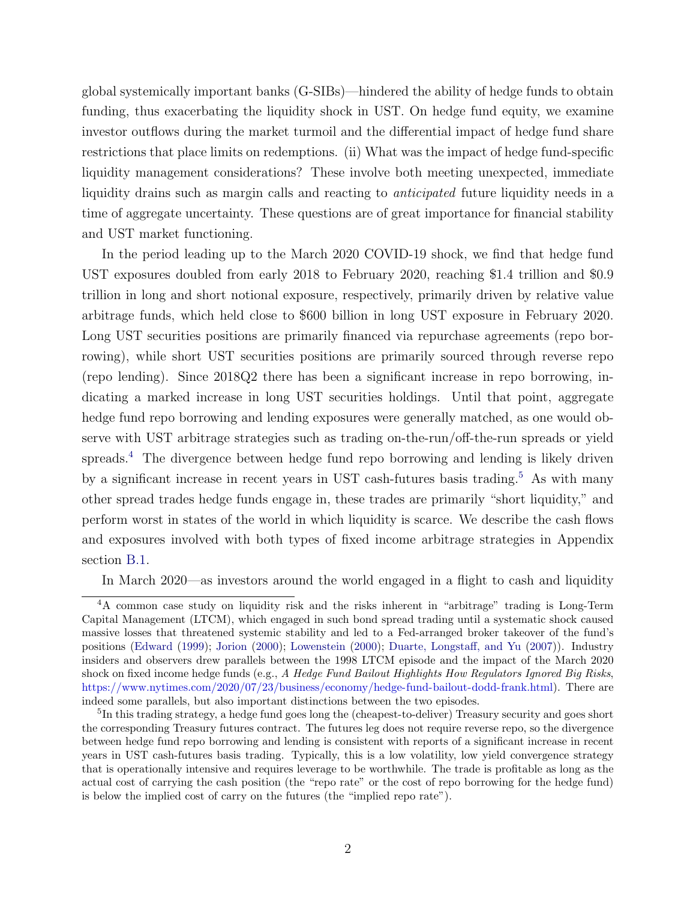global systemically important banks (G-SIBs)—hindered the ability of hedge funds to obtain funding, thus exacerbating the liquidity shock in UST. On hedge fund equity, we examine investor outflows during the market turmoil and the differential impact of hedge fund share restrictions that place limits on redemptions. (ii) What was the impact of hedge fund-specific liquidity management considerations? These involve both meeting unexpected, immediate liquidity drains such as margin calls and reacting to anticipated future liquidity needs in a time of aggregate uncertainty. These questions are of great importance for financial stability and UST market functioning.

In the period leading up to the March 2020 COVID-19 shock, we find that hedge fund UST exposures doubled from early 2018 to February 2020, reaching \$1.4 trillion and \$0.9 trillion in long and short notional exposure, respectively, primarily driven by relative value arbitrage funds, which held close to \$600 billion in long UST exposure in February 2020. Long UST securities positions are primarily financed via repurchase agreements (repo borrowing), while short UST securities positions are primarily sourced through reverse repo (repo lending). Since 2018Q2 there has been a significant increase in repo borrowing, indicating a marked increase in long UST securities holdings. Until that point, aggregate hedge fund repo borrowing and lending exposures were generally matched, as one would observe with UST arbitrage strategies such as trading on-the-run/off-the-run spreads or yield spreads.<sup>[4](#page-2-0)</sup> The divergence between hedge fund repo borrowing and lending is likely driven by a significant increase in recent years in UST cash-futures basis trading.<sup>[5](#page-2-1)</sup> As with many other spread trades hedge funds engage in, these trades are primarily "short liquidity," and perform worst in states of the world in which liquidity is scarce. We describe the cash flows and exposures involved with both types of fixed income arbitrage strategies in Appendix section [B.1.](#page-57-0)

<span id="page-2-0"></span>In March 2020—as investors around the world engaged in a flight to cash and liquidity

<sup>4</sup>A common case study on liquidity risk and the risks inherent in "arbitrage" trading is Long-Term Capital Management (LTCM), which engaged in such bond spread trading until a systematic shock caused massive losses that threatened systemic stability and led to a Fed-arranged broker takeover of the fund's positions [\(Edward](#page-27-2) [\(1999\)](#page-27-2); [Jorion](#page-28-1) [\(2000\)](#page-28-1); [Lowenstein](#page-29-1) [\(2000\)](#page-29-1); [Duarte, Longstaff, and Yu](#page-27-3) [\(2007\)](#page-27-3)). Industry insiders and observers drew parallels between the 1998 LTCM episode and the impact of the March 2020 shock on fixed income hedge funds (e.g., A Hedge Fund Bailout Highlights How Regulators Ignored Big Risks, [https://www.nytimes.com/2020/07/23/business/economy/hedge-fund-bailout-dodd-frank.html\)](https://www.nytimes.com/2020/07/23/business/economy/hedge-fund-bailout-dodd-frank.html). There are indeed some parallels, but also important distinctions between the two episodes.

<span id="page-2-1"></span><sup>5</sup> In this trading strategy, a hedge fund goes long the (cheapest-to-deliver) Treasury security and goes short the corresponding Treasury futures contract. The futures leg does not require reverse repo, so the divergence between hedge fund repo borrowing and lending is consistent with reports of a significant increase in recent years in UST cash-futures basis trading. Typically, this is a low volatility, low yield convergence strategy that is operationally intensive and requires leverage to be worthwhile. The trade is profitable as long as the actual cost of carrying the cash position (the "repo rate" or the cost of repo borrowing for the hedge fund) is below the implied cost of carry on the futures (the "implied repo rate").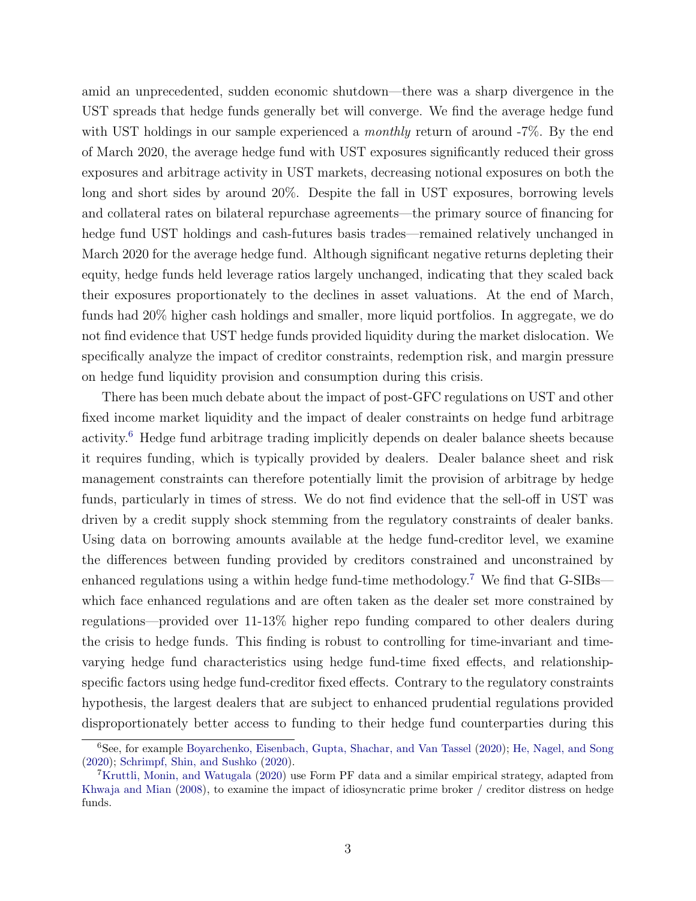amid an unprecedented, sudden economic shutdown—there was a sharp divergence in the UST spreads that hedge funds generally bet will converge. We find the average hedge fund with UST holdings in our sample experienced a *monthly* return of around -7%. By the end of March 2020, the average hedge fund with UST exposures significantly reduced their gross exposures and arbitrage activity in UST markets, decreasing notional exposures on both the long and short sides by around 20%. Despite the fall in UST exposures, borrowing levels and collateral rates on bilateral repurchase agreements—the primary source of financing for hedge fund UST holdings and cash-futures basis trades—remained relatively unchanged in March 2020 for the average hedge fund. Although significant negative returns depleting their equity, hedge funds held leverage ratios largely unchanged, indicating that they scaled back their exposures proportionately to the declines in asset valuations. At the end of March, funds had 20% higher cash holdings and smaller, more liquid portfolios. In aggregate, we do not find evidence that UST hedge funds provided liquidity during the market dislocation. We specifically analyze the impact of creditor constraints, redemption risk, and margin pressure on hedge fund liquidity provision and consumption during this crisis.

There has been much debate about the impact of post-GFC regulations on UST and other fixed income market liquidity and the impact of dealer constraints on hedge fund arbitrage activity.[6](#page-3-0) Hedge fund arbitrage trading implicitly depends on dealer balance sheets because it requires funding, which is typically provided by dealers. Dealer balance sheet and risk management constraints can therefore potentially limit the provision of arbitrage by hedge funds, particularly in times of stress. We do not find evidence that the sell-off in UST was driven by a credit supply shock stemming from the regulatory constraints of dealer banks. Using data on borrowing amounts available at the hedge fund-creditor level, we examine the differences between funding provided by creditors constrained and unconstrained by enhanced regulations using a within hedge fund-time methodology.<sup>[7](#page-3-1)</sup> We find that G-SIBs which face enhanced regulations and are often taken as the dealer set more constrained by regulations—provided over 11-13% higher repo funding compared to other dealers during the crisis to hedge funds. This finding is robust to controlling for time-invariant and timevarying hedge fund characteristics using hedge fund-time fixed effects, and relationshipspecific factors using hedge fund-creditor fixed effects. Contrary to the regulatory constraints hypothesis, the largest dealers that are subject to enhanced prudential regulations provided disproportionately better access to funding to their hedge fund counterparties during this

<span id="page-3-0"></span><sup>6</sup>See, for example [Boyarchenko, Eisenbach, Gupta, Shachar, and Van Tassel](#page-27-4) [\(2020\)](#page-27-4); [He, Nagel, and Song](#page-28-0) [\(2020\)](#page-28-0); [Schrimpf, Shin, and Sushko](#page-29-0) [\(2020\)](#page-29-0).

<span id="page-3-1"></span><sup>7</sup>[Kruttli, Monin, and Watugala](#page-28-2) [\(2020\)](#page-28-2) use Form PF data and a similar empirical strategy, adapted from [Khwaja and Mian](#page-28-3) [\(2008\)](#page-28-3), to examine the impact of idiosyncratic prime broker / creditor distress on hedge funds.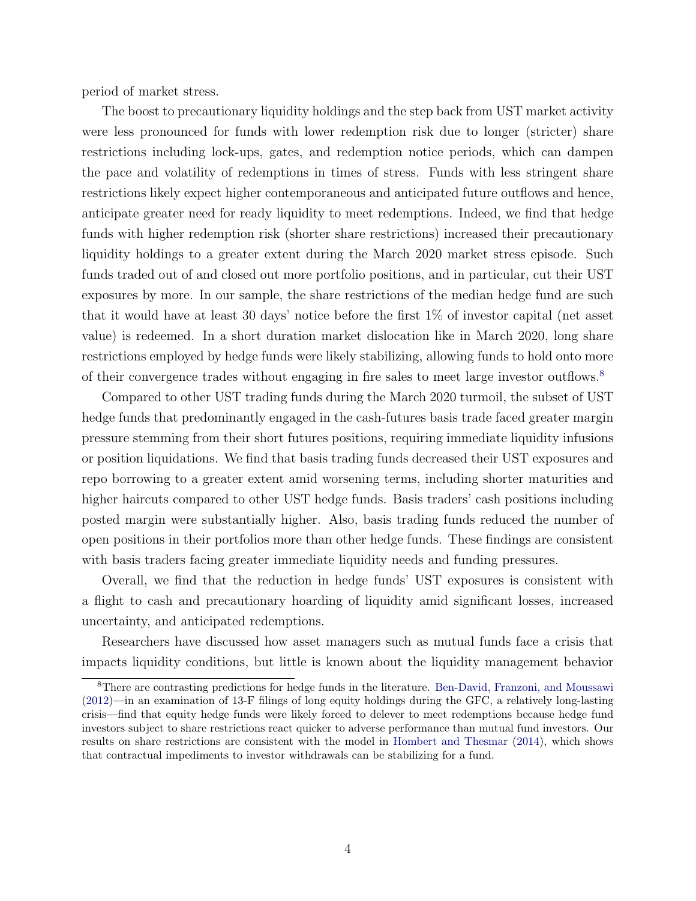period of market stress.

The boost to precautionary liquidity holdings and the step back from UST market activity were less pronounced for funds with lower redemption risk due to longer (stricter) share restrictions including lock-ups, gates, and redemption notice periods, which can dampen the pace and volatility of redemptions in times of stress. Funds with less stringent share restrictions likely expect higher contemporaneous and anticipated future outflows and hence, anticipate greater need for ready liquidity to meet redemptions. Indeed, we find that hedge funds with higher redemption risk (shorter share restrictions) increased their precautionary liquidity holdings to a greater extent during the March 2020 market stress episode. Such funds traded out of and closed out more portfolio positions, and in particular, cut their UST exposures by more. In our sample, the share restrictions of the median hedge fund are such that it would have at least 30 days' notice before the first 1% of investor capital (net asset value) is redeemed. In a short duration market dislocation like in March 2020, long share restrictions employed by hedge funds were likely stabilizing, allowing funds to hold onto more of their convergence trades without engaging in fire sales to meet large investor outflows.[8](#page-4-0)

Compared to other UST trading funds during the March 2020 turmoil, the subset of UST hedge funds that predominantly engaged in the cash-futures basis trade faced greater margin pressure stemming from their short futures positions, requiring immediate liquidity infusions or position liquidations. We find that basis trading funds decreased their UST exposures and repo borrowing to a greater extent amid worsening terms, including shorter maturities and higher haircuts compared to other UST hedge funds. Basis traders' cash positions including posted margin were substantially higher. Also, basis trading funds reduced the number of open positions in their portfolios more than other hedge funds. These findings are consistent with basis traders facing greater immediate liquidity needs and funding pressures.

Overall, we find that the reduction in hedge funds' UST exposures is consistent with a flight to cash and precautionary hoarding of liquidity amid significant losses, increased uncertainty, and anticipated redemptions.

Researchers have discussed how asset managers such as mutual funds face a crisis that impacts liquidity conditions, but little is known about the liquidity management behavior

<span id="page-4-0"></span><sup>8</sup>There are contrasting predictions for hedge funds in the literature. [Ben-David, Franzoni, and Moussawi](#page-27-5) [\(2012\)](#page-27-5)—in an examination of 13-F filings of long equity holdings during the GFC, a relatively long-lasting crisis—find that equity hedge funds were likely forced to delever to meet redemptions because hedge fund investors subject to share restrictions react quicker to adverse performance than mutual fund investors. Our results on share restrictions are consistent with the model in [Hombert and Thesmar](#page-28-4) [\(2014\)](#page-28-4), which shows that contractual impediments to investor withdrawals can be stabilizing for a fund.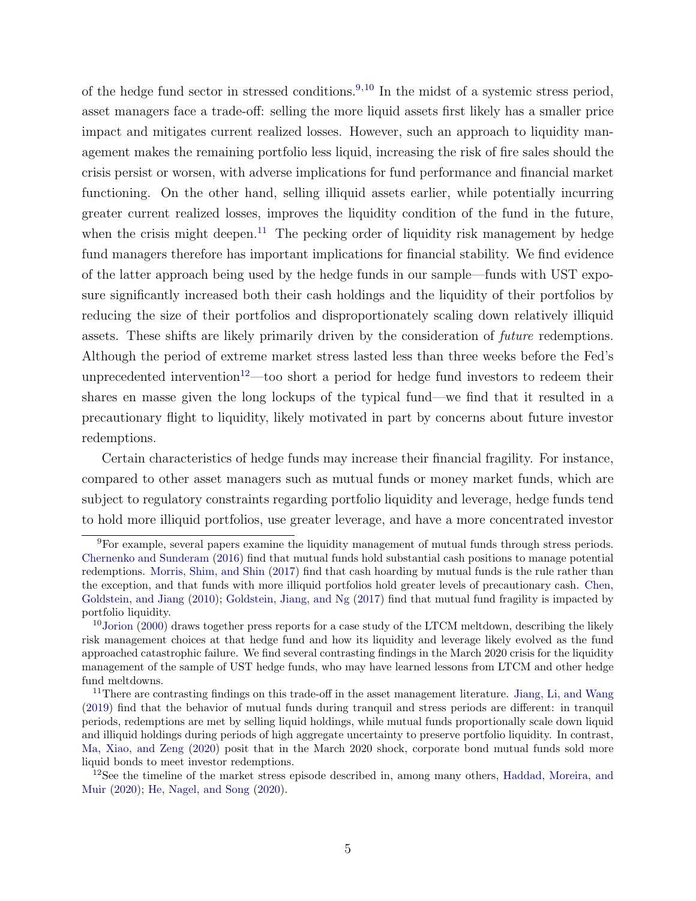of the hedge fund sector in stressed conditions.<sup>[9,](#page-5-0)[10](#page-5-1)</sup> In the midst of a systemic stress period, asset managers face a trade-off: selling the more liquid assets first likely has a smaller price impact and mitigates current realized losses. However, such an approach to liquidity management makes the remaining portfolio less liquid, increasing the risk of fire sales should the crisis persist or worsen, with adverse implications for fund performance and financial market functioning. On the other hand, selling illiquid assets earlier, while potentially incurring greater current realized losses, improves the liquidity condition of the fund in the future, when the crisis might deepen.<sup>[11](#page-5-2)</sup> The pecking order of liquidity risk management by hedge fund managers therefore has important implications for financial stability. We find evidence of the latter approach being used by the hedge funds in our sample—funds with UST exposure significantly increased both their cash holdings and the liquidity of their portfolios by reducing the size of their portfolios and disproportionately scaling down relatively illiquid assets. These shifts are likely primarily driven by the consideration of future redemptions. Although the period of extreme market stress lasted less than three weeks before the Fed's unprecedented intervention<sup>[12](#page-5-3)</sup>—too short a period for hedge fund investors to redeem their shares en masse given the long lockups of the typical fund—we find that it resulted in a precautionary flight to liquidity, likely motivated in part by concerns about future investor redemptions.

Certain characteristics of hedge funds may increase their financial fragility. For instance, compared to other asset managers such as mutual funds or money market funds, which are subject to regulatory constraints regarding portfolio liquidity and leverage, hedge funds tend to hold more illiquid portfolios, use greater leverage, and have a more concentrated investor

<span id="page-5-0"></span><sup>&</sup>lt;sup>9</sup>For example, several papers examine the liquidity management of mutual funds through stress periods. [Chernenko and Sunderam](#page-27-6) [\(2016\)](#page-27-6) find that mutual funds hold substantial cash positions to manage potential redemptions. [Morris, Shim, and Shin](#page-29-2) [\(2017\)](#page-29-2) find that cash hoarding by mutual funds is the rule rather than the exception, and that funds with more illiquid portfolios hold greater levels of precautionary cash. [Chen,](#page-27-7) [Goldstein, and Jiang](#page-27-7) [\(2010\)](#page-27-7); [Goldstein, Jiang, and Ng](#page-27-8) [\(2017\)](#page-27-8) find that mutual fund fragility is impacted by portfolio liquidity.

<span id="page-5-1"></span><sup>&</sup>lt;sup>10</sup>[Jorion](#page-28-1) [\(2000\)](#page-28-1) draws together press reports for a case study of the LTCM meltdown, describing the likely risk management choices at that hedge fund and how its liquidity and leverage likely evolved as the fund approached catastrophic failure. We find several contrasting findings in the March 2020 crisis for the liquidity management of the sample of UST hedge funds, who may have learned lessons from LTCM and other hedge fund meltdowns.

<span id="page-5-2"></span><sup>&</sup>lt;sup>11</sup>There are contrasting findings on this trade-off in the asset management literature. [Jiang, Li, and Wang](#page-28-5) [\(2019\)](#page-28-5) find that the behavior of mutual funds during tranquil and stress periods are different: in tranquil periods, redemptions are met by selling liquid holdings, while mutual funds proportionally scale down liquid and illiquid holdings during periods of high aggregate uncertainty to preserve portfolio liquidity. In contrast, [Ma, Xiao, and Zeng](#page-29-3) [\(2020\)](#page-29-3) posit that in the March 2020 shock, corporate bond mutual funds sold more liquid bonds to meet investor redemptions.

<span id="page-5-3"></span> $12$ See the timeline of the market stress episode described in, among many others, [Haddad, Moreira, and](#page-28-6) [Muir](#page-28-6) [\(2020\)](#page-28-6); [He, Nagel, and Song](#page-28-0) [\(2020\)](#page-28-0).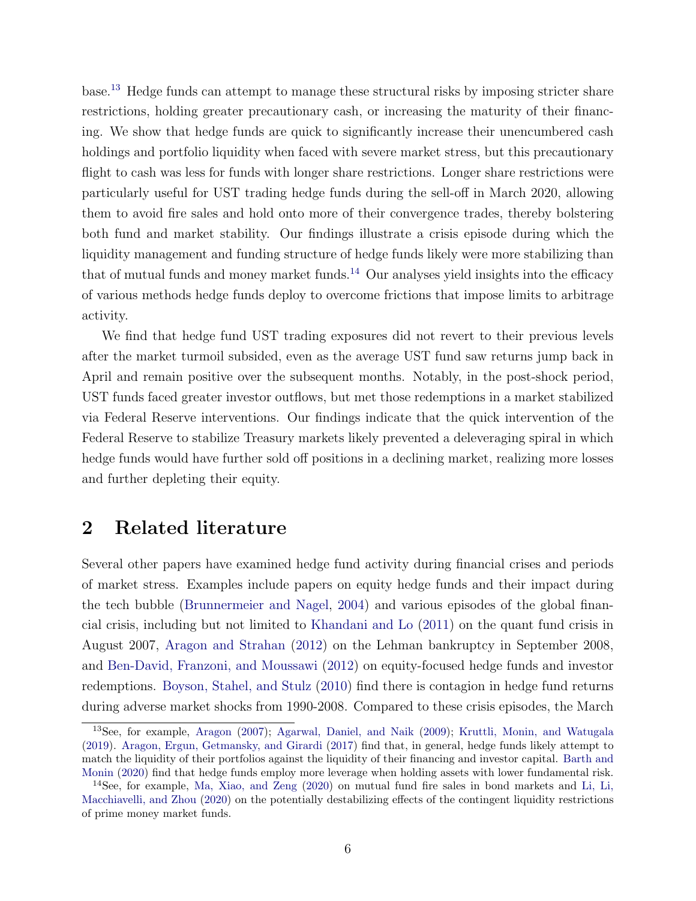base.[13](#page-6-0) Hedge funds can attempt to manage these structural risks by imposing stricter share restrictions, holding greater precautionary cash, or increasing the maturity of their financing. We show that hedge funds are quick to significantly increase their unencumbered cash holdings and portfolio liquidity when faced with severe market stress, but this precautionary flight to cash was less for funds with longer share restrictions. Longer share restrictions were particularly useful for UST trading hedge funds during the sell-off in March 2020, allowing them to avoid fire sales and hold onto more of their convergence trades, thereby bolstering both fund and market stability. Our findings illustrate a crisis episode during which the liquidity management and funding structure of hedge funds likely were more stabilizing than that of mutual funds and money market funds.<sup>[14](#page-6-1)</sup> Our analyses yield insights into the efficacy of various methods hedge funds deploy to overcome frictions that impose limits to arbitrage activity.

We find that hedge fund UST trading exposures did not revert to their previous levels after the market turmoil subsided, even as the average UST fund saw returns jump back in April and remain positive over the subsequent months. Notably, in the post-shock period, UST funds faced greater investor outflows, but met those redemptions in a market stabilized via Federal Reserve interventions. Our findings indicate that the quick intervention of the Federal Reserve to stabilize Treasury markets likely prevented a deleveraging spiral in which hedge funds would have further sold off positions in a declining market, realizing more losses and further depleting their equity.

# 2 Related literature

Several other papers have examined hedge fund activity during financial crises and periods of market stress. Examples include papers on equity hedge funds and their impact during the tech bubble [\(Brunnermeier and Nagel,](#page-27-9) [2004\)](#page-27-9) and various episodes of the global financial crisis, including but not limited to [Khandani and Lo](#page-28-7) [\(2011\)](#page-28-7) on the quant fund crisis in August 2007, [Aragon and Strahan](#page-26-0) [\(2012\)](#page-26-0) on the Lehman bankruptcy in September 2008, and [Ben-David, Franzoni, and Moussawi](#page-27-5) [\(2012\)](#page-27-5) on equity-focused hedge funds and investor redemptions. [Boyson, Stahel, and Stulz](#page-27-10) [\(2010\)](#page-27-10) find there is contagion in hedge fund returns during adverse market shocks from 1990-2008. Compared to these crisis episodes, the March

<span id="page-6-0"></span><sup>13</sup>See, for example, [Aragon](#page-26-1) [\(2007\)](#page-26-1); [Agarwal, Daniel, and Naik](#page-26-2) [\(2009\)](#page-26-2); [Kruttli, Monin, and Watugala](#page-28-8) [\(2019\)](#page-28-8). [Aragon, Ergun, Getmansky, and Girardi](#page-26-3) [\(2017\)](#page-26-3) find that, in general, hedge funds likely attempt to match the liquidity of their portfolios against the liquidity of their financing and investor capital. [Barth and](#page-26-4) [Monin](#page-26-4) [\(2020\)](#page-26-4) find that hedge funds employ more leverage when holding assets with lower fundamental risk.

<span id="page-6-1"></span><sup>&</sup>lt;sup>14</sup>See, for example, [Ma, Xiao, and Zeng](#page-29-3)  $(2020)$  on mutual fund fire sales in bond markets and [Li, Li,](#page-29-4) [Macchiavelli, and Zhou](#page-29-4) [\(2020\)](#page-29-4) on the potentially destabilizing effects of the contingent liquidity restrictions of prime money market funds.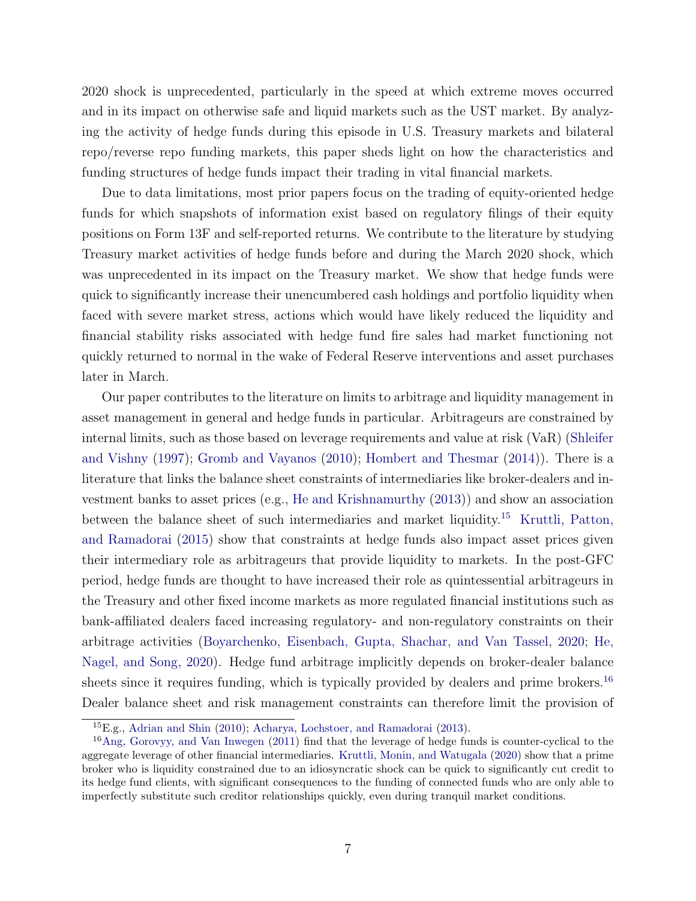2020 shock is unprecedented, particularly in the speed at which extreme moves occurred and in its impact on otherwise safe and liquid markets such as the UST market. By analyzing the activity of hedge funds during this episode in U.S. Treasury markets and bilateral repo/reverse repo funding markets, this paper sheds light on how the characteristics and funding structures of hedge funds impact their trading in vital financial markets.

Due to data limitations, most prior papers focus on the trading of equity-oriented hedge funds for which snapshots of information exist based on regulatory filings of their equity positions on Form 13F and self-reported returns. We contribute to the literature by studying Treasury market activities of hedge funds before and during the March 2020 shock, which was unprecedented in its impact on the Treasury market. We show that hedge funds were quick to significantly increase their unencumbered cash holdings and portfolio liquidity when faced with severe market stress, actions which would have likely reduced the liquidity and financial stability risks associated with hedge fund fire sales had market functioning not quickly returned to normal in the wake of Federal Reserve interventions and asset purchases later in March.

Our paper contributes to the literature on limits to arbitrage and liquidity management in asset management in general and hedge funds in particular. Arbitrageurs are constrained by internal limits, such as those based on leverage requirements and value at risk (VaR) [\(Shleifer](#page-29-5) [and Vishny](#page-29-5) [\(1997\)](#page-29-5); [Gromb and Vayanos](#page-28-9) [\(2010\)](#page-28-9); [Hombert and Thesmar](#page-28-4) [\(2014\)](#page-28-4)). There is a literature that links the balance sheet constraints of intermediaries like broker-dealers and investment banks to asset prices (e.g., [He and Krishnamurthy](#page-28-10) [\(2013\)](#page-28-10)) and show an association between the balance sheet of such intermediaries and market liquidity.[15](#page-7-0) [Kruttli, Patton,](#page-28-11) [and Ramadorai](#page-28-11) [\(2015\)](#page-28-11) show that constraints at hedge funds also impact asset prices given their intermediary role as arbitrageurs that provide liquidity to markets. In the post-GFC period, hedge funds are thought to have increased their role as quintessential arbitrageurs in the Treasury and other fixed income markets as more regulated financial institutions such as bank-affiliated dealers faced increasing regulatory- and non-regulatory constraints on their arbitrage activities [\(Boyarchenko, Eisenbach, Gupta, Shachar, and Van Tassel,](#page-27-4) [2020;](#page-27-4) [He,](#page-28-0) [Nagel, and Song,](#page-28-0) [2020\)](#page-28-0). Hedge fund arbitrage implicitly depends on broker-dealer balance sheets since it requires funding, which is typically provided by dealers and prime brokers.<sup>[16](#page-7-1)</sup> Dealer balance sheet and risk management constraints can therefore limit the provision of

<span id="page-7-1"></span><span id="page-7-0"></span><sup>15</sup>E.g., [Adrian and Shin](#page-26-5) [\(2010\)](#page-26-5); [Acharya, Lochstoer, and Ramadorai](#page-26-6) [\(2013\)](#page-26-6).

<sup>16</sup>[Ang, Gorovyy, and Van Inwegen](#page-26-7) [\(2011\)](#page-26-7) find that the leverage of hedge funds is counter-cyclical to the aggregate leverage of other financial intermediaries. [Kruttli, Monin, and Watugala](#page-28-2) [\(2020\)](#page-28-2) show that a prime broker who is liquidity constrained due to an idiosyncratic shock can be quick to significantly cut credit to its hedge fund clients, with significant consequences to the funding of connected funds who are only able to imperfectly substitute such creditor relationships quickly, even during tranquil market conditions.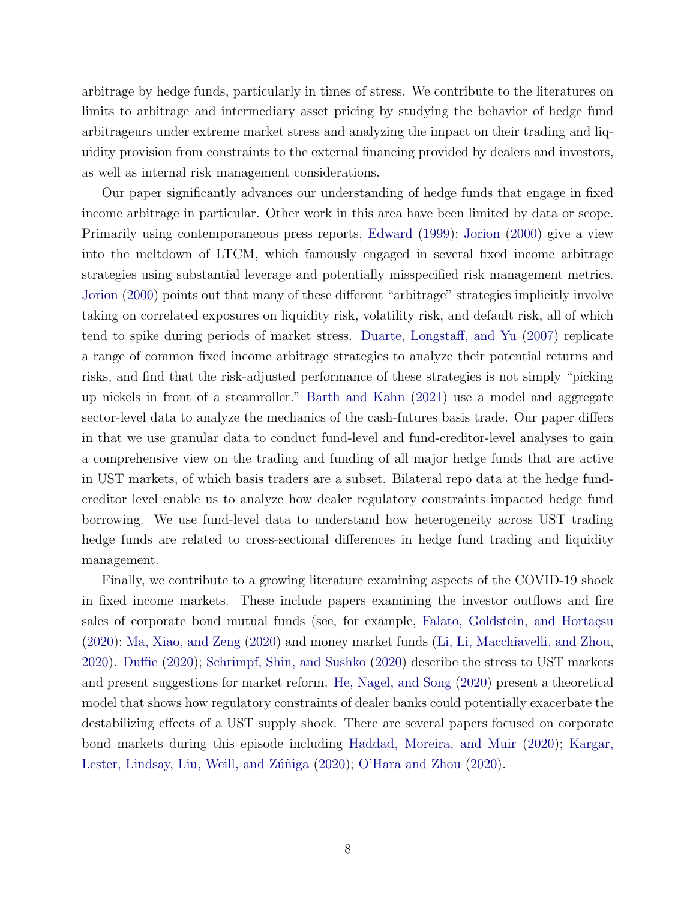arbitrage by hedge funds, particularly in times of stress. We contribute to the literatures on limits to arbitrage and intermediary asset pricing by studying the behavior of hedge fund arbitrageurs under extreme market stress and analyzing the impact on their trading and liquidity provision from constraints to the external financing provided by dealers and investors, as well as internal risk management considerations.

Our paper significantly advances our understanding of hedge funds that engage in fixed income arbitrage in particular. Other work in this area have been limited by data or scope. Primarily using contemporaneous press reports, [Edward](#page-27-2) [\(1999\)](#page-27-2); [Jorion](#page-28-1) [\(2000\)](#page-28-1) give a view into the meltdown of LTCM, which famously engaged in several fixed income arbitrage strategies using substantial leverage and potentially misspecified risk management metrics. [Jorion](#page-28-1) [\(2000\)](#page-28-1) points out that many of these different "arbitrage" strategies implicitly involve taking on correlated exposures on liquidity risk, volatility risk, and default risk, all of which tend to spike during periods of market stress. [Duarte, Longstaff, and Yu](#page-27-3) [\(2007\)](#page-27-3) replicate a range of common fixed income arbitrage strategies to analyze their potential returns and risks, and find that the risk-adjusted performance of these strategies is not simply "picking up nickels in front of a steamroller." [Barth and Kahn](#page-26-8) [\(2021\)](#page-26-8) use a model and aggregate sector-level data to analyze the mechanics of the cash-futures basis trade. Our paper differs in that we use granular data to conduct fund-level and fund-creditor-level analyses to gain a comprehensive view on the trading and funding of all major hedge funds that are active in UST markets, of which basis traders are a subset. Bilateral repo data at the hedge fundcreditor level enable us to analyze how dealer regulatory constraints impacted hedge fund borrowing. We use fund-level data to understand how heterogeneity across UST trading hedge funds are related to cross-sectional differences in hedge fund trading and liquidity management.

Finally, we contribute to a growing literature examining aspects of the COVID-19 shock in fixed income markets. These include papers examining the investor outflows and fire sales of corporate bond mutual funds (see, for example, Falato, Goldstein, and Hortaçsu [\(2020\)](#page-27-11); [Ma, Xiao, and Zeng](#page-29-3) [\(2020\)](#page-29-3) and money market funds [\(Li, Li, Macchiavelli, and Zhou,](#page-29-4) [2020\)](#page-29-4). [Duffie](#page-27-1) [\(2020\)](#page-27-1); [Schrimpf, Shin, and Sushko](#page-29-0) [\(2020\)](#page-29-0) describe the stress to UST markets and present suggestions for market reform. [He, Nagel, and Song](#page-28-0) [\(2020\)](#page-28-0) present a theoretical model that shows how regulatory constraints of dealer banks could potentially exacerbate the destabilizing effects of a UST supply shock. There are several papers focused on corporate bond markets during this episode including [Haddad, Moreira, and Muir](#page-28-6) [\(2020\)](#page-28-6); [Kargar,](#page-28-12) Lester, Lindsay, Liu, Weill, and Zúñiga [\(2020\)](#page-29-6); [O'Hara and Zhou](#page-29-6) (2020).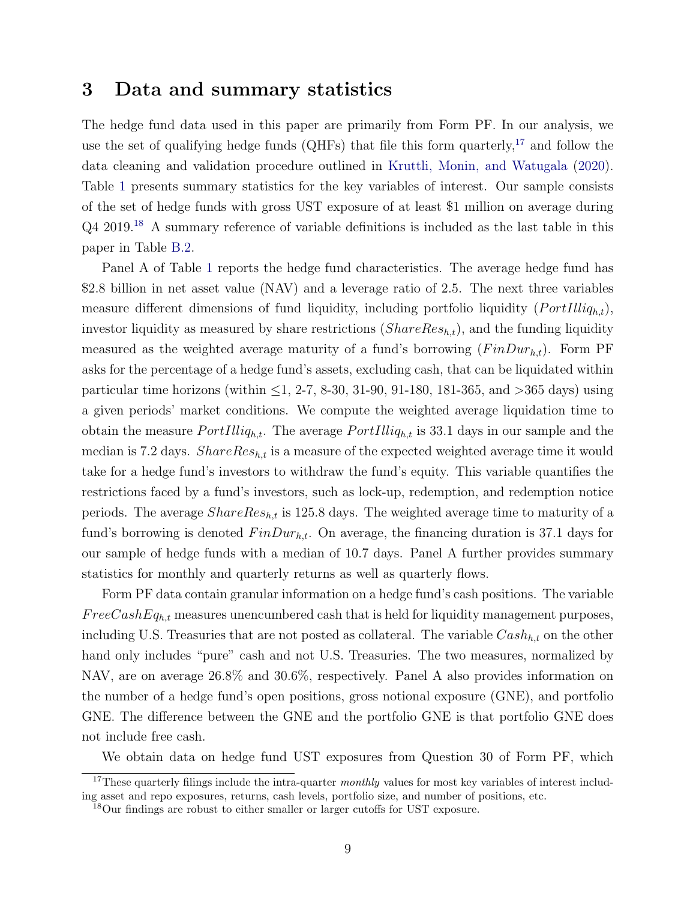# <span id="page-9-2"></span>3 Data and summary statistics

The hedge fund data used in this paper are primarily from Form PF. In our analysis, we use the set of qualifying hedge funds (QHFs) that file this form quarterly,  $17$  and follow the data cleaning and validation procedure outlined in [Kruttli, Monin, and Watugala](#page-28-2) [\(2020\)](#page-28-2). Table [1](#page-38-0) presents summary statistics for the key variables of interest. Our sample consists of the set of hedge funds with gross UST exposure of at least \$1 million on average during Q4 2019.[18](#page-9-1) A summary reference of variable definitions is included as the last table in this paper in Table [B.2.](#page-64-0)

Panel A of Table [1](#page-38-0) reports the hedge fund characteristics. The average hedge fund has \$2.8 billion in net asset value (NAV) and a leverage ratio of 2.5. The next three variables measure different dimensions of fund liquidity, including portfolio liquidity  $(Portilliq<sub>h,t</sub>)$ , investor liquidity as measured by share restrictions  $(ShareRes_{h,t})$ , and the funding liquidity measured as the weighted average maturity of a fund's borrowing  $(FinDur_{h,t})$ . Form PF asks for the percentage of a hedge fund's assets, excluding cash, that can be liquidated within particular time horizons (within  $\leq 1$ , 2-7, 8-30, 31-90, 91-180, 181-365, and  $>$ 365 days) using a given periods' market conditions. We compute the weighted average liquidation time to obtain the measure  $Portilliq_{h,t}$ . The average  $Portilliq_{h,t}$  is 33.1 days in our sample and the median is 7.2 days.  $ShareRes_{h,t}$  is a measure of the expected weighted average time it would take for a hedge fund's investors to withdraw the fund's equity. This variable quantifies the restrictions faced by a fund's investors, such as lock-up, redemption, and redemption notice periods. The average  $ShareRes_{h,t}$  is 125.8 days. The weighted average time to maturity of a fund's borrowing is denoted  $FinDur_{h,t}$ . On average, the financing duration is 37.1 days for our sample of hedge funds with a median of 10.7 days. Panel A further provides summary statistics for monthly and quarterly returns as well as quarterly flows.

Form PF data contain granular information on a hedge fund's cash positions. The variable  $FreeCashEq_{h,t}$  measures unencumbered cash that is held for liquidity management purposes, including U.S. Treasuries that are not posted as collateral. The variable  $Cash_{h,t}$  on the other hand only includes "pure" cash and not U.S. Treasuries. The two measures, normalized by NAV, are on average 26.8% and 30.6%, respectively. Panel A also provides information on the number of a hedge fund's open positions, gross notional exposure (GNE), and portfolio GNE. The difference between the GNE and the portfolio GNE is that portfolio GNE does not include free cash.

<span id="page-9-0"></span>We obtain data on hedge fund UST exposures from Question 30 of Form PF, which

<sup>&</sup>lt;sup>17</sup>These quarterly filings include the intra-quarter monthly values for most key variables of interest including asset and repo exposures, returns, cash levels, portfolio size, and number of positions, etc.

<span id="page-9-1"></span><sup>18</sup>Our findings are robust to either smaller or larger cutoffs for UST exposure.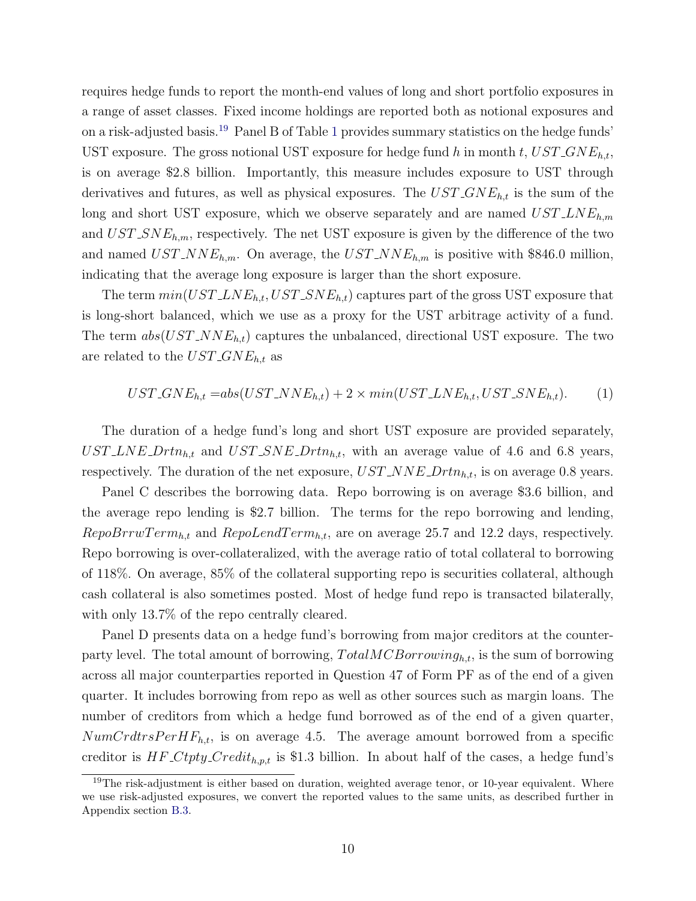requires hedge funds to report the month-end values of long and short portfolio exposures in a range of asset classes. Fixed income holdings are reported both as notional exposures and on a risk-adjusted basis.[19](#page-10-0) Panel B of Table [1](#page-38-0) provides summary statistics on the hedge funds' UST exposure. The gross notional UST exposure for hedge fund h in month t,  $UST\_GNE_{h,t}$ , is on average \$2.8 billion. Importantly, this measure includes exposure to UST through derivatives and futures, as well as physical exposures. The  $UST\_GNE_{h,t}$  is the sum of the long and short UST exposure, which we observe separately and are named  $UST\_LNE_{h,m}$ and  $UST\_SNE_{h,m}$ , respectively. The net UST exposure is given by the difference of the two and named UST\_NNE<sub>h,m</sub>. On average, the UST\_NNE<sub>h,m</sub> is positive with \$846.0 million, indicating that the average long exposure is larger than the short exposure.

The term  $min(UST\_LNE_{h,t},UST\_SNE_{h,t})$  captures part of the gross UST exposure that is long-short balanced, which we use as a proxy for the UST arbitrage activity of a fund. The term  $abs(UST\_NNE_{h,t})$  captures the unbalanced, directional UST exposure. The two are related to the  $UST\_GNE_{h,t}$  as

$$
UST\_GNE_{h,t} = abs(UST\_NNE_{h,t}) + 2 \times min(UST\_LNE_{h,t},UST\_SNE_{h,t}).
$$
 (1)

The duration of a hedge fund's long and short UST exposure are provided separately, UST\_LNE\_Drtn<sub>h,t</sub> and UST\_SNE\_Drtn<sub>h,t</sub>, with an average value of 4.6 and 6.8 years, respectively. The duration of the net exposure,  $UST\_NNE\_Drtn_{h,t}$ , is on average 0.8 years.

Panel C describes the borrowing data. Repo borrowing is on average \$3.6 billion, and the average repo lending is \$2.7 billion. The terms for the repo borrowing and lending,  $RepoBrrwTerm_{h,t}$  and  $RepoLendTerm_{h,t}$ , are on average 25.7 and 12.2 days, respectively. Repo borrowing is over-collateralized, with the average ratio of total collateral to borrowing of 118%. On average, 85% of the collateral supporting repo is securities collateral, although cash collateral is also sometimes posted. Most of hedge fund repo is transacted bilaterally, with only 13.7% of the repo centrally cleared.

Panel D presents data on a hedge fund's borrowing from major creditors at the counterparty level. The total amount of borrowing,  $TotalMCBorrowing_{h,t}$ , is the sum of borrowing across all major counterparties reported in Question 47 of Form PF as of the end of a given quarter. It includes borrowing from repo as well as other sources such as margin loans. The number of creditors from which a hedge fund borrowed as of the end of a given quarter,  $NumCrdtrsPer HF_{h,t}$ , is on average 4.5. The average amount borrowed from a specific creditor is  $HF\_Ctpty\_Credit_{h,p,t}$  is \$1.3 billion. In about half of the cases, a hedge fund's

<span id="page-10-0"></span><sup>&</sup>lt;sup>19</sup>The risk-adjustment is either based on duration, weighted average tenor, or 10-year equivalent. Where we use risk-adjusted exposures, we convert the reported values to the same units, as described further in Appendix section [B.3.](#page-60-0)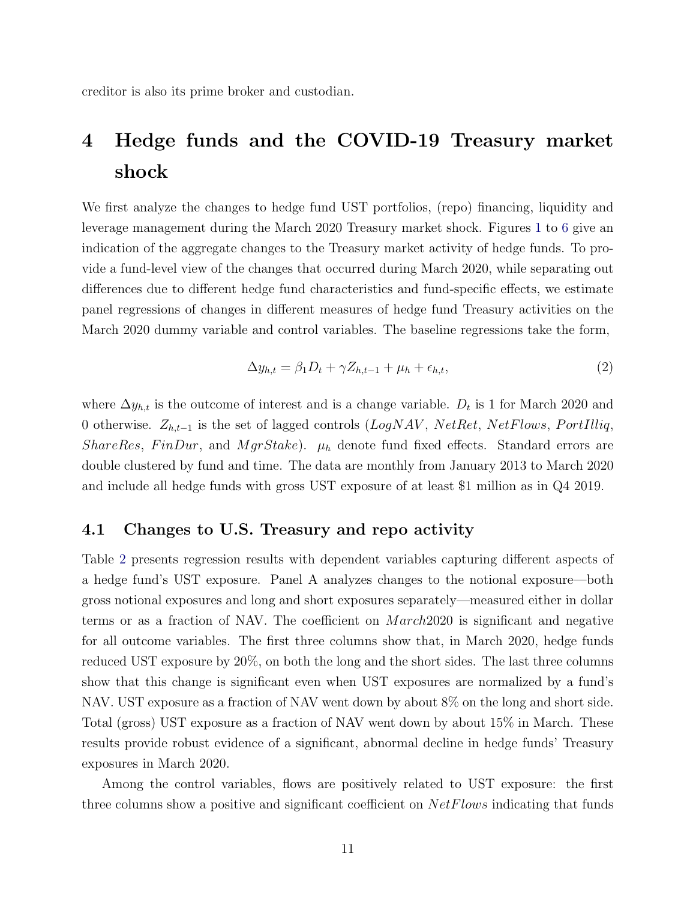creditor is also its prime broker and custodian.

# 4 Hedge funds and the COVID-19 Treasury market shock

We first analyze the changes to hedge fund UST portfolios, (repo) financing, liquidity and leverage management during the March 2020 Treasury market shock. Figures [1](#page-30-0) to [6](#page-35-0) give an indication of the aggregate changes to the Treasury market activity of hedge funds. To provide a fund-level view of the changes that occurred during March 2020, while separating out differences due to different hedge fund characteristics and fund-specific effects, we estimate panel regressions of changes in different measures of hedge fund Treasury activities on the March 2020 dummy variable and control variables. The baseline regressions take the form,

<span id="page-11-0"></span>
$$
\Delta y_{h,t} = \beta_1 D_t + \gamma Z_{h,t-1} + \mu_h + \epsilon_{h,t},\tag{2}
$$

where  $\Delta y_{h,t}$  is the outcome of interest and is a change variable.  $D_t$  is 1 for March 2020 and 0 otherwise.  $Z_{h,t-1}$  is the set of lagged controls (LogNAV, NetRet, NetFlows, PortIlliq, ShareRes, FinDur, and MgrStake).  $\mu_h$  denote fund fixed effects. Standard errors are double clustered by fund and time. The data are monthly from January 2013 to March 2020 and include all hedge funds with gross UST exposure of at least \$1 million as in Q4 2019.

# 4.1 Changes to U.S. Treasury and repo activity

Table [2](#page-40-0) presents regression results with dependent variables capturing different aspects of a hedge fund's UST exposure. Panel A analyzes changes to the notional exposure—both gross notional exposures and long and short exposures separately—measured either in dollar terms or as a fraction of NAV. The coefficient on  $March2020$  is significant and negative for all outcome variables. The first three columns show that, in March 2020, hedge funds reduced UST exposure by 20%, on both the long and the short sides. The last three columns show that this change is significant even when UST exposures are normalized by a fund's NAV. UST exposure as a fraction of NAV went down by about 8% on the long and short side. Total (gross) UST exposure as a fraction of NAV went down by about 15% in March. These results provide robust evidence of a significant, abnormal decline in hedge funds' Treasury exposures in March 2020.

Among the control variables, flows are positively related to UST exposure: the first three columns show a positive and significant coefficient on  $NetFlows$  indicating that funds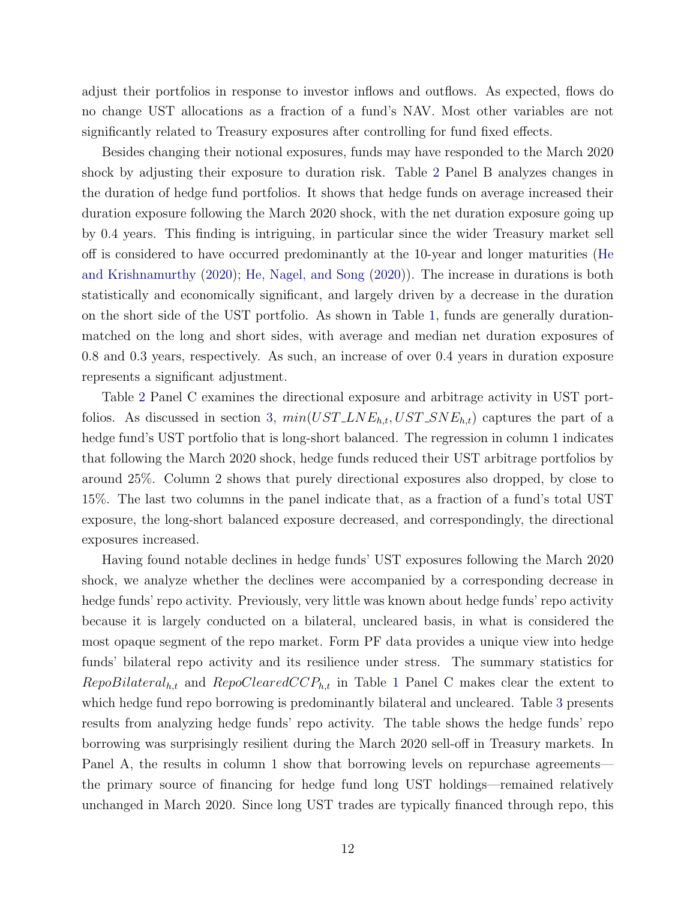adjust their portfolios in response to investor inflows and outflows. As expected, flows do no change UST allocations as a fraction of a fund's NAV. Most other variables are not significantly related to Treasury exposures after controlling for fund fixed effects.

Besides changing their notional exposures, funds may have responded to the March 2020 shock by adjusting their exposure to duration risk. Table [2](#page-40-0) Panel B analyzes changes in the duration of hedge fund portfolios. It shows that hedge funds on average increased their duration exposure following the March 2020 shock, with the net duration exposure going up by 0.4 years. This finding is intriguing, in particular since the wider Treasury market sell off is considered to have occurred predominantly at the 10-year and longer maturities [\(He](#page-28-13) [and Krishnamurthy](#page-28-13) [\(2020\)](#page-28-13); [He, Nagel, and Song](#page-28-0) [\(2020\)](#page-28-0)). The increase in durations is both statistically and economically significant, and largely driven by a decrease in the duration on the short side of the UST portfolio. As shown in Table [1,](#page-38-0) funds are generally durationmatched on the long and short sides, with average and median net duration exposures of 0.8 and 0.3 years, respectively. As such, an increase of over 0.4 years in duration exposure represents a significant adjustment.

Table [2](#page-40-0) Panel C examines the directional exposure and arbitrage activity in UST port-folios. As discussed in section [3,](#page-9-2)  $min(UST\_LNE_{h,t},UST\_SNE_{h,t})$  captures the part of a hedge fund's UST portfolio that is long-short balanced. The regression in column 1 indicates that following the March 2020 shock, hedge funds reduced their UST arbitrage portfolios by around 25%. Column 2 shows that purely directional exposures also dropped, by close to 15%. The last two columns in the panel indicate that, as a fraction of a fund's total UST exposure, the long-short balanced exposure decreased, and correspondingly, the directional exposures increased.

Having found notable declines in hedge funds' UST exposures following the March 2020 shock, we analyze whether the declines were accompanied by a corresponding decrease in hedge funds' repo activity. Previously, very little was known about hedge funds' repo activity because it is largely conducted on a bilateral, uncleared basis, in what is considered the most opaque segment of the repo market. Form PF data provides a unique view into hedge funds' bilateral repo activity and its resilience under stress. The summary statistics for  $RepoBilateral_{h,t}$  and  $RepoClearedCCP_{h,t}$  in Table [1](#page-38-0) Panel C makes clear the extent to which hedge fund repo borrowing is predominantly bilateral and uncleared. Table [3](#page-42-0) presents results from analyzing hedge funds' repo activity. The table shows the hedge funds' repo borrowing was surprisingly resilient during the March 2020 sell-off in Treasury markets. In Panel A, the results in column 1 show that borrowing levels on repurchase agreements the primary source of financing for hedge fund long UST holdings—remained relatively unchanged in March 2020. Since long UST trades are typically financed through repo, this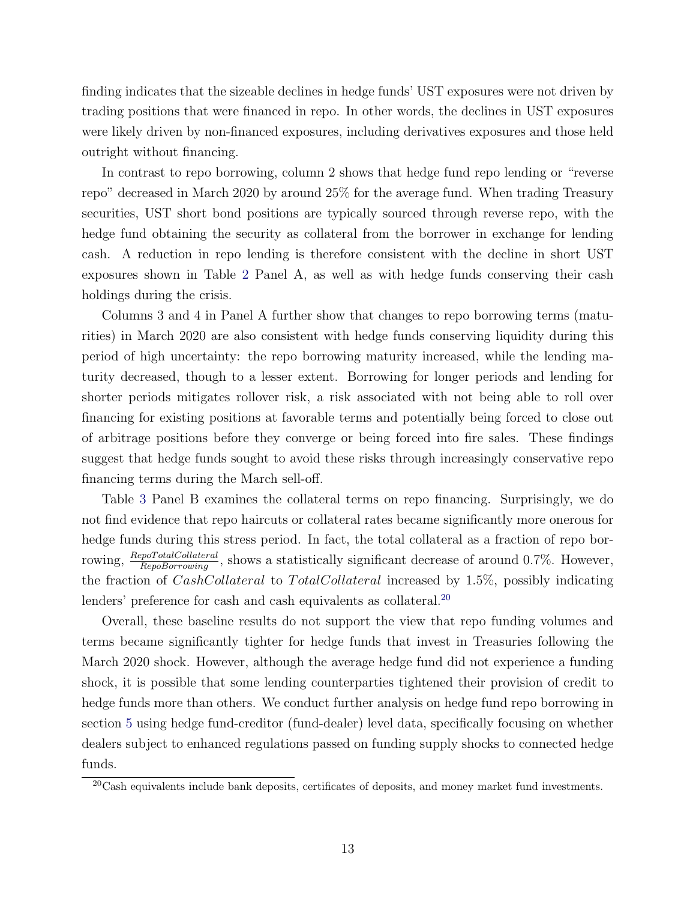finding indicates that the sizeable declines in hedge funds' UST exposures were not driven by trading positions that were financed in repo. In other words, the declines in UST exposures were likely driven by non-financed exposures, including derivatives exposures and those held outright without financing.

In contrast to repo borrowing, column 2 shows that hedge fund repo lending or "reverse repo" decreased in March 2020 by around 25% for the average fund. When trading Treasury securities, UST short bond positions are typically sourced through reverse repo, with the hedge fund obtaining the security as collateral from the borrower in exchange for lending cash. A reduction in repo lending is therefore consistent with the decline in short UST exposures shown in Table [2](#page-40-0) Panel A, as well as with hedge funds conserving their cash holdings during the crisis.

Columns 3 and 4 in Panel A further show that changes to repo borrowing terms (maturities) in March 2020 are also consistent with hedge funds conserving liquidity during this period of high uncertainty: the repo borrowing maturity increased, while the lending maturity decreased, though to a lesser extent. Borrowing for longer periods and lending for shorter periods mitigates rollover risk, a risk associated with not being able to roll over financing for existing positions at favorable terms and potentially being forced to close out of arbitrage positions before they converge or being forced into fire sales. These findings suggest that hedge funds sought to avoid these risks through increasingly conservative repo financing terms during the March sell-off.

Table [3](#page-42-0) Panel B examines the collateral terms on repo financing. Surprisingly, we do not find evidence that repo haircuts or collateral rates became significantly more onerous for hedge funds during this stress period. In fact, the total collateral as a fraction of repo borrowing,  $\frac{RepoTotalCollateral}{RepoBorrowing}$ , shows a statistically significant decrease of around 0.7%. However, the fraction of  $CashCollateral$  to  $TotalCollateral$  increased by 1.5%, possibly indicating lenders' preference for cash and cash equivalents as collateral.<sup>[20](#page-13-0)</sup>

Overall, these baseline results do not support the view that repo funding volumes and terms became significantly tighter for hedge funds that invest in Treasuries following the March 2020 shock. However, although the average hedge fund did not experience a funding shock, it is possible that some lending counterparties tightened their provision of credit to hedge funds more than others. We conduct further analysis on hedge fund repo borrowing in section [5](#page-17-0) using hedge fund-creditor (fund-dealer) level data, specifically focusing on whether dealers subject to enhanced regulations passed on funding supply shocks to connected hedge funds.

<span id="page-13-0"></span> $20$ Cash equivalents include bank deposits, certificates of deposits, and money market fund investments.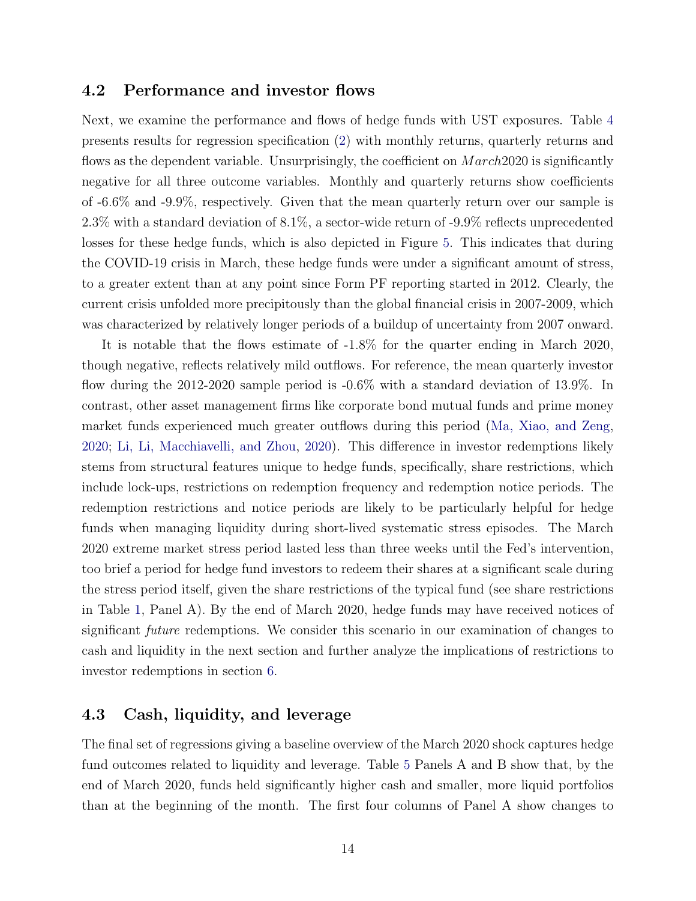# 4.2 Performance and investor flows

Next, we examine the performance and flows of hedge funds with UST exposures. Table [4](#page-43-0) presents results for regression specification [\(2\)](#page-11-0) with monthly returns, quarterly returns and flows as the dependent variable. Unsurprisingly, the coefficient on  $March2020$  is significantly negative for all three outcome variables. Monthly and quarterly returns show coefficients of -6.6% and -9.9%, respectively. Given that the mean quarterly return over our sample is 2.3% with a standard deviation of 8.1%, a sector-wide return of -9.9% reflects unprecedented losses for these hedge funds, which is also depicted in Figure [5.](#page-34-0) This indicates that during the COVID-19 crisis in March, these hedge funds were under a significant amount of stress, to a greater extent than at any point since Form PF reporting started in 2012. Clearly, the current crisis unfolded more precipitously than the global financial crisis in 2007-2009, which was characterized by relatively longer periods of a buildup of uncertainty from 2007 onward.

It is notable that the flows estimate of -1.8% for the quarter ending in March 2020, though negative, reflects relatively mild outflows. For reference, the mean quarterly investor flow during the 2012-2020 sample period is -0.6% with a standard deviation of 13.9%. In contrast, other asset management firms like corporate bond mutual funds and prime money market funds experienced much greater outflows during this period [\(Ma, Xiao, and Zeng,](#page-29-3) [2020;](#page-29-3) [Li, Li, Macchiavelli, and Zhou,](#page-29-4) [2020\)](#page-29-4). This difference in investor redemptions likely stems from structural features unique to hedge funds, specifically, share restrictions, which include lock-ups, restrictions on redemption frequency and redemption notice periods. The redemption restrictions and notice periods are likely to be particularly helpful for hedge funds when managing liquidity during short-lived systematic stress episodes. The March 2020 extreme market stress period lasted less than three weeks until the Fed's intervention, too brief a period for hedge fund investors to redeem their shares at a significant scale during the stress period itself, given the share restrictions of the typical fund (see share restrictions in Table [1,](#page-38-0) Panel A). By the end of March 2020, hedge funds may have received notices of significant future redemptions. We consider this scenario in our examination of changes to cash and liquidity in the next section and further analyze the implications of restrictions to investor redemptions in section [6.](#page-19-0)

# 4.3 Cash, liquidity, and leverage

The final set of regressions giving a baseline overview of the March 2020 shock captures hedge fund outcomes related to liquidity and leverage. Table [5](#page-44-0) Panels A and B show that, by the end of March 2020, funds held significantly higher cash and smaller, more liquid portfolios than at the beginning of the month. The first four columns of Panel A show changes to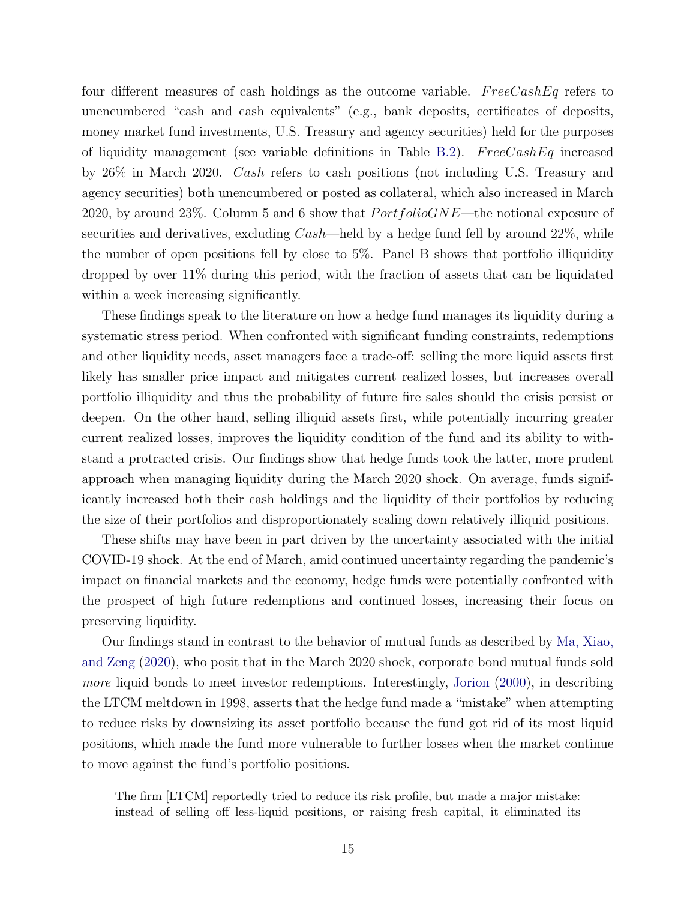four different measures of cash holdings as the outcome variable.  $FreeCashEq$  refers to unencumbered "cash and cash equivalents" (e.g., bank deposits, certificates of deposits, money market fund investments, U.S. Treasury and agency securities) held for the purposes of liquidity management (see variable definitions in Table [B.2\)](#page-64-0).  $FreeCashEq$  increased by 26% in March 2020. Cash refers to cash positions (not including U.S. Treasury and agency securities) both unencumbered or posted as collateral, which also increased in March 2020, by around 23%. Column 5 and 6 show that  $PortfolioGNE$ —the notional exposure of securities and derivatives, excluding  $Cash$ —held by a hedge fund fell by around  $22\%$ , while the number of open positions fell by close to 5%. Panel B shows that portfolio illiquidity dropped by over 11% during this period, with the fraction of assets that can be liquidated within a week increasing significantly.

These findings speak to the literature on how a hedge fund manages its liquidity during a systematic stress period. When confronted with significant funding constraints, redemptions and other liquidity needs, asset managers face a trade-off: selling the more liquid assets first likely has smaller price impact and mitigates current realized losses, but increases overall portfolio illiquidity and thus the probability of future fire sales should the crisis persist or deepen. On the other hand, selling illiquid assets first, while potentially incurring greater current realized losses, improves the liquidity condition of the fund and its ability to withstand a protracted crisis. Our findings show that hedge funds took the latter, more prudent approach when managing liquidity during the March 2020 shock. On average, funds significantly increased both their cash holdings and the liquidity of their portfolios by reducing the size of their portfolios and disproportionately scaling down relatively illiquid positions.

These shifts may have been in part driven by the uncertainty associated with the initial COVID-19 shock. At the end of March, amid continued uncertainty regarding the pandemic's impact on financial markets and the economy, hedge funds were potentially confronted with the prospect of high future redemptions and continued losses, increasing their focus on preserving liquidity.

Our findings stand in contrast to the behavior of mutual funds as described by [Ma, Xiao,](#page-29-3) [and Zeng](#page-29-3) [\(2020\)](#page-29-3), who posit that in the March 2020 shock, corporate bond mutual funds sold more liquid bonds to meet investor redemptions. Interestingly, [Jorion](#page-28-1) [\(2000\)](#page-28-1), in describing the LTCM meltdown in 1998, asserts that the hedge fund made a "mistake" when attempting to reduce risks by downsizing its asset portfolio because the fund got rid of its most liquid positions, which made the fund more vulnerable to further losses when the market continue to move against the fund's portfolio positions.

The firm [LTCM] reportedly tried to reduce its risk profile, but made a major mistake: instead of selling off less-liquid positions, or raising fresh capital, it eliminated its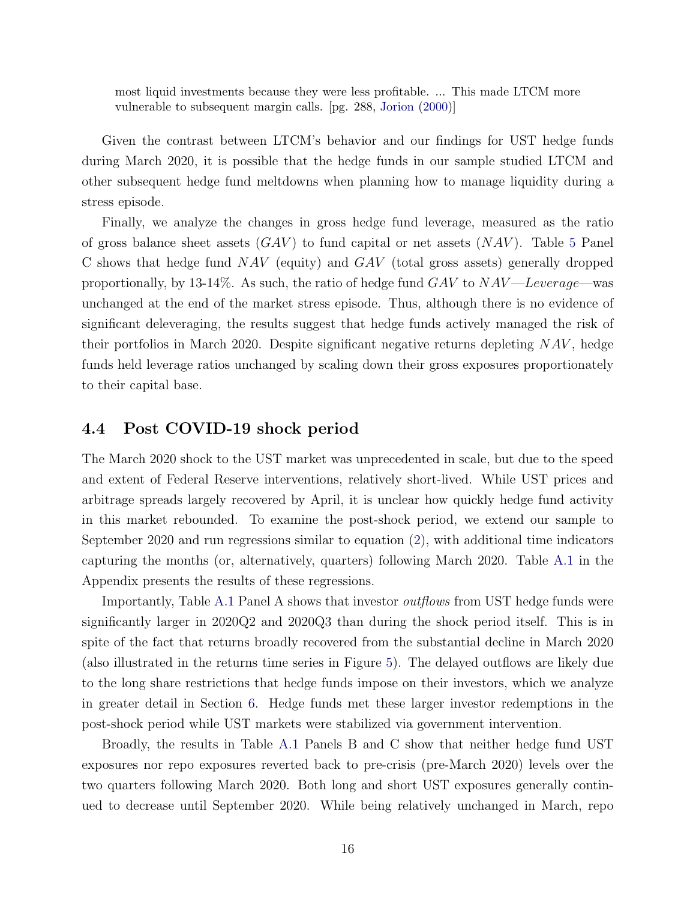most liquid investments because they were less profitable. ... This made LTCM more vulnerable to subsequent margin calls. [pg. 288, [Jorion](#page-28-1) [\(2000\)](#page-28-1)]

Given the contrast between LTCM's behavior and our findings for UST hedge funds during March 2020, it is possible that the hedge funds in our sample studied LTCM and other subsequent hedge fund meltdowns when planning how to manage liquidity during a stress episode.

Finally, we analyze the changes in gross hedge fund leverage, measured as the ratio of gross balance sheet assets  $(GAV)$  to fund capital or net assets  $(NAV)$ . Table [5](#page-44-0) Panel C shows that hedge fund NAV (equity) and GAV (total gross assets) generally dropped proportionally, by 13-14%. As such, the ratio of hedge fund  $GAV$  to  $NAV$ —Leverage—was unchanged at the end of the market stress episode. Thus, although there is no evidence of significant deleveraging, the results suggest that hedge funds actively managed the risk of their portfolios in March 2020. Despite significant negative returns depleting NAV , hedge funds held leverage ratios unchanged by scaling down their gross exposures proportionately to their capital base.

# 4.4 Post COVID-19 shock period

The March 2020 shock to the UST market was unprecedented in scale, but due to the speed and extent of Federal Reserve interventions, relatively short-lived. While UST prices and arbitrage spreads largely recovered by April, it is unclear how quickly hedge fund activity in this market rebounded. To examine the post-shock period, we extend our sample to September 2020 and run regressions similar to equation [\(2\)](#page-11-0), with additional time indicators capturing the months (or, alternatively, quarters) following March 2020. Table [A.1](#page-50-0) in the Appendix presents the results of these regressions.

Importantly, Table [A.1](#page-50-0) Panel A shows that investor outflows from UST hedge funds were significantly larger in 2020Q2 and 2020Q3 than during the shock period itself. This is in spite of the fact that returns broadly recovered from the substantial decline in March 2020 (also illustrated in the returns time series in Figure [5\)](#page-34-0). The delayed outflows are likely due to the long share restrictions that hedge funds impose on their investors, which we analyze in greater detail in Section [6.](#page-19-0) Hedge funds met these larger investor redemptions in the post-shock period while UST markets were stabilized via government intervention.

Broadly, the results in Table [A.1](#page-50-0) Panels B and C show that neither hedge fund UST exposures nor repo exposures reverted back to pre-crisis (pre-March 2020) levels over the two quarters following March 2020. Both long and short UST exposures generally continued to decrease until September 2020. While being relatively unchanged in March, repo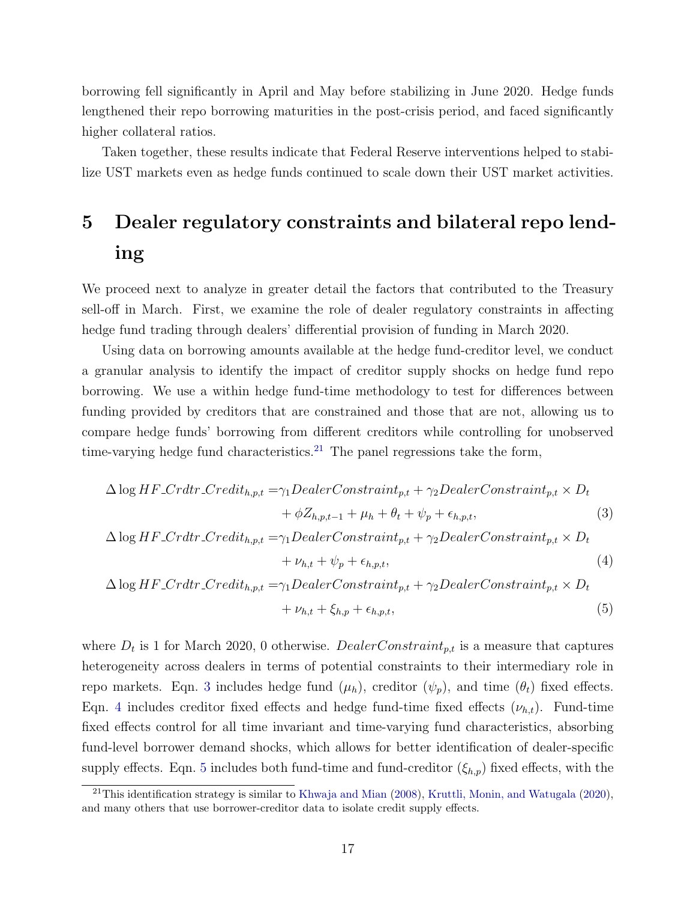borrowing fell significantly in April and May before stabilizing in June 2020. Hedge funds lengthened their repo borrowing maturities in the post-crisis period, and faced significantly higher collateral ratios.

Taken together, these results indicate that Federal Reserve interventions helped to stabilize UST markets even as hedge funds continued to scale down their UST market activities.

# <span id="page-17-0"></span>5 Dealer regulatory constraints and bilateral repo lending

We proceed next to analyze in greater detail the factors that contributed to the Treasury sell-off in March. First, we examine the role of dealer regulatory constraints in affecting hedge fund trading through dealers' differential provision of funding in March 2020.

Using data on borrowing amounts available at the hedge fund-creditor level, we conduct a granular analysis to identify the impact of creditor supply shocks on hedge fund repo borrowing. We use a within hedge fund-time methodology to test for differences between funding provided by creditors that are constrained and those that are not, allowing us to compare hedge funds' borrowing from different creditors while controlling for unobserved time-varying hedge fund characteristics.<sup>[21](#page-17-1)</sup> The panel regressions take the form,

$$
\Delta \log HF_C rdt r_C rde^{i t} h_{n,p,t} = \gamma_1 Dealer Constraint_{p,t} + \gamma_2 Dealer Constraint_{p,t} \times D_t \n+ \phi Z_{h,p,t-1} + \mu_h + \theta_t + \psi_p + \epsilon_{h,p,t},
$$
\n(3)  
\n
$$
\Delta \log HF_C rdt r_C rde^{i t} h_{n,p,t} = \gamma_1 Dealer Constraint_{p,t} + \gamma_2 Dealer Constraint_{p,t} \times D_t \n+ \nu_{h,t} + \psi_p + \epsilon_{h,p,t},
$$
\n(4)  
\n
$$
\Delta \log HF_C rdt r_C rde^{i t} h_{n,p,t} = \gamma_1 Dealer Constraint_{p,t} + \gamma_2 Dealer Constraint_{p,t} \times D_t
$$

<span id="page-17-4"></span><span id="page-17-3"></span><span id="page-17-2"></span>
$$
+\nu_{h,t} + \xi_{h,p} + \epsilon_{h,p,t},\tag{5}
$$

where  $D_t$  is 1 for March 2020, 0 otherwise.  $DealerConstraint_{p,t}$  is a measure that captures heterogeneity across dealers in terms of potential constraints to their intermediary role in repo markets. Eqn. [3](#page-17-2) includes hedge fund  $(\mu_h)$ , creditor  $(\psi_p)$ , and time  $(\theta_t)$  fixed effects. Eqn. [4](#page-17-3) includes creditor fixed effects and hedge fund-time fixed effects  $(\nu_{h,t})$ . Fund-time fixed effects control for all time invariant and time-varying fund characteristics, absorbing fund-level borrower demand shocks, which allows for better identification of dealer-specific supply effects. Eqn. [5](#page-17-4) includes both fund-time and fund-creditor  $(\xi_{h,p})$  fixed effects, with the

<span id="page-17-1"></span><sup>&</sup>lt;sup>21</sup>This identification strategy is similar to [Khwaja and Mian](#page-28-3)  $(2008)$ , [Kruttli, Monin, and Watugala](#page-28-2)  $(2020)$ , and many others that use borrower-creditor data to isolate credit supply effects.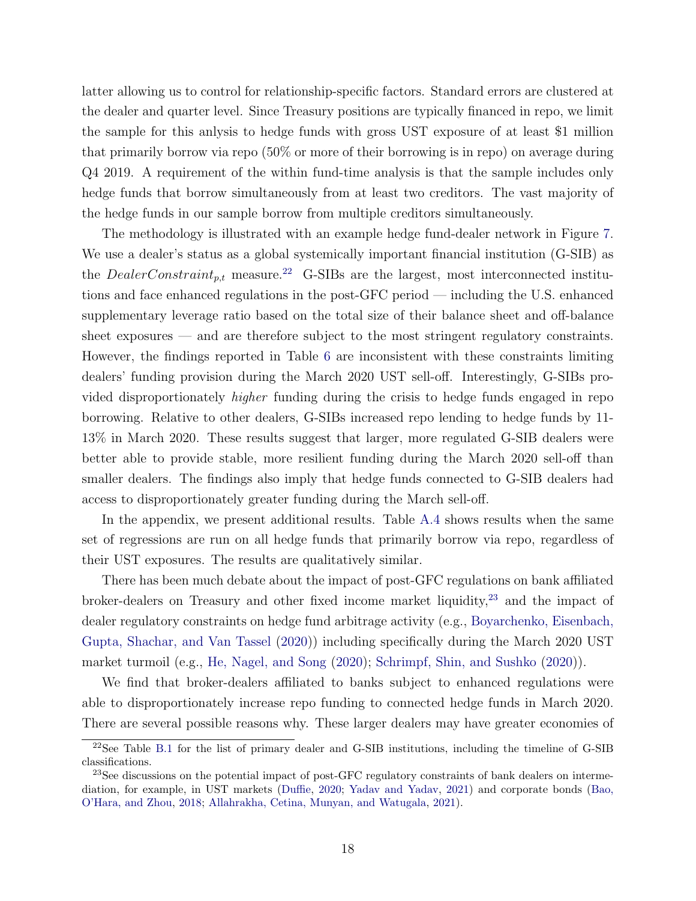latter allowing us to control for relationship-specific factors. Standard errors are clustered at the dealer and quarter level. Since Treasury positions are typically financed in repo, we limit the sample for this anlysis to hedge funds with gross UST exposure of at least \$1 million that primarily borrow via repo (50% or more of their borrowing is in repo) on average during Q4 2019. A requirement of the within fund-time analysis is that the sample includes only hedge funds that borrow simultaneously from at least two creditors. The vast majority of the hedge funds in our sample borrow from multiple creditors simultaneously.

The methodology is illustrated with an example hedge fund-dealer network in Figure [7.](#page-36-0) We use a dealer's status as a global systemically important financial institution (G-SIB) as the DealerConstraint<sub>p,t</sub> measure.<sup>[22](#page-18-0)</sup> G-SIBs are the largest, most interconnected institutions and face enhanced regulations in the post-GFC period — including the U.S. enhanced supplementary leverage ratio based on the total size of their balance sheet and off-balance sheet exposures — and are therefore subject to the most stringent regulatory constraints. However, the findings reported in Table [6](#page-45-0) are inconsistent with these constraints limiting dealers' funding provision during the March 2020 UST sell-off. Interestingly, G-SIBs provided disproportionately higher funding during the crisis to hedge funds engaged in repo borrowing. Relative to other dealers, G-SIBs increased repo lending to hedge funds by 11- 13% in March 2020. These results suggest that larger, more regulated G-SIB dealers were better able to provide stable, more resilient funding during the March 2020 sell-off than smaller dealers. The findings also imply that hedge funds connected to G-SIB dealers had access to disproportionately greater funding during the March sell-off.

In the appendix, we present additional results. Table [A.4](#page-54-0) shows results when the same set of regressions are run on all hedge funds that primarily borrow via repo, regardless of their UST exposures. The results are qualitatively similar.

There has been much debate about the impact of post-GFC regulations on bank affiliated broker-dealers on Treasury and other fixed income market liquidity,  $23$  and the impact of dealer regulatory constraints on hedge fund arbitrage activity (e.g., [Boyarchenko, Eisenbach,](#page-27-4) [Gupta, Shachar, and Van Tassel](#page-27-4) [\(2020\)](#page-27-4)) including specifically during the March 2020 UST market turmoil (e.g., [He, Nagel, and Song](#page-28-0) [\(2020\)](#page-28-0); [Schrimpf, Shin, and Sushko](#page-29-0) [\(2020\)](#page-29-0)).

We find that broker-dealers affiliated to banks subject to enhanced regulations were able to disproportionately increase repo funding to connected hedge funds in March 2020. There are several possible reasons why. These larger dealers may have greater economies of

<span id="page-18-0"></span><sup>22</sup>See Table [B.1](#page-63-0) for the list of primary dealer and G-SIB institutions, including the timeline of G-SIB classifications.

<span id="page-18-1"></span><sup>&</sup>lt;sup>23</sup>See discussions on the potential impact of post-GFC regulatory constraints of bank dealers on intermediation, for example, in UST markets [\(Duffie,](#page-27-1) [2020;](#page-27-1) [Yadav and Yadav,](#page-29-7) [2021\)](#page-29-7) and corporate bonds [\(Bao,](#page-26-9) [O'Hara, and Zhou,](#page-26-9) [2018;](#page-26-9) [Allahrakha, Cetina, Munyan, and Watugala,](#page-26-10) [2021\)](#page-26-10).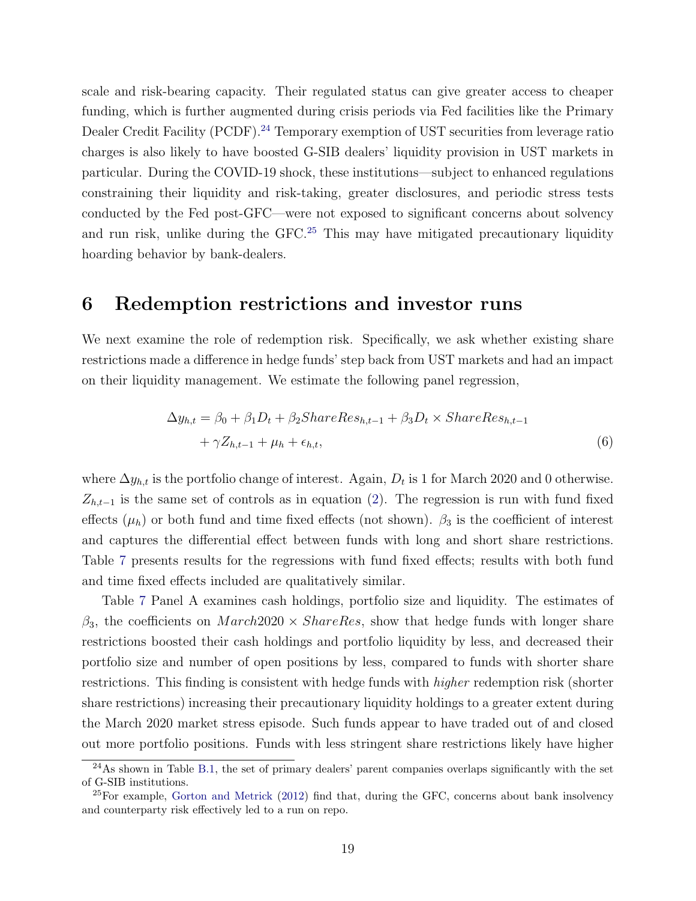scale and risk-bearing capacity. Their regulated status can give greater access to cheaper funding, which is further augmented during crisis periods via Fed facilities like the Primary Dealer Credit Facility (PCDF).<sup>[24](#page-19-1)</sup> Temporary exemption of UST securities from leverage ratio charges is also likely to have boosted G-SIB dealers' liquidity provision in UST markets in particular. During the COVID-19 shock, these institutions—subject to enhanced regulations constraining their liquidity and risk-taking, greater disclosures, and periodic stress tests conducted by the Fed post-GFC—were not exposed to significant concerns about solvency and run risk, unlike during the GFC.<sup>[25](#page-19-2)</sup> This may have mitigated precautionary liquidity hoarding behavior by bank-dealers.

# <span id="page-19-0"></span>6 Redemption restrictions and investor runs

We next examine the role of redemption risk. Specifically, we ask whether existing share restrictions made a difference in hedge funds' step back from UST markets and had an impact on their liquidity management. We estimate the following panel regression,

<span id="page-19-3"></span>
$$
\Delta y_{h,t} = \beta_0 + \beta_1 D_t + \beta_2 ShareRes_{h,t-1} + \beta_3 D_t \times ShareRes_{h,t-1} + \gamma Z_{h,t-1} + \mu_h + \epsilon_{h,t},
$$
\n(6)

where  $\Delta y_{h,t}$  is the portfolio change of interest. Again,  $D_t$  is 1 for March 2020 and 0 otherwise.  $Z_{h,t-1}$  is the same set of controls as in equation [\(2\)](#page-11-0). The regression is run with fund fixed effects ( $\mu_h$ ) or both fund and time fixed effects (not shown).  $\beta_3$  is the coefficient of interest and captures the differential effect between funds with long and short share restrictions. Table [7](#page-46-0) presents results for the regressions with fund fixed effects; results with both fund and time fixed effects included are qualitatively similar.

Table [7](#page-46-0) Panel A examines cash holdings, portfolio size and liquidity. The estimates of  $\beta_3$ , the coefficients on  $March2020 \times ShareRes$ , show that hedge funds with longer share restrictions boosted their cash holdings and portfolio liquidity by less, and decreased their portfolio size and number of open positions by less, compared to funds with shorter share restrictions. This finding is consistent with hedge funds with higher redemption risk (shorter share restrictions) increasing their precautionary liquidity holdings to a greater extent during the March 2020 market stress episode. Such funds appear to have traded out of and closed out more portfolio positions. Funds with less stringent share restrictions likely have higher

<span id="page-19-1"></span> $24$ As shown in Table [B.1,](#page-63-0) the set of primary dealers' parent companies overlaps significantly with the set of G-SIB institutions.

<span id="page-19-2"></span> $^{25}$ For example, [Gorton and Metrick](#page-27-12) [\(2012\)](#page-27-12) find that, during the GFC, concerns about bank insolvency and counterparty risk effectively led to a run on repo.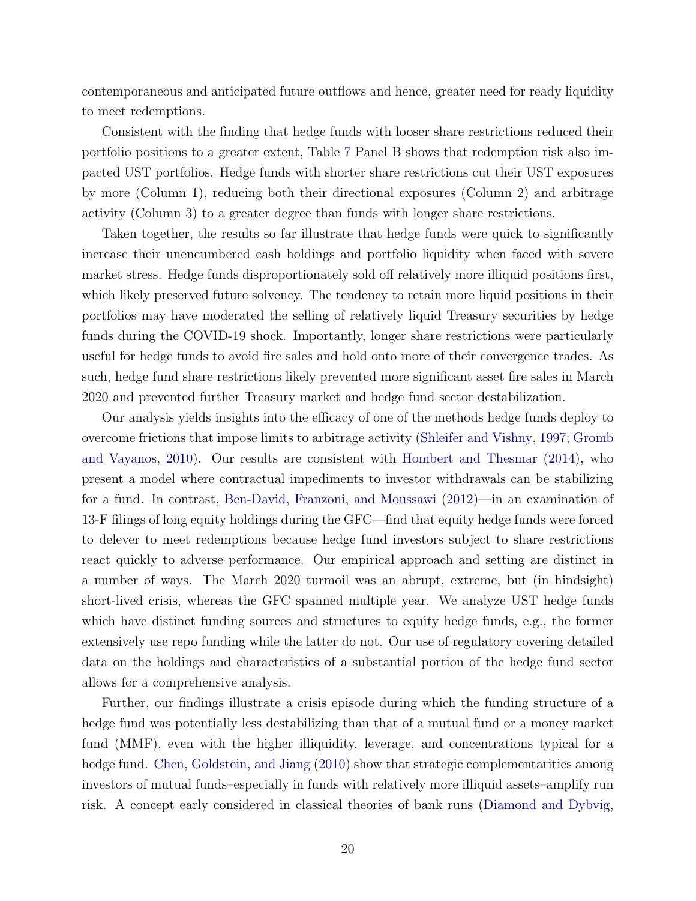contemporaneous and anticipated future outflows and hence, greater need for ready liquidity to meet redemptions.

Consistent with the finding that hedge funds with looser share restrictions reduced their portfolio positions to a greater extent, Table [7](#page-46-0) Panel B shows that redemption risk also impacted UST portfolios. Hedge funds with shorter share restrictions cut their UST exposures by more (Column 1), reducing both their directional exposures (Column 2) and arbitrage activity (Column 3) to a greater degree than funds with longer share restrictions.

Taken together, the results so far illustrate that hedge funds were quick to significantly increase their unencumbered cash holdings and portfolio liquidity when faced with severe market stress. Hedge funds disproportionately sold off relatively more illiquid positions first, which likely preserved future solvency. The tendency to retain more liquid positions in their portfolios may have moderated the selling of relatively liquid Treasury securities by hedge funds during the COVID-19 shock. Importantly, longer share restrictions were particularly useful for hedge funds to avoid fire sales and hold onto more of their convergence trades. As such, hedge fund share restrictions likely prevented more significant asset fire sales in March 2020 and prevented further Treasury market and hedge fund sector destabilization.

Our analysis yields insights into the efficacy of one of the methods hedge funds deploy to overcome frictions that impose limits to arbitrage activity [\(Shleifer and Vishny,](#page-29-5) [1997;](#page-29-5) [Gromb](#page-28-9) [and Vayanos,](#page-28-9) [2010\)](#page-28-9). Our results are consistent with [Hombert and Thesmar](#page-28-4) [\(2014\)](#page-28-4), who present a model where contractual impediments to investor withdrawals can be stabilizing for a fund. In contrast, [Ben-David, Franzoni, and Moussawi](#page-27-5) [\(2012\)](#page-27-5)—in an examination of 13-F filings of long equity holdings during the GFC—find that equity hedge funds were forced to delever to meet redemptions because hedge fund investors subject to share restrictions react quickly to adverse performance. Our empirical approach and setting are distinct in a number of ways. The March 2020 turmoil was an abrupt, extreme, but (in hindsight) short-lived crisis, whereas the GFC spanned multiple year. We analyze UST hedge funds which have distinct funding sources and structures to equity hedge funds, e.g., the former extensively use repo funding while the latter do not. Our use of regulatory covering detailed data on the holdings and characteristics of a substantial portion of the hedge fund sector allows for a comprehensive analysis.

Further, our findings illustrate a crisis episode during which the funding structure of a hedge fund was potentially less destabilizing than that of a mutual fund or a money market fund (MMF), even with the higher illiquidity, leverage, and concentrations typical for a hedge fund. [Chen, Goldstein, and Jiang](#page-27-7) [\(2010\)](#page-27-7) show that strategic complementarities among investors of mutual funds–especially in funds with relatively more illiquid assets–amplify run risk. A concept early considered in classical theories of bank runs [\(Diamond and Dybvig,](#page-27-13)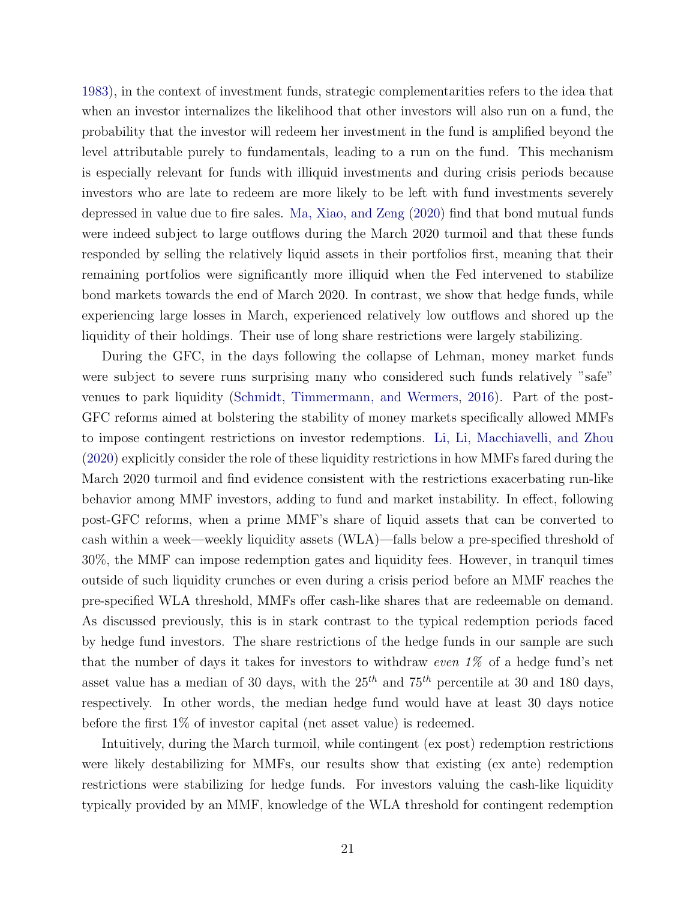[1983\)](#page-27-13), in the context of investment funds, strategic complementarities refers to the idea that when an investor internalizes the likelihood that other investors will also run on a fund, the probability that the investor will redeem her investment in the fund is amplified beyond the level attributable purely to fundamentals, leading to a run on the fund. This mechanism is especially relevant for funds with illiquid investments and during crisis periods because investors who are late to redeem are more likely to be left with fund investments severely depressed in value due to fire sales. [Ma, Xiao, and Zeng](#page-29-3) [\(2020\)](#page-29-3) find that bond mutual funds were indeed subject to large outflows during the March 2020 turmoil and that these funds responded by selling the relatively liquid assets in their portfolios first, meaning that their remaining portfolios were significantly more illiquid when the Fed intervened to stabilize bond markets towards the end of March 2020. In contrast, we show that hedge funds, while experiencing large losses in March, experienced relatively low outflows and shored up the liquidity of their holdings. Their use of long share restrictions were largely stabilizing.

During the GFC, in the days following the collapse of Lehman, money market funds were subject to severe runs surprising many who considered such funds relatively "safe" venues to park liquidity [\(Schmidt, Timmermann, and Wermers,](#page-29-8) [2016\)](#page-29-8). Part of the post-GFC reforms aimed at bolstering the stability of money markets specifically allowed MMFs to impose contingent restrictions on investor redemptions. [Li, Li, Macchiavelli, and Zhou](#page-29-4) [\(2020\)](#page-29-4) explicitly consider the role of these liquidity restrictions in how MMFs fared during the March 2020 turmoil and find evidence consistent with the restrictions exacerbating run-like behavior among MMF investors, adding to fund and market instability. In effect, following post-GFC reforms, when a prime MMF's share of liquid assets that can be converted to cash within a week—weekly liquidity assets (WLA)—falls below a pre-specified threshold of 30%, the MMF can impose redemption gates and liquidity fees. However, in tranquil times outside of such liquidity crunches or even during a crisis period before an MMF reaches the pre-specified WLA threshold, MMFs offer cash-like shares that are redeemable on demand. As discussed previously, this is in stark contrast to the typical redemption periods faced by hedge fund investors. The share restrictions of the hedge funds in our sample are such that the number of days it takes for investors to withdraw *even*  $1\%$  of a hedge fund's net asset value has a median of 30 days, with the  $25<sup>th</sup>$  and  $75<sup>th</sup>$  percentile at 30 and 180 days, respectively. In other words, the median hedge fund would have at least 30 days notice before the first 1% of investor capital (net asset value) is redeemed.

Intuitively, during the March turmoil, while contingent (ex post) redemption restrictions were likely destabilizing for MMFs, our results show that existing (ex ante) redemption restrictions were stabilizing for hedge funds. For investors valuing the cash-like liquidity typically provided by an MMF, knowledge of the WLA threshold for contingent redemption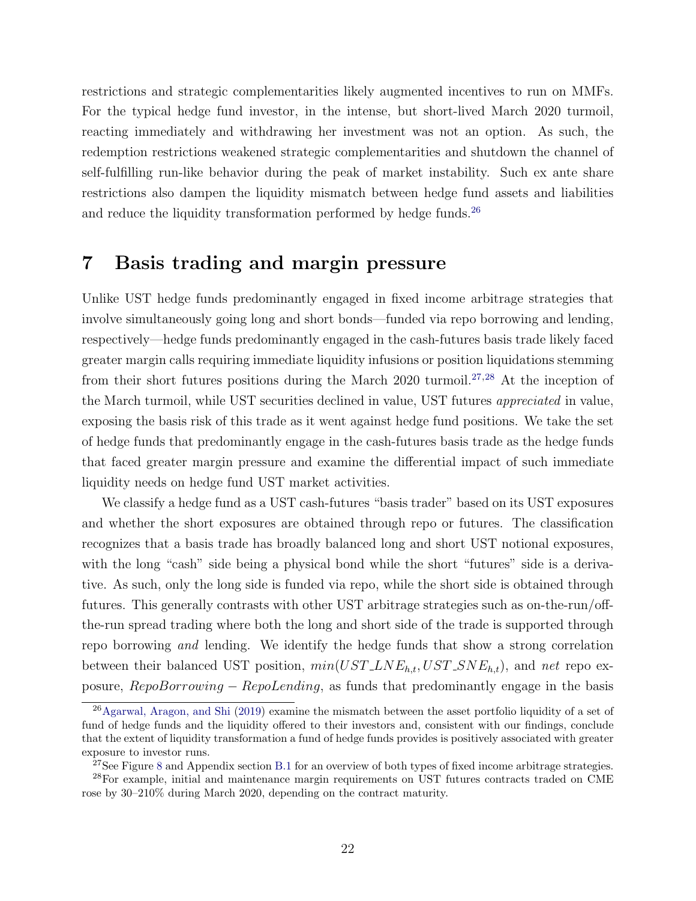restrictions and strategic complementarities likely augmented incentives to run on MMFs. For the typical hedge fund investor, in the intense, but short-lived March 2020 turmoil, reacting immediately and withdrawing her investment was not an option. As such, the redemption restrictions weakened strategic complementarities and shutdown the channel of self-fulfilling run-like behavior during the peak of market instability. Such ex ante share restrictions also dampen the liquidity mismatch between hedge fund assets and liabilities and reduce the liquidity transformation performed by hedge funds.<sup>[26](#page-22-0)</sup>

# 7 Basis trading and margin pressure

Unlike UST hedge funds predominantly engaged in fixed income arbitrage strategies that involve simultaneously going long and short bonds—funded via repo borrowing and lending, respectively—hedge funds predominantly engaged in the cash-futures basis trade likely faced greater margin calls requiring immediate liquidity infusions or position liquidations stemming from their short futures positions during the March 2020 turmoil.<sup>[27,](#page-22-1)[28](#page-22-2)</sup> At the inception of the March turmoil, while UST securities declined in value, UST futures appreciated in value, exposing the basis risk of this trade as it went against hedge fund positions. We take the set of hedge funds that predominantly engage in the cash-futures basis trade as the hedge funds that faced greater margin pressure and examine the differential impact of such immediate liquidity needs on hedge fund UST market activities.

We classify a hedge fund as a UST cash-futures "basis trader" based on its UST exposures and whether the short exposures are obtained through repo or futures. The classification recognizes that a basis trade has broadly balanced long and short UST notional exposures, with the long "cash" side being a physical bond while the short "futures" side is a derivative. As such, only the long side is funded via repo, while the short side is obtained through futures. This generally contrasts with other UST arbitrage strategies such as on-the-run/offthe-run spread trading where both the long and short side of the trade is supported through repo borrowing and lending. We identify the hedge funds that show a strong correlation between their balanced UST position,  $min(UST\_INE_{h,t},UST\_SNE_{h,t})$ , and net repo exposure, RepoBorrowing − RepoLending, as funds that predominantly engage in the basis

<span id="page-22-0"></span><sup>26</sup>[Agarwal, Aragon, and Shi](#page-26-11) [\(2019\)](#page-26-11) examine the mismatch between the asset portfolio liquidity of a set of fund of hedge funds and the liquidity offered to their investors and, consistent with our findings, conclude that the extent of liquidity transformation a fund of hedge funds provides is positively associated with greater exposure to investor runs.

<span id="page-22-2"></span><span id="page-22-1"></span> $^{27}$ See Figure [8](#page-37-0) and Appendix section [B.1](#page-57-0) for an overview of both types of fixed income arbitrage strategies.

<sup>28</sup>For example, initial and maintenance margin requirements on UST futures contracts traded on CME rose by 30–210% during March 2020, depending on the contract maturity.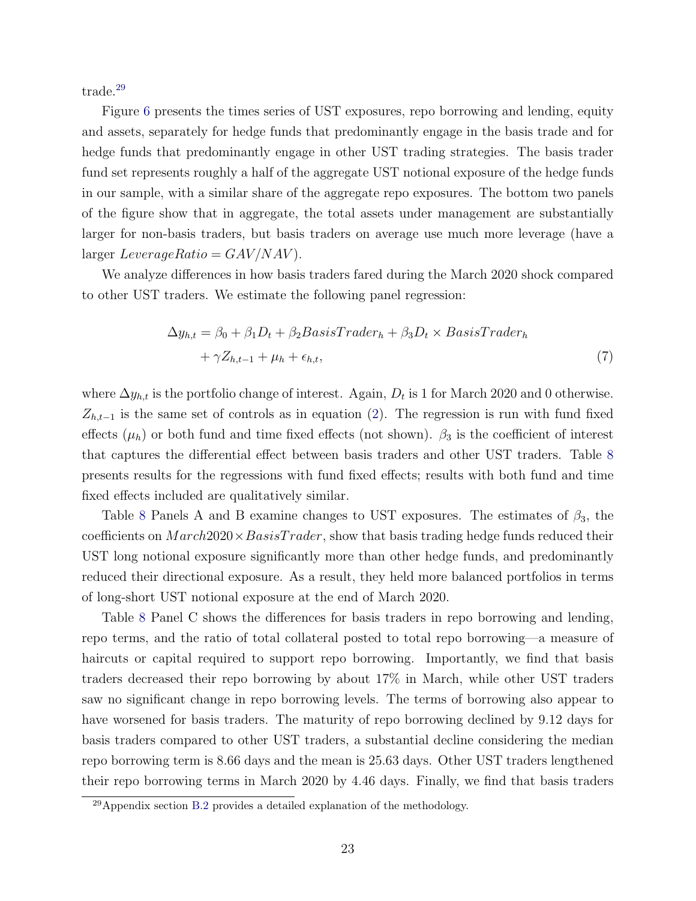trade.[29](#page-23-0)

Figure [6](#page-35-0) presents the times series of UST exposures, repo borrowing and lending, equity and assets, separately for hedge funds that predominantly engage in the basis trade and for hedge funds that predominantly engage in other UST trading strategies. The basis trader fund set represents roughly a half of the aggregate UST notional exposure of the hedge funds in our sample, with a similar share of the aggregate repo exposures. The bottom two panels of the figure show that in aggregate, the total assets under management are substantially larger for non-basis traders, but basis traders on average use much more leverage (have a larger  $LeverageRatio = GAV/NAV$ .

We analyze differences in how basis traders fared during the March 2020 shock compared to other UST traders. We estimate the following panel regression:

<span id="page-23-1"></span>
$$
\Delta y_{h,t} = \beta_0 + \beta_1 D_t + \beta_2 BasisTrader_h + \beta_3 D_t \times BasisTrader_h + \gamma Z_{h,t-1} + \mu_h + \epsilon_{h,t},
$$
\n(7)

where  $\Delta y_{h,t}$  is the portfolio change of interest. Again,  $D_t$  is 1 for March 2020 and 0 otherwise.  $Z_{h,t-1}$  is the same set of controls as in equation [\(2\)](#page-11-0). The regression is run with fund fixed effects  $(\mu_h)$  or both fund and time fixed effects (not shown).  $\beta_3$  is the coefficient of interest that captures the differential effect between basis traders and other UST traders. Table [8](#page-47-0) presents results for the regressions with fund fixed effects; results with both fund and time fixed effects included are qualitatively similar.

Table [8](#page-47-0) Panels A and B examine changes to UST exposures. The estimates of  $\beta_3$ , the coefficients on  $March2020 \times BasisTrader$ , show that basis trading hedge funds reduced their UST long notional exposure significantly more than other hedge funds, and predominantly reduced their directional exposure. As a result, they held more balanced portfolios in terms of long-short UST notional exposure at the end of March 2020.

Table [8](#page-47-0) Panel C shows the differences for basis traders in repo borrowing and lending, repo terms, and the ratio of total collateral posted to total repo borrowing—a measure of haircuts or capital required to support repo borrowing. Importantly, we find that basis traders decreased their repo borrowing by about 17% in March, while other UST traders saw no significant change in repo borrowing levels. The terms of borrowing also appear to have worsened for basis traders. The maturity of repo borrowing declined by 9.12 days for basis traders compared to other UST traders, a substantial decline considering the median repo borrowing term is 8.66 days and the mean is 25.63 days. Other UST traders lengthened their repo borrowing terms in March 2020 by 4.46 days. Finally, we find that basis traders

<span id="page-23-0"></span><sup>29</sup>Appendix section [B.2](#page-59-0) provides a detailed explanation of the methodology.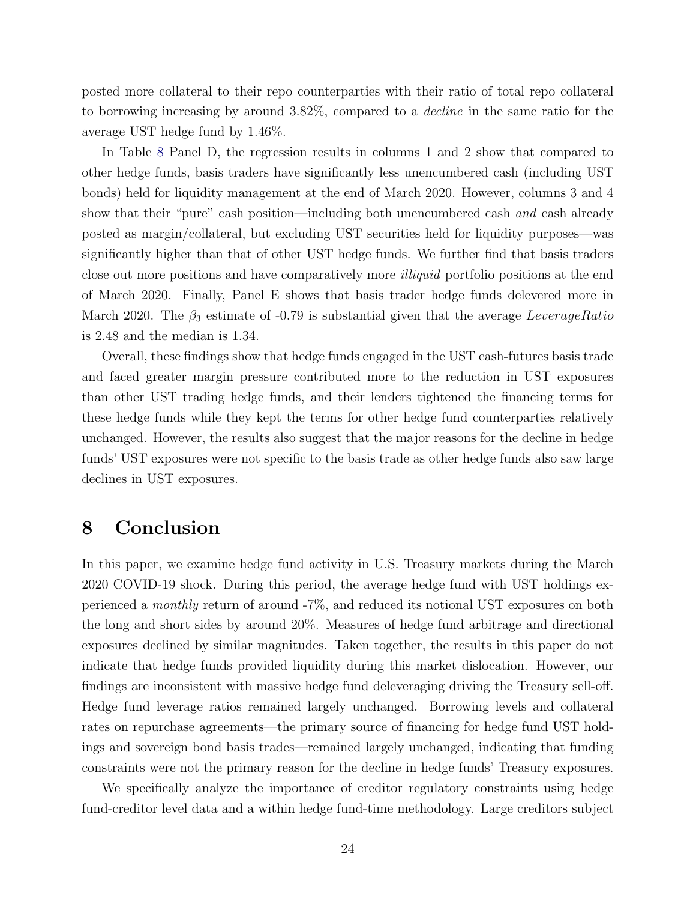posted more collateral to their repo counterparties with their ratio of total repo collateral to borrowing increasing by around 3.82%, compared to a decline in the same ratio for the average UST hedge fund by 1.46%.

In Table [8](#page-47-0) Panel D, the regression results in columns 1 and 2 show that compared to other hedge funds, basis traders have significantly less unencumbered cash (including UST bonds) held for liquidity management at the end of March 2020. However, columns 3 and 4 show that their "pure" cash position—including both unencumbered cash and cash already posted as margin/collateral, but excluding UST securities held for liquidity purposes—was significantly higher than that of other UST hedge funds. We further find that basis traders close out more positions and have comparatively more illiquid portfolio positions at the end of March 2020. Finally, Panel E shows that basis trader hedge funds delevered more in March 2020. The  $\beta_3$  estimate of -0.79 is substantial given that the average LeverageRatio is 2.48 and the median is 1.34.

Overall, these findings show that hedge funds engaged in the UST cash-futures basis trade and faced greater margin pressure contributed more to the reduction in UST exposures than other UST trading hedge funds, and their lenders tightened the financing terms for these hedge funds while they kept the terms for other hedge fund counterparties relatively unchanged. However, the results also suggest that the major reasons for the decline in hedge funds' UST exposures were not specific to the basis trade as other hedge funds also saw large declines in UST exposures.

# 8 Conclusion

In this paper, we examine hedge fund activity in U.S. Treasury markets during the March 2020 COVID-19 shock. During this period, the average hedge fund with UST holdings experienced a monthly return of around -7%, and reduced its notional UST exposures on both the long and short sides by around 20%. Measures of hedge fund arbitrage and directional exposures declined by similar magnitudes. Taken together, the results in this paper do not indicate that hedge funds provided liquidity during this market dislocation. However, our findings are inconsistent with massive hedge fund deleveraging driving the Treasury sell-off. Hedge fund leverage ratios remained largely unchanged. Borrowing levels and collateral rates on repurchase agreements—the primary source of financing for hedge fund UST holdings and sovereign bond basis trades—remained largely unchanged, indicating that funding constraints were not the primary reason for the decline in hedge funds' Treasury exposures.

We specifically analyze the importance of creditor regulatory constraints using hedge fund-creditor level data and a within hedge fund-time methodology. Large creditors subject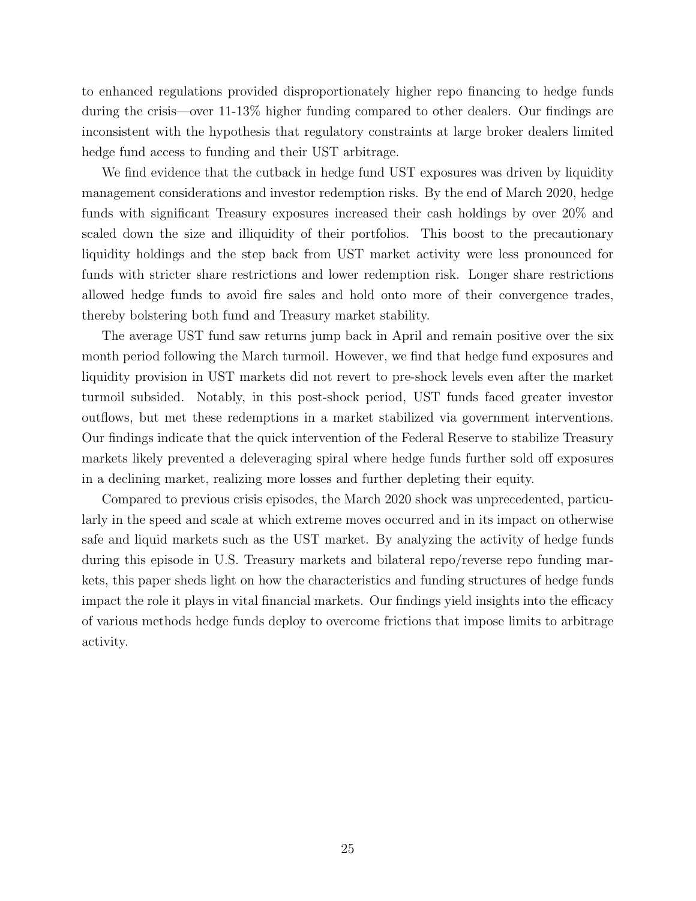to enhanced regulations provided disproportionately higher repo financing to hedge funds during the crisis—over 11-13% higher funding compared to other dealers. Our findings are inconsistent with the hypothesis that regulatory constraints at large broker dealers limited hedge fund access to funding and their UST arbitrage.

We find evidence that the cutback in hedge fund UST exposures was driven by liquidity management considerations and investor redemption risks. By the end of March 2020, hedge funds with significant Treasury exposures increased their cash holdings by over 20% and scaled down the size and illiquidity of their portfolios. This boost to the precautionary liquidity holdings and the step back from UST market activity were less pronounced for funds with stricter share restrictions and lower redemption risk. Longer share restrictions allowed hedge funds to avoid fire sales and hold onto more of their convergence trades, thereby bolstering both fund and Treasury market stability.

The average UST fund saw returns jump back in April and remain positive over the six month period following the March turmoil. However, we find that hedge fund exposures and liquidity provision in UST markets did not revert to pre-shock levels even after the market turmoil subsided. Notably, in this post-shock period, UST funds faced greater investor outflows, but met these redemptions in a market stabilized via government interventions. Our findings indicate that the quick intervention of the Federal Reserve to stabilize Treasury markets likely prevented a deleveraging spiral where hedge funds further sold off exposures in a declining market, realizing more losses and further depleting their equity.

Compared to previous crisis episodes, the March 2020 shock was unprecedented, particularly in the speed and scale at which extreme moves occurred and in its impact on otherwise safe and liquid markets such as the UST market. By analyzing the activity of hedge funds during this episode in U.S. Treasury markets and bilateral repo/reverse repo funding markets, this paper sheds light on how the characteristics and funding structures of hedge funds impact the role it plays in vital financial markets. Our findings yield insights into the efficacy of various methods hedge funds deploy to overcome frictions that impose limits to arbitrage activity.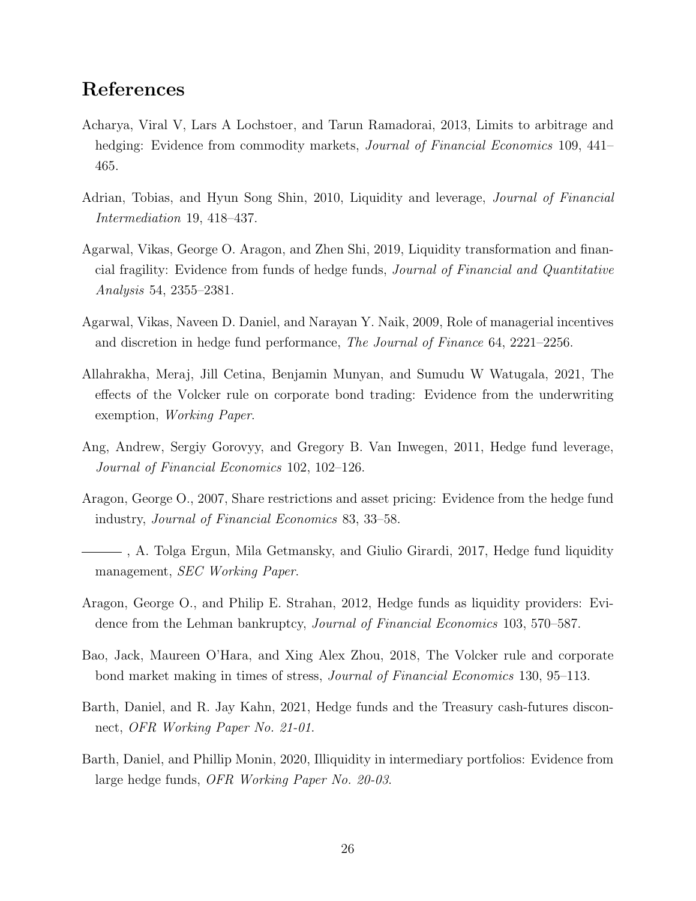# References

- <span id="page-26-6"></span>Acharya, Viral V, Lars A Lochstoer, and Tarun Ramadorai, 2013, Limits to arbitrage and hedging: Evidence from commodity markets, *Journal of Financial Economics* 109, 441– 465.
- <span id="page-26-5"></span>Adrian, Tobias, and Hyun Song Shin, 2010, Liquidity and leverage, Journal of Financial Intermediation 19, 418–437.
- <span id="page-26-11"></span>Agarwal, Vikas, George O. Aragon, and Zhen Shi, 2019, Liquidity transformation and financial fragility: Evidence from funds of hedge funds, Journal of Financial and Quantitative Analysis 54, 2355–2381.
- <span id="page-26-2"></span>Agarwal, Vikas, Naveen D. Daniel, and Narayan Y. Naik, 2009, Role of managerial incentives and discretion in hedge fund performance, The Journal of Finance 64, 2221–2256.
- <span id="page-26-10"></span>Allahrakha, Meraj, Jill Cetina, Benjamin Munyan, and Sumudu W Watugala, 2021, The effects of the Volcker rule on corporate bond trading: Evidence from the underwriting exemption, Working Paper.
- <span id="page-26-7"></span>Ang, Andrew, Sergiy Gorovyy, and Gregory B. Van Inwegen, 2011, Hedge fund leverage, Journal of Financial Economics 102, 102–126.
- <span id="page-26-1"></span>Aragon, George O., 2007, Share restrictions and asset pricing: Evidence from the hedge fund industry, Journal of Financial Economics 83, 33–58.
- <span id="page-26-3"></span>, A. Tolga Ergun, Mila Getmansky, and Giulio Girardi, 2017, Hedge fund liquidity management, SEC Working Paper.
- <span id="page-26-0"></span>Aragon, George O., and Philip E. Strahan, 2012, Hedge funds as liquidity providers: Evidence from the Lehman bankruptcy, Journal of Financial Economics 103, 570–587.
- <span id="page-26-9"></span>Bao, Jack, Maureen O'Hara, and Xing Alex Zhou, 2018, The Volcker rule and corporate bond market making in times of stress, Journal of Financial Economics 130, 95–113.
- <span id="page-26-8"></span>Barth, Daniel, and R. Jay Kahn, 2021, Hedge funds and the Treasury cash-futures disconnect, OFR Working Paper No. 21-01.
- <span id="page-26-4"></span>Barth, Daniel, and Phillip Monin, 2020, Illiquidity in intermediary portfolios: Evidence from large hedge funds, OFR Working Paper No. 20-03.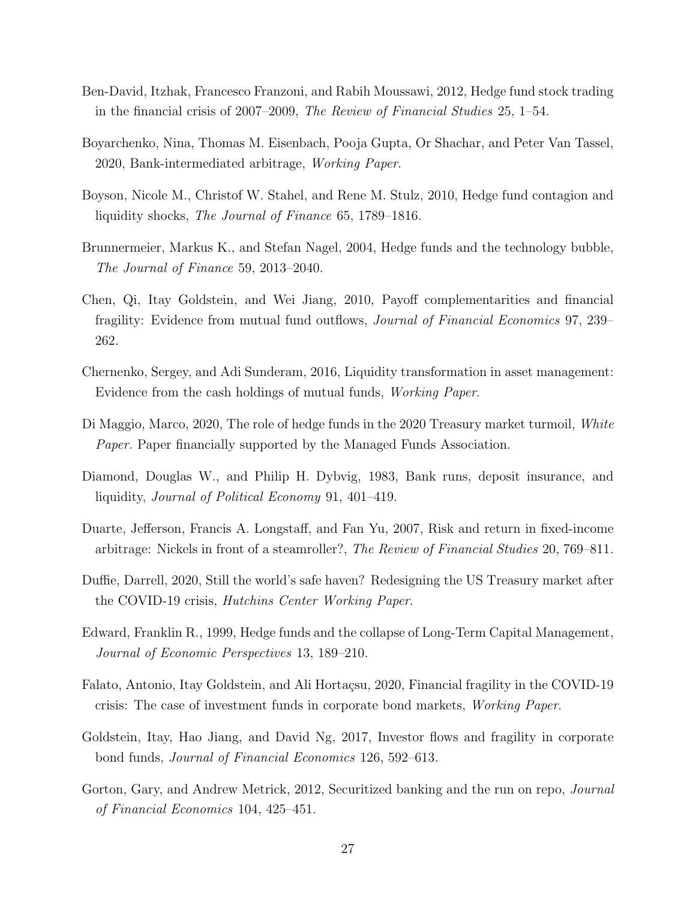- <span id="page-27-5"></span>Ben-David, Itzhak, Francesco Franzoni, and Rabih Moussawi, 2012, Hedge fund stock trading in the financial crisis of 2007–2009, The Review of Financial Studies 25, 1–54.
- <span id="page-27-4"></span>Boyarchenko, Nina, Thomas M. Eisenbach, Pooja Gupta, Or Shachar, and Peter Van Tassel, 2020, Bank-intermediated arbitrage, Working Paper.
- <span id="page-27-10"></span>Boyson, Nicole M., Christof W. Stahel, and Rene M. Stulz, 2010, Hedge fund contagion and liquidity shocks, The Journal of Finance 65, 1789–1816.
- <span id="page-27-9"></span>Brunnermeier, Markus K., and Stefan Nagel, 2004, Hedge funds and the technology bubble, The Journal of Finance 59, 2013–2040.
- <span id="page-27-7"></span>Chen, Qi, Itay Goldstein, and Wei Jiang, 2010, Payoff complementarities and financial fragility: Evidence from mutual fund outflows, Journal of Financial Economics 97, 239– 262.
- <span id="page-27-6"></span>Chernenko, Sergey, and Adi Sunderam, 2016, Liquidity transformation in asset management: Evidence from the cash holdings of mutual funds, Working Paper.
- <span id="page-27-0"></span>Di Maggio, Marco, 2020, The role of hedge funds in the 2020 Treasury market turmoil, White Paper. Paper financially supported by the Managed Funds Association.
- <span id="page-27-13"></span>Diamond, Douglas W., and Philip H. Dybvig, 1983, Bank runs, deposit insurance, and liquidity, Journal of Political Economy 91, 401–419.
- <span id="page-27-3"></span>Duarte, Jefferson, Francis A. Longstaff, and Fan Yu, 2007, Risk and return in fixed-income arbitrage: Nickels in front of a steamroller?, The Review of Financial Studies 20, 769–811.
- <span id="page-27-1"></span>Duffie, Darrell, 2020, Still the world's safe haven? Redesigning the US Treasury market after the COVID-19 crisis, Hutchins Center Working Paper.
- <span id="page-27-2"></span>Edward, Franklin R., 1999, Hedge funds and the collapse of Long-Term Capital Management, Journal of Economic Perspectives 13, 189–210.
- <span id="page-27-11"></span>Falato, Antonio, Itay Goldstein, and Ali Hortaçsu, 2020, Financial fragility in the COVID-19 crisis: The case of investment funds in corporate bond markets, Working Paper.
- <span id="page-27-8"></span>Goldstein, Itay, Hao Jiang, and David Ng, 2017, Investor flows and fragility in corporate bond funds, Journal of Financial Economics 126, 592–613.
- <span id="page-27-12"></span>Gorton, Gary, and Andrew Metrick, 2012, Securitized banking and the run on repo, Journal of Financial Economics 104, 425–451.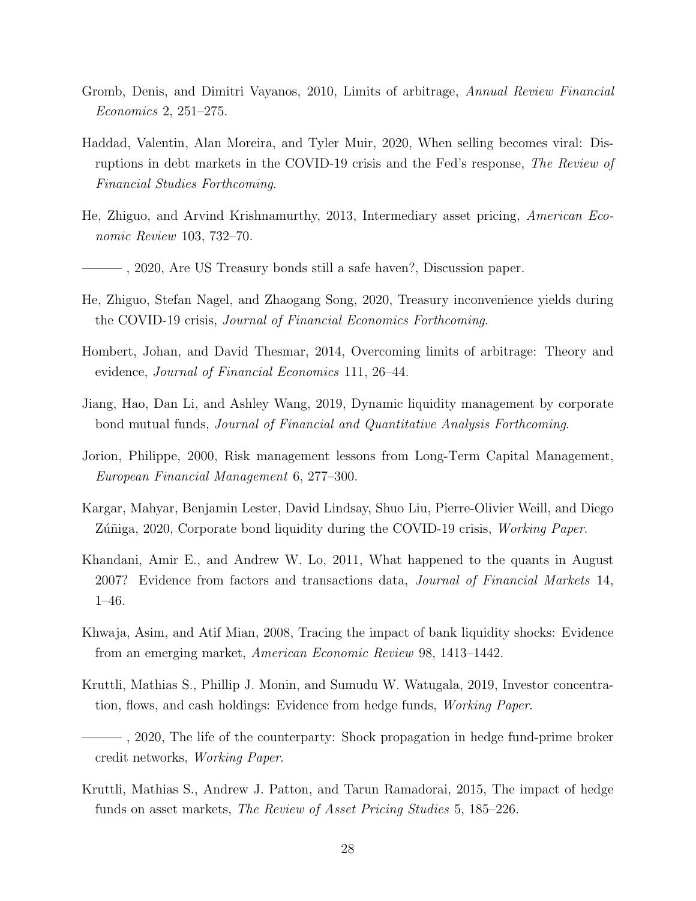- <span id="page-28-9"></span>Gromb, Denis, and Dimitri Vayanos, 2010, Limits of arbitrage, Annual Review Financial Economics 2, 251–275.
- <span id="page-28-6"></span>Haddad, Valentin, Alan Moreira, and Tyler Muir, 2020, When selling becomes viral: Disruptions in debt markets in the COVID-19 crisis and the Fed's response, The Review of Financial Studies Forthcoming.
- <span id="page-28-10"></span>He, Zhiguo, and Arvind Krishnamurthy, 2013, Intermediary asset pricing, American Economic Review 103, 732–70.
- <span id="page-28-13"></span>, 2020, Are US Treasury bonds still a safe haven?, Discussion paper.
- <span id="page-28-0"></span>He, Zhiguo, Stefan Nagel, and Zhaogang Song, 2020, Treasury inconvenience yields during the COVID-19 crisis, Journal of Financial Economics Forthcoming.
- <span id="page-28-4"></span>Hombert, Johan, and David Thesmar, 2014, Overcoming limits of arbitrage: Theory and evidence, Journal of Financial Economics 111, 26–44.
- <span id="page-28-5"></span>Jiang, Hao, Dan Li, and Ashley Wang, 2019, Dynamic liquidity management by corporate bond mutual funds, Journal of Financial and Quantitative Analysis Forthcoming.
- <span id="page-28-1"></span>Jorion, Philippe, 2000, Risk management lessons from Long-Term Capital Management, European Financial Management 6, 277–300.
- <span id="page-28-12"></span>Kargar, Mahyar, Benjamin Lester, David Lindsay, Shuo Liu, Pierre-Olivier Weill, and Diego Zúñiga, 2020, Corporate bond liquidity during the COVID-19 crisis, *Working Paper*.
- <span id="page-28-7"></span>Khandani, Amir E., and Andrew W. Lo, 2011, What happened to the quants in August 2007? Evidence from factors and transactions data, Journal of Financial Markets 14, 1–46.
- <span id="page-28-3"></span>Khwaja, Asim, and Atif Mian, 2008, Tracing the impact of bank liquidity shocks: Evidence from an emerging market, American Economic Review 98, 1413–1442.
- <span id="page-28-8"></span>Kruttli, Mathias S., Phillip J. Monin, and Sumudu W. Watugala, 2019, Investor concentration, flows, and cash holdings: Evidence from hedge funds, Working Paper.
- <span id="page-28-2"></span>, 2020, The life of the counterparty: Shock propagation in hedge fund-prime broker credit networks, Working Paper.
- <span id="page-28-11"></span>Kruttli, Mathias S., Andrew J. Patton, and Tarun Ramadorai, 2015, The impact of hedge funds on asset markets, The Review of Asset Pricing Studies 5, 185–226.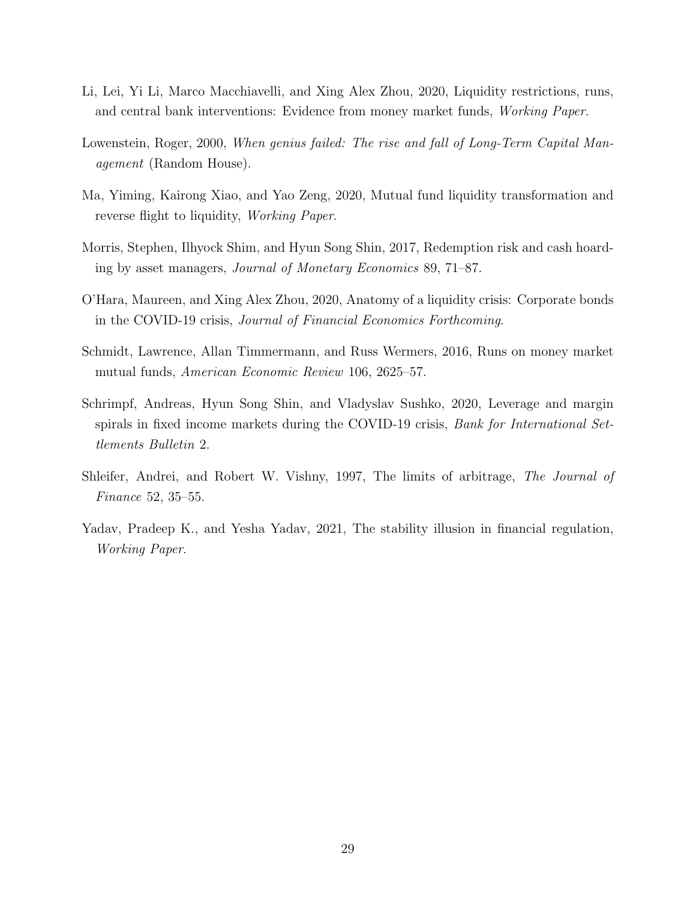- <span id="page-29-4"></span>Li, Lei, Yi Li, Marco Macchiavelli, and Xing Alex Zhou, 2020, Liquidity restrictions, runs, and central bank interventions: Evidence from money market funds, Working Paper.
- <span id="page-29-1"></span>Lowenstein, Roger, 2000, When genius failed: The rise and fall of Long-Term Capital Management (Random House).
- <span id="page-29-3"></span>Ma, Yiming, Kairong Xiao, and Yao Zeng, 2020, Mutual fund liquidity transformation and reverse flight to liquidity, Working Paper.
- <span id="page-29-2"></span>Morris, Stephen, Ilhyock Shim, and Hyun Song Shin, 2017, Redemption risk and cash hoarding by asset managers, Journal of Monetary Economics 89, 71–87.
- <span id="page-29-6"></span>O'Hara, Maureen, and Xing Alex Zhou, 2020, Anatomy of a liquidity crisis: Corporate bonds in the COVID-19 crisis, Journal of Financial Economics Forthcoming.
- <span id="page-29-8"></span>Schmidt, Lawrence, Allan Timmermann, and Russ Wermers, 2016, Runs on money market mutual funds, American Economic Review 106, 2625–57.
- <span id="page-29-0"></span>Schrimpf, Andreas, Hyun Song Shin, and Vladyslav Sushko, 2020, Leverage and margin spirals in fixed income markets during the COVID-19 crisis, *Bank for International Set*tlements Bulletin 2.
- <span id="page-29-5"></span>Shleifer, Andrei, and Robert W. Vishny, 1997, The limits of arbitrage, The Journal of Finance 52, 35–55.
- <span id="page-29-7"></span>Yadav, Pradeep K., and Yesha Yadav, 2021, The stability illusion in financial regulation, Working Paper.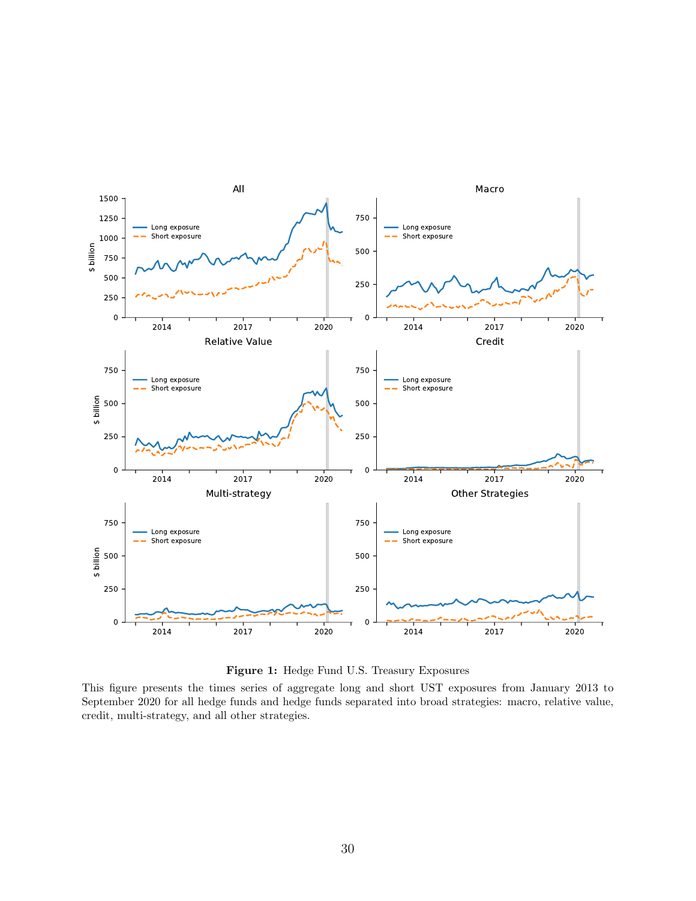<span id="page-30-0"></span>

Figure 1: Hedge Fund U.S. Treasury Exposures

This figure presents the times series of aggregate long and short UST exposures from January 2013 to September 2020 for all hedge funds and hedge funds separated into broad strategies: macro, relative value, credit, multi-strategy, and all other strategies.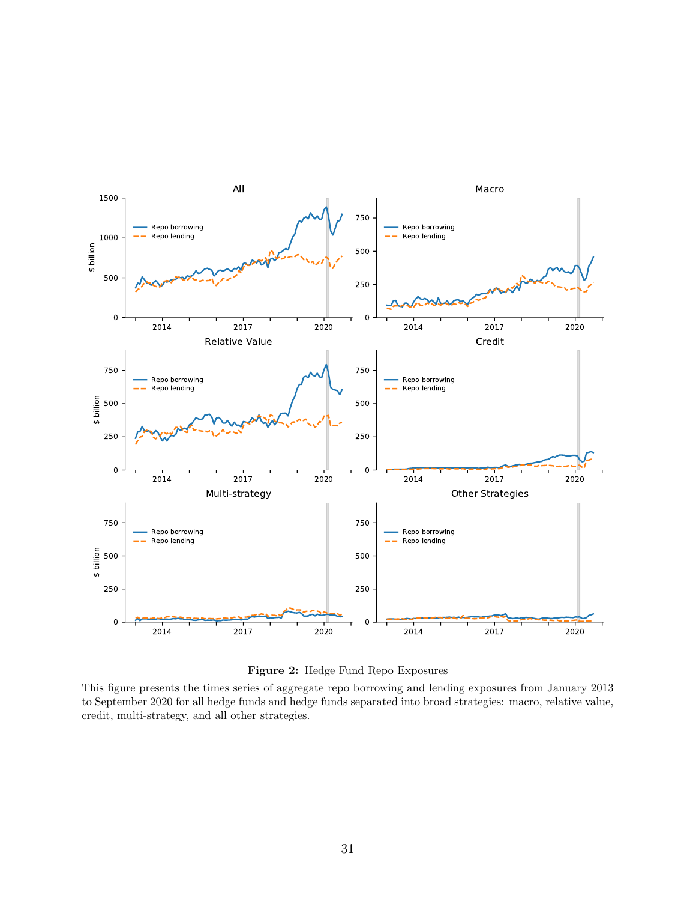<span id="page-31-0"></span>

Figure 2: Hedge Fund Repo Exposures

This figure presents the times series of aggregate repo borrowing and lending exposures from January 2013 to September 2020 for all hedge funds and hedge funds separated into broad strategies: macro, relative value, credit, multi-strategy, and all other strategies.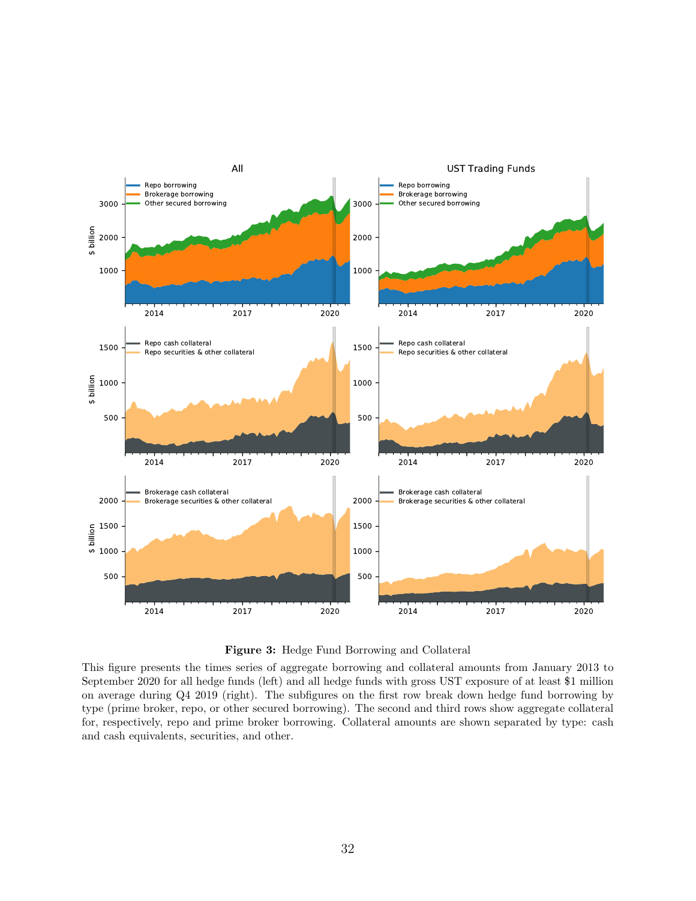<span id="page-32-0"></span>

Figure 3: Hedge Fund Borrowing and Collateral

This figure presents the times series of aggregate borrowing and collateral amounts from January 2013 to September 2020 for all hedge funds (left) and all hedge funds with gross UST exposure of at least \$1 million on average during Q4 2019 (right). The subfigures on the first row break down hedge fund borrowing by type (prime broker, repo, or other secured borrowing). The second and third rows show aggregate collateral for, respectively, repo and prime broker borrowing. Collateral amounts are shown separated by type: cash and cash equivalents, securities, and other.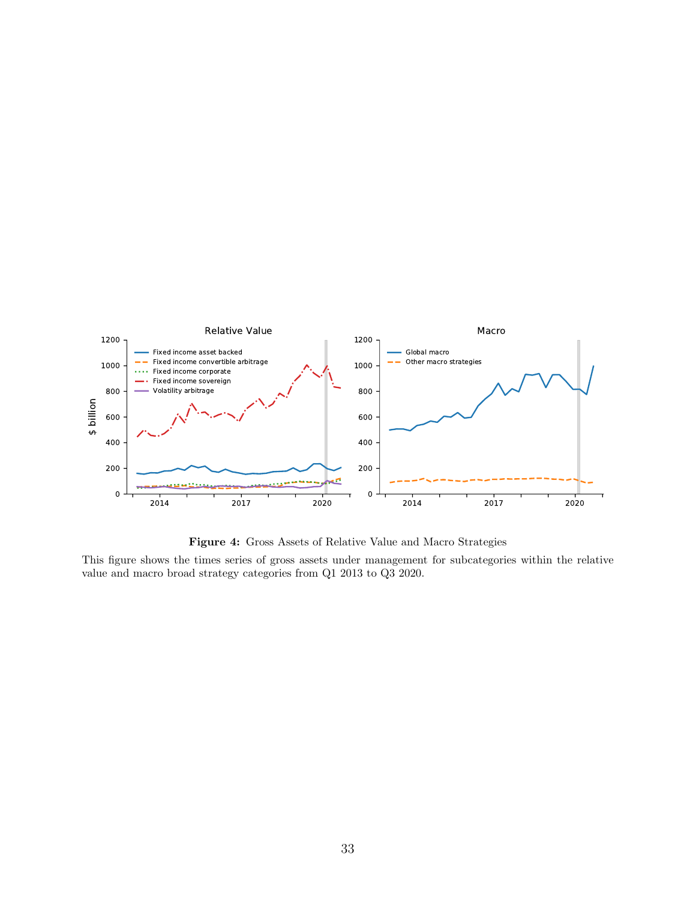

Figure 4: Gross Assets of Relative Value and Macro Strategies

This figure shows the times series of gross assets under management for subcategories within the relative value and macro broad strategy categories from Q1 2013 to Q3 2020.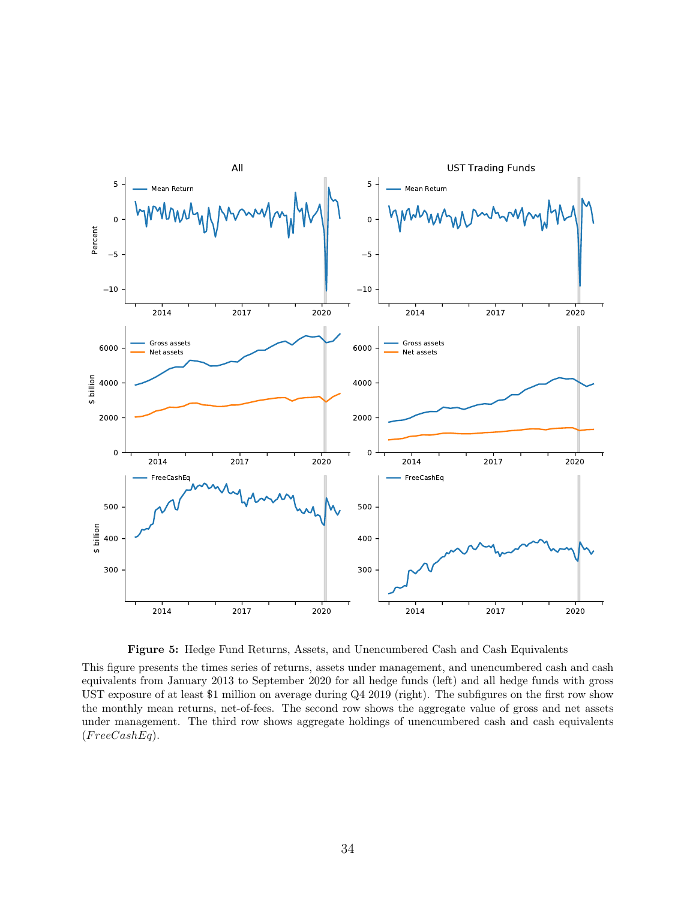<span id="page-34-0"></span>

Figure 5: Hedge Fund Returns, Assets, and Unencumbered Cash and Cash Equivalents

This figure presents the times series of returns, assets under management, and unencumbered cash and cash equivalents from January 2013 to September 2020 for all hedge funds (left) and all hedge funds with gross UST exposure of at least \$1 million on average during Q4 2019 (right). The subfigures on the first row show the monthly mean returns, net-of-fees. The second row shows the aggregate value of gross and net assets under management. The third row shows aggregate holdings of unencumbered cash and cash equivalents  $(FreeCashEq).$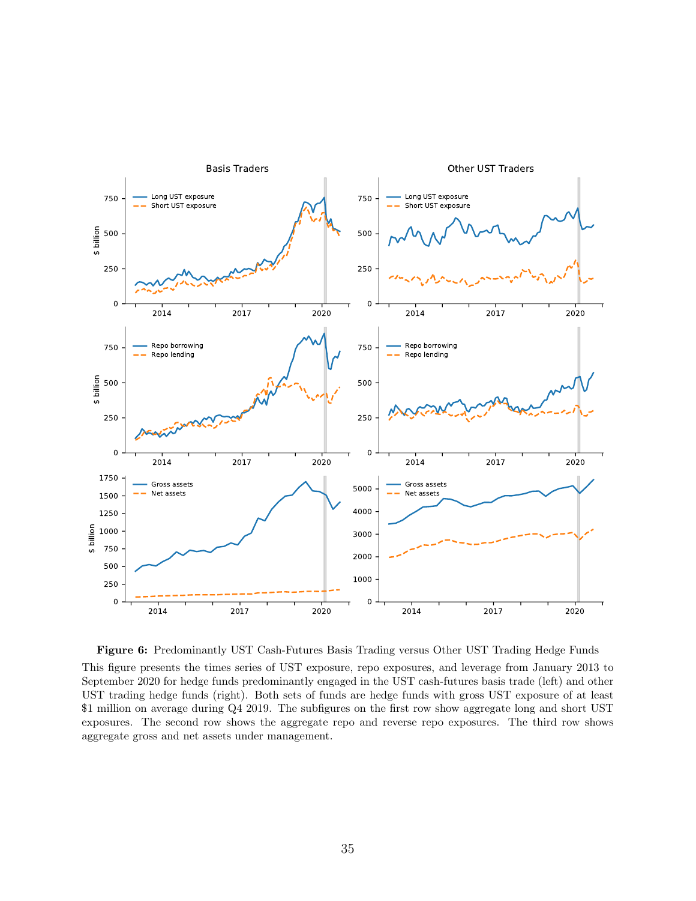<span id="page-35-0"></span>

Figure 6: Predominantly UST Cash-Futures Basis Trading versus Other UST Trading Hedge Funds

This figure presents the times series of UST exposure, repo exposures, and leverage from January 2013 to September 2020 for hedge funds predominantly engaged in the UST cash-futures basis trade (left) and other UST trading hedge funds (right). Both sets of funds are hedge funds with gross UST exposure of at least \$1 million on average during Q4 2019. The subfigures on the first row show aggregate long and short UST exposures. The second row shows the aggregate repo and reverse repo exposures. The third row shows aggregate gross and net assets under management.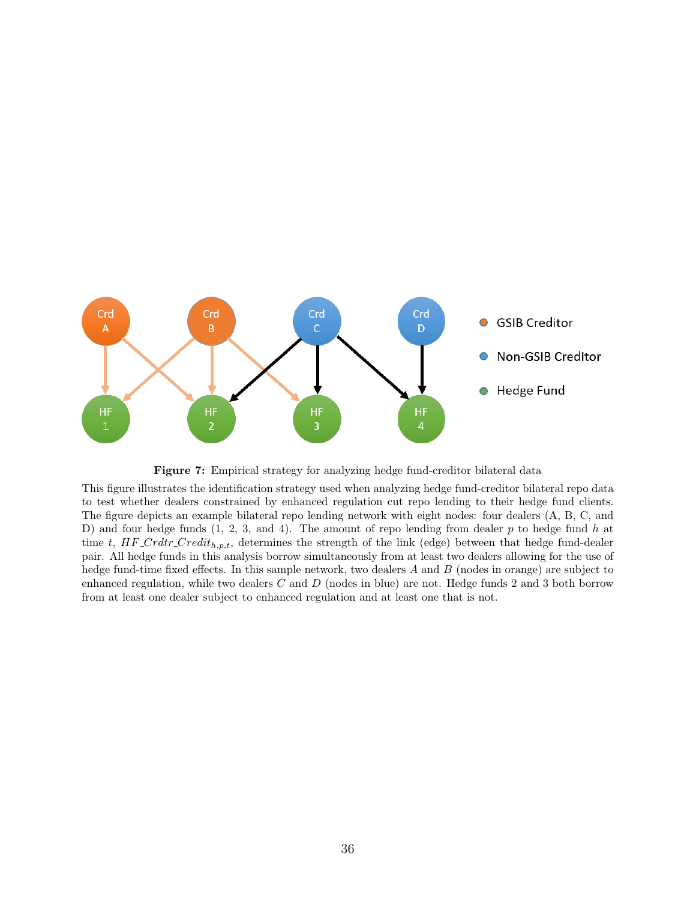<span id="page-36-0"></span>



This figure illustrates the identification strategy used when analyzing hedge fund-creditor bilateral repo data to test whether dealers constrained by enhanced regulation cut repo lending to their hedge fund clients. The figure depicts an example bilateral repo lending network with eight nodes: four dealers (A, B, C, and D) and four hedge funds  $(1, 2, 3, \text{ and } 4)$ . The amount of repo lending from dealer p to hedge fund h at time t,  $HF_Crdr_Credit_{h,p,t}$ , determines the strength of the link (edge) between that hedge fund-dealer pair. All hedge funds in this analysis borrow simultaneously from at least two dealers allowing for the use of hedge fund-time fixed effects. In this sample network, two dealers A and B (nodes in orange) are subject to enhanced regulation, while two dealers C and D (nodes in blue) are not. Hedge funds 2 and 3 both borrow from at least one dealer subject to enhanced regulation and at least one that is not.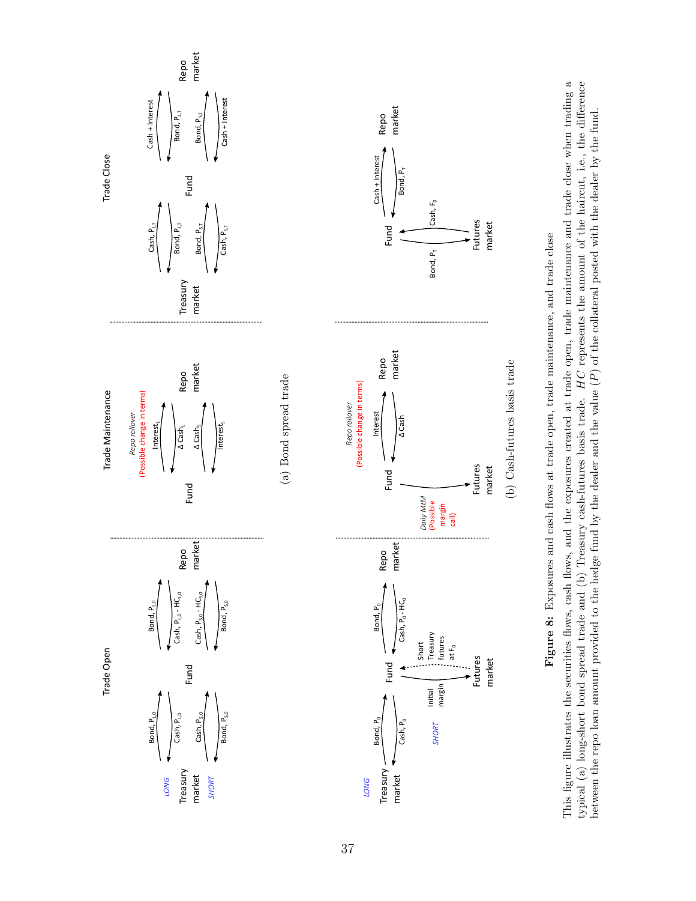<span id="page-37-0"></span>

This figure illustrates the securities flows, cash flows, and the exposures created at trade open, trade maintenance and trade close when trading a typical (a) long-short bond spread trade and (b) Treasury cash-futures basis trade. HC represents the amount of the haircut, i.e., the difference This figure illustrates the securities flows, cash flows, and the exposures created at trade open, trade maintenance and trade close when trading a typical (a) long-short bond spread trade and (b) Treasury cash-futures basis trade. HC represents the amount of the haircut, i.e., the difference between the repo loan amount provided to the hedge fund by the dealer and the value  $(P)$  of the collateral posted with the dealer by the fund. between the repo loan amount provided to the hedge fund by the dealer and the value  $(P)$  of the collateral posted with the dealer by the fund.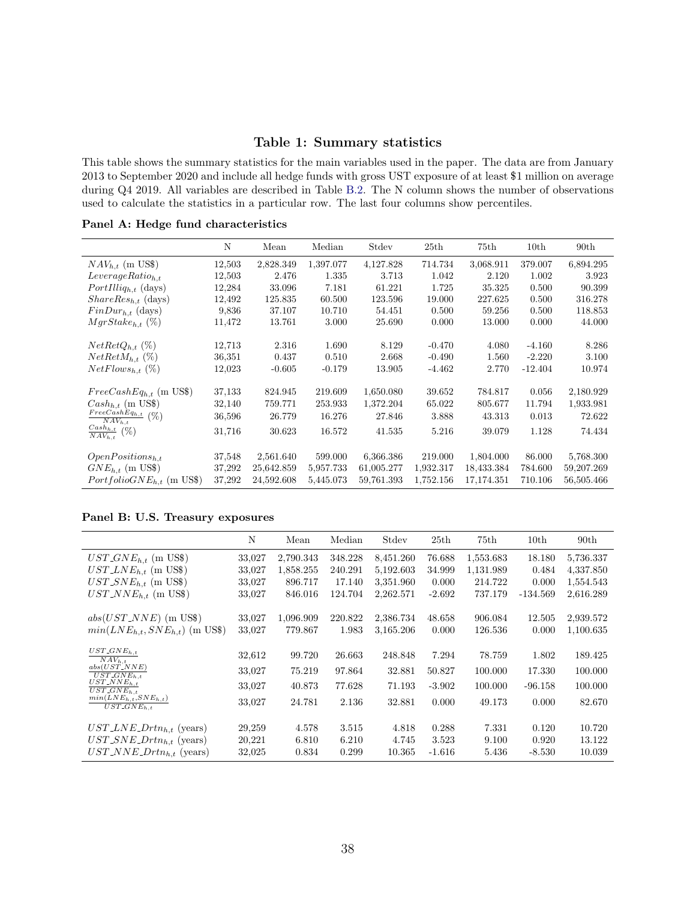## Table 1: Summary statistics

<span id="page-38-0"></span>This table shows the summary statistics for the main variables used in the paper. The data are from January 2013 to September 2020 and include all hedge funds with gross UST exposure of at least \$1 million on average during Q4 2019. All variables are described in Table [B.2.](#page-64-0) The N column shows the number of observations used to calculate the statistics in a particular row. The last four columns show percentiles.

|                                          | N      | Mean       | Median    | Stdev      | 25th      | 75th       | 10 <sub>th</sub> | 90 <sub>th</sub> |
|------------------------------------------|--------|------------|-----------|------------|-----------|------------|------------------|------------------|
| $NAV_{h.t}$ (m US\$)                     | 12,503 | 2,828.349  | 1,397.077 | 4,127.828  | 714.734   | 3.068.911  | 379.007          | 6,894.295        |
| $LeverageRatio_{h.t.}$                   | 12,503 | 2.476      | 1.335     | 3.713      | 1.042     | 2.120      | 1.002            | 3.923            |
| $Portilliq_{h,t}$ (days)                 | 12,284 | 33.096     | 7.181     | 61.221     | 1.725     | 35.325     | 0.500            | 90.399           |
| $ShareRes_{h,t}$ (days)                  | 12,492 | 125.835    | 60.500    | 123.596    | 19.000    | 227.625    | 0.500            | 316.278          |
| $FinDur_{h,t}$ (days)                    | 9,836  | 37.107     | 10.710    | 54.451     | 0.500     | 59.256     | 0.500            | 118.853          |
| $MqrStake_{h.t.} (\%)$                   | 11,472 | 13.761     | 3.000     | 25.690     | 0.000     | 13.000     | 0.000            | 44.000           |
|                                          |        |            |           |            |           |            |                  |                  |
| $NetRetQ_{h,t}$ (%)                      | 12,713 | 2.316      | 1.690     | 8.129      | $-0.470$  | 4.080      | $-4.160$         | 8.286            |
| $NetRetM_{h,t}$ (%)                      | 36,351 | 0.437      | 0.510     | 2.668      | $-0.490$  | 1.560      | $-2.220$         | 3.100            |
| $NetFlows_{h,t}$ (%)                     | 12,023 | $-0.605$   | $-0.179$  | 13.905     | $-4.462$  | 2.770      | $-12.404$        | 10.974           |
|                                          |        |            |           |            |           |            |                  |                  |
| $FreeCashEq_{h.t}$ (m US\$)              | 37,133 | 824.945    | 219.609   | 1,650.080  | 39.652    | 784.817    | 0.056            | 2,180.929        |
| $Cash_{h,t}$ (m US\$)                    | 32,140 | 759.771    | 253.933   | 1,372.204  | 65.022    | 805.677    | 11.794           | 1,933.981        |
| $\frac{FreeCashEq_{h,t}}{NAV_{h,t}}$ (%) | 36,596 | 26.779     | 16.276    | 27.846     | 3.888     | 43.313     | 0.013            | 72.622           |
| $\frac{Cash_{h,t}}{NAV_{h,t}}$ (%)       | 31,716 | 30.623     | 16.572    | 41.535     | 5.216     | 39.079     | 1.128            | 74.434           |
|                                          |        |            |           |            |           |            |                  |                  |
| $OpenPositions_{h,t}$                    | 37,548 | 2,561.640  | 599.000   | 6,366.386  | 219.000   | 1,804.000  | 86.000           | 5,768.300        |
| $GNE_{h,t}$ (m US\$)                     | 37,292 | 25,642.859 | 5,957.733 | 61,005.277 | 1,932.317 | 18,433.384 | 784.600          | 59,207.269       |
| $Portfolio GNE_{h.t}$ (m US\$)           | 37,292 | 24,592.608 | 5,445.073 | 59,761.393 | 1,752.156 | 17,174.351 | 710.106          | 56,505.466       |

Panel A: Hedge fund characteristics

#### Panel B: U.S. Treasury exposures

|                                                 | N      | Mean      | Median  | Stdev     | 25th     | 75th      | 10 <sub>th</sub> | 90 <sub>th</sub> |
|-------------------------------------------------|--------|-----------|---------|-----------|----------|-----------|------------------|------------------|
| $UST\_GNE_{h,t}$ (m US\$)                       | 33,027 | 2,790.343 | 348.228 | 8,451.260 | 76.688   | 1,553.683 | 18.180           | 5,736.337        |
| $UST\_LNE_{h,t}$ (m US\$)                       | 33,027 | 1,858.255 | 240.291 | 5,192.603 | 34.999   | 1,131.989 | 0.484            | 4,337.850        |
| $UST\_SNE_{h,t}$ (m US\$)                       | 33,027 | 896.717   | 17.140  | 3,351.960 | 0.000    | 214.722   | 0.000            | 1,554.543        |
| $UST\_NNE_{h,t}$ (m US\$)                       | 33,027 | 846.016   | 124.704 | 2,262.571 | $-2.692$ | 737.179   | $-134.569$       | 2,616.289        |
|                                                 |        |           |         |           |          |           |                  |                  |
| $abs(UST\_NNE)$ (m US\$)                        | 33,027 | 1,096.909 | 220.822 | 2,386.734 | 48.658   | 906.084   | 12.505           | 2,939.572        |
| $min(LNE_{h,t}, SNE_{h,t})$ (m US\$)            | 33,027 | 779.867   | 1.983   | 3,165.206 | 0.000    | 126.536   | 0.000            | 1,100.635        |
|                                                 |        |           |         |           |          |           |                  |                  |
| $UST\_GNE_{h.t}$<br>$\overline{N}AV_{h,t}$      | 32,612 | 99.720    | 26.663  | 248.848   | 7.294    | 78.759    | 1.802            | 189.425          |
| $abs(UST\_NNE)$<br>$UST_GNE_{h.t.}$             | 33,027 | 75.219    | 97.864  | 32.881    | 50.827   | 100.000   | 17.330           | 100.000          |
| $UST\_NNE_{h,t}$<br>$\overline{UST\_GNE}_{h,t}$ | 33,027 | 40.873    | 77.628  | 71.193    | $-3.902$ | 100.000   | $-96.158$        | 100.000          |
| $min(LNE_{h,t}, SNE_{h,t})$<br>$UST\_GNE_{h,t}$ | 33,027 | 24.781    | 2.136   | 32.881    | 0.000    | 49.173    | 0.000            | 82.670           |
|                                                 |        |           |         |           |          |           |                  |                  |
| $UST\_LNE\_Drtn_{h,t}$ (years)                  | 29,259 | 4.578     | 3.515   | 4.818     | 0.288    | 7.331     | 0.120            | 10.720           |
| $UST\_SNE\_Drtn_{h.t}$ (years)                  | 20,221 | 6.810     | 6.210   | 4.745     | 3.523    | 9.100     | 0.920            | 13.122           |
| $UST\_NNE\_Drtn_{h,t}$ (years)                  | 32,025 | 0.834     | 0.299   | 10.365    | $-1.616$ | 5.436     | $-8.530$         | 10.039           |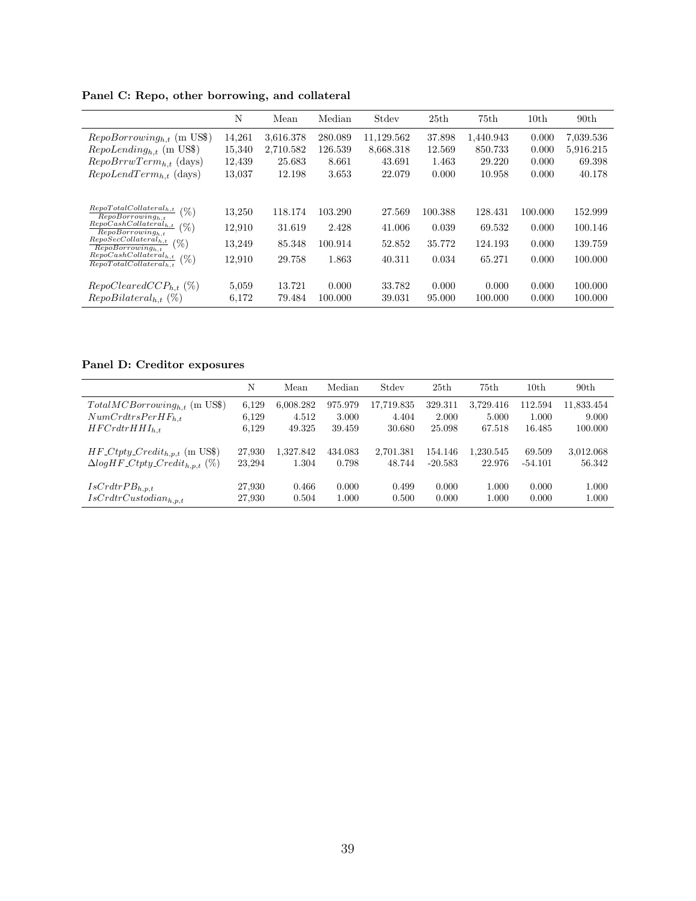|                                                                                                                                                                                                                                                                                                          | N                                    | Mean                                  | Median                               | Stdev                                | 25th                                | 75 <sub>th</sub>                       | 10 <sub>th</sub>                   | 90 <sub>th</sub>                         |
|----------------------------------------------------------------------------------------------------------------------------------------------------------------------------------------------------------------------------------------------------------------------------------------------------------|--------------------------------------|---------------------------------------|--------------------------------------|--------------------------------------|-------------------------------------|----------------------------------------|------------------------------------|------------------------------------------|
| $RepoBorrowing_{h,t}$ (m US\$)                                                                                                                                                                                                                                                                           | 14,261                               | 3,616.378                             | 280.089                              | 11,129.562                           | 37.898                              | 1,440.943                              | 0.000                              | 7,039.536                                |
| $Repolending_{h,t}$ (m US\$)                                                                                                                                                                                                                                                                             | 15,340                               | 2,710.582                             | 126.539                              | 8.668.318                            | 12.569                              | 850.733                                | 0.000                              | 5,916.215                                |
| $RepoBrrwTerm_{h.t}$ (days)                                                                                                                                                                                                                                                                              | 12,439                               | 25.683                                | 8.661                                | 43.691                               | 1.463                               | 29.220                                 | 0.000                              | 69.398                                   |
| $RepoLendTerm_{h,t}$ (days)                                                                                                                                                                                                                                                                              | 13,037                               | 12.198                                | 3.653                                | 22.079                               | 0.000                               | 10.958                                 | 0.000                              | 40.178                                   |
| $RepoTotalCollateral_{h,t}$<br>$(\%)$<br>$\overline{Repo}Borrowing_{h.t.}$<br>$Repo CashCollateral_{h,t}$<br>$(\%)$<br>$\overline{RepoBorrowing_{h.t}}$<br>$RepoSecCollateral_{h,t}$<br>(%)<br>$\overline{RepoBorrowing_{h.t}}$<br>$Repo CashCollateral_{h,t}$<br>$(\%)$<br>$RepoTotalCollateral_{h.t.}$ | 13,250<br>12,910<br>13,249<br>12,910 | 118.174<br>31.619<br>85.348<br>29.758 | 103.290<br>2.428<br>100.914<br>1.863 | 27.569<br>41.006<br>52.852<br>40.311 | 100.388<br>0.039<br>35.772<br>0.034 | 128.431<br>69.532<br>124.193<br>65.271 | 100.000<br>0.000<br>0.000<br>0.000 | 152.999<br>100.146<br>139.759<br>100.000 |
| $RepoClearedCCP_{h,t}$ (%)<br>$\text{Rep}oBilateral_{h,t}$ (%)                                                                                                                                                                                                                                           | 5,059<br>6,172                       | 13.721<br>79.484                      | 0.000<br>100.000                     | 33.782<br>39.031                     | 0.000<br>95.000                     | 0.000<br>100.000                       | 0.000<br>0.000                     | 100.000<br>100.000                       |

Panel C: Repo, other borrowing, and collateral

Panel D: Creditor exposures

|                                            | Ν      | Mean      | Median  | Stdev      | 25th      | 75th      | 10th      | 90 <sub>th</sub> |
|--------------------------------------------|--------|-----------|---------|------------|-----------|-----------|-----------|------------------|
| $Total MCB or rowing_{h,t}$ (m US\$)       | 6,129  | 6,008.282 | 975.979 | 17,719.835 | 329.311   | 3,729.416 | 112.594   | 11,833.454       |
| $NumCrdtrsPer HF_{h,t}$                    | 6,129  | 4.512     | 3.000   | 4.404      | 2.000     | 5.000     | 1.000     | 9.000            |
| $HFCrdrHHH_{h,t}$                          | 6,129  | 49.325    | 39.459  | 30.680     | 25.098    | 67.518    | 16.485    | 100.000          |
| $HF_C(tpty_Credit_{h,p,t}$ (m US\$)        | 27,930 | 1,327.842 | 434.083 | 2,701.381  | 154.146   | 1,230.545 | 69.509    | 3,012.068        |
| $\Delta logHF_C(tpty_Credit_{h.p.t.} (\%)$ | 23.294 | 1.304     | 0.798   | 48.744     | $-20.583$ | 22.976    | $-54.101$ | 56.342           |
| $IsCrdtrPB_{h,p,t}$                        | 27,930 | 0.466     | 0.000   | 0.499      | 0.000     | 1.000     | 0.000     | 1.000            |
| $IsCrdt rCustodian_{h,p,t}$                | 27,930 | 0.504     | 1.000   | 0.500      | 0.000     | 1.000     | 0.000     | 1.000            |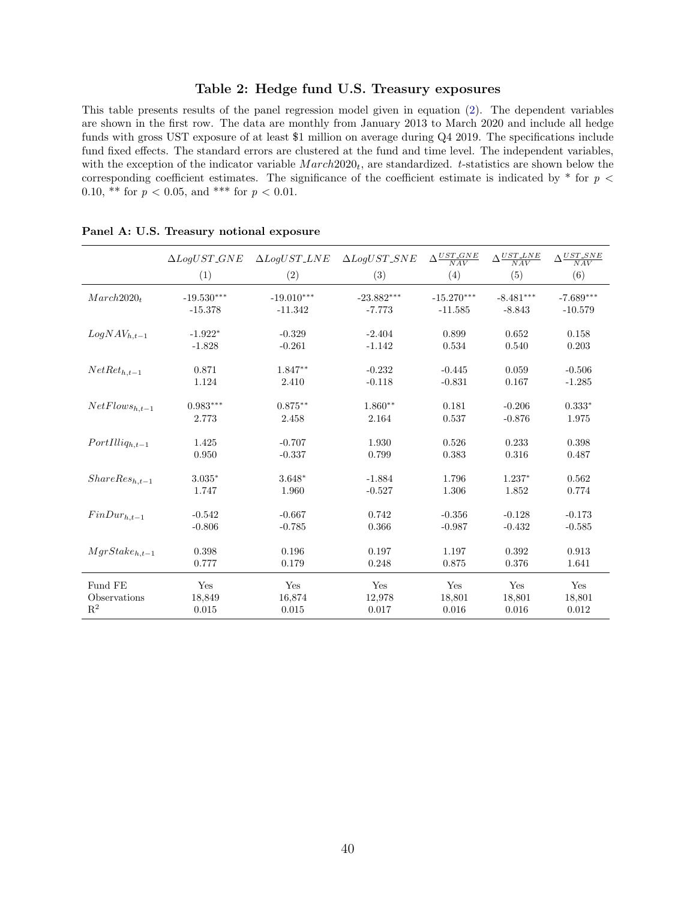### Table 2: Hedge fund U.S. Treasury exposures

<span id="page-40-0"></span>This table presents results of the panel regression model given in equation [\(2\)](#page-11-0). The dependent variables are shown in the first row. The data are monthly from January 2013 to March 2020 and include all hedge funds with gross UST exposure of at least \$1 million on average during Q4 2019. The specifications include fund fixed effects. The standard errors are clustered at the fund and time level. The independent variables, with the exception of the indicator variable  $March2020_t$ , are standardized. t-statistics are shown below the corresponding coefficient estimates. The significance of the coefficient estimate is indicated by  $*$  for  $p <$ 0.10, \*\* for  $p < 0.05$ , and \*\*\* for  $p < 0.01$ .

|                        | $\Delta LogUST\_GNE$ | $\Delta LogUST\_LNE$ | $\Delta LogUST$ SNE | $\Delta \frac{UST\_GNE}{NAV}$ | $\Delta \frac{UST\_LNE}{NAV}$ | $\Delta \frac{UST\_SNE}{NAV}$ |
|------------------------|----------------------|----------------------|---------------------|-------------------------------|-------------------------------|-------------------------------|
|                        | (1)                  | (2)                  | (3)                 | (4)                           | (5)                           | (6)                           |
| March2020 <sub>t</sub> | $-19.530***$         | $-19.010***$         | $-23.882***$        | $-15.270***$                  | $-8.481***$                   | $-7.689***$                   |
|                        | $-15.378$            | $-11.342$            | $-7.773$            | $-11.585$                     | $-8.843$                      | $-10.579$                     |
| $LogNAV_{h.t-1}$       | $-1.922*$            | $-0.329$             | $-2.404$            | 0.899                         | 0.652                         | 0.158                         |
|                        | $-1.828$             | $-0.261$             | $-1.142$            | 0.534                         | 0.540                         | 0.203                         |
| $NetRet_{h,t-1}$       | 0.871                | $1.847**$            | $-0.232$            | $-0.445$                      | 0.059                         | $-0.506$                      |
|                        | 1.124                | 2.410                | $-0.118$            | $-0.831$                      | 0.167                         | $-1.285$                      |
| $NetFlows_{h,t-1}$     | $0.983***$           | $0.875**$            | $1.860**$           | 0.181                         | $-0.206$                      | $0.333*$                      |
|                        | 2.773                | 2.458                | 2.164               | 0.537                         | $-0.876$                      | 1.975                         |
| $Portilliq_{h,t-1}$    | 1.425                | $-0.707$             | 1.930               | 0.526                         | 0.233                         | 0.398                         |
|                        | 0.950                | $-0.337$             | 0.799               | 0.383                         | 0.316                         | 0.487                         |
| $ShareResh,t-1$        | $3.035*$             | $3.648*$             | $-1.884$            | 1.796                         | $1.237*$                      | 0.562                         |
|                        | 1.747                | 1.960                | $-0.527$            | 1.306                         | 1.852                         | 0.774                         |
| $FinDur_{h,t-1}$       | $-0.542$             | $-0.667$             | 0.742               | $-0.356$                      | $-0.128$                      | $-0.173$                      |
|                        | $-0.806$             | $-0.785$             | 0.366               | $-0.987$                      | $-0.432$                      | $-0.585$                      |
| $MgrStake_{h,t-1}$     | 0.398                | 0.196                | 0.197               | 1.197                         | 0.392                         | 0.913                         |
|                        | 0.777                | 0.179                | 0.248               | 0.875                         | 0.376                         | 1.641                         |
| Fund FE                | Yes                  | Yes                  | Yes                 | Yes                           | Yes                           | Yes                           |
| Observations           | 18,849               | 16,874               | 12,978              | 18,801                        | 18,801                        | 18,801                        |
| $\mathbf{R}^2$         | 0.015                | 0.015                | 0.017               | 0.016                         | 0.016                         | 0.012                         |

Panel A: U.S. Treasury notional exposure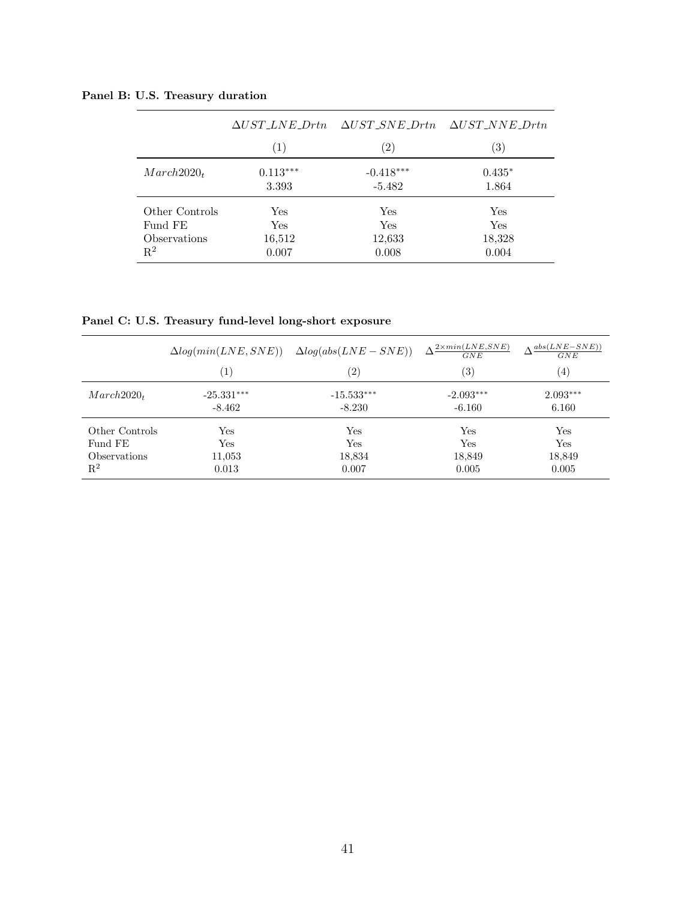Panel B: U.S. Treasury duration

|                        | $\Delta UST\_{LNE\_Drtn}$ | $\Delta UST\_SNE\_Drtn \quad \Delta UST\_NNE\_Drtn$ |                   |
|------------------------|---------------------------|-----------------------------------------------------|-------------------|
|                        | (1)                       | $\left( 2\right)$                                   | $\left( 3\right)$ |
| March2020 <sub>t</sub> | $0.113***$                | $-0.418***$                                         | $0.435*$          |
|                        | 3.393                     | $-5.482$                                            | 1.864             |
| Other Controls         | Yes                       | Yes                                                 | Yes               |
| Fund FE                | Yes                       | Yes                                                 | Yes               |
| Observations           | 16,512                    | 12,633                                              | 18,328            |
| $\mathbf{R}^2$         | 0.007                     | 0.008                                               | 0.004             |

Panel C: U.S. Treasury fund-level long-short exposure

|                        | $\Delta log(min(LNE, SNE))$ | $\Delta log(abs(LNE - SNE))$ | $\Delta^{\underline{2 \times min(LNE, SNE)}}$<br>GNE | $\Delta \frac{abs(LNE-SNE)}{S}$<br>GNE |
|------------------------|-----------------------------|------------------------------|------------------------------------------------------|----------------------------------------|
|                        | $\left(1\right)$            | $\left( 2\right)$            | $\left( 3\right)$                                    | (4)                                    |
| March2020 <sub>t</sub> | $-25.331***$                | $-15.533***$                 | $-2.093***$                                          | $2.093***$                             |
|                        | $-8.462$                    | $-8.230$                     | $-6.160$                                             | 6.160                                  |
| Other Controls         | Yes                         | Yes                          | Yes                                                  | Yes                                    |
| Fund FE                | $\operatorname{Yes}$        | Yes                          | Yes                                                  | Yes                                    |
| <i>Observations</i>    | 11,053                      | 18,834                       | 18,849                                               | 18,849                                 |
| $R^2$                  | 0.013                       | 0.007                        | 0.005                                                | 0.005                                  |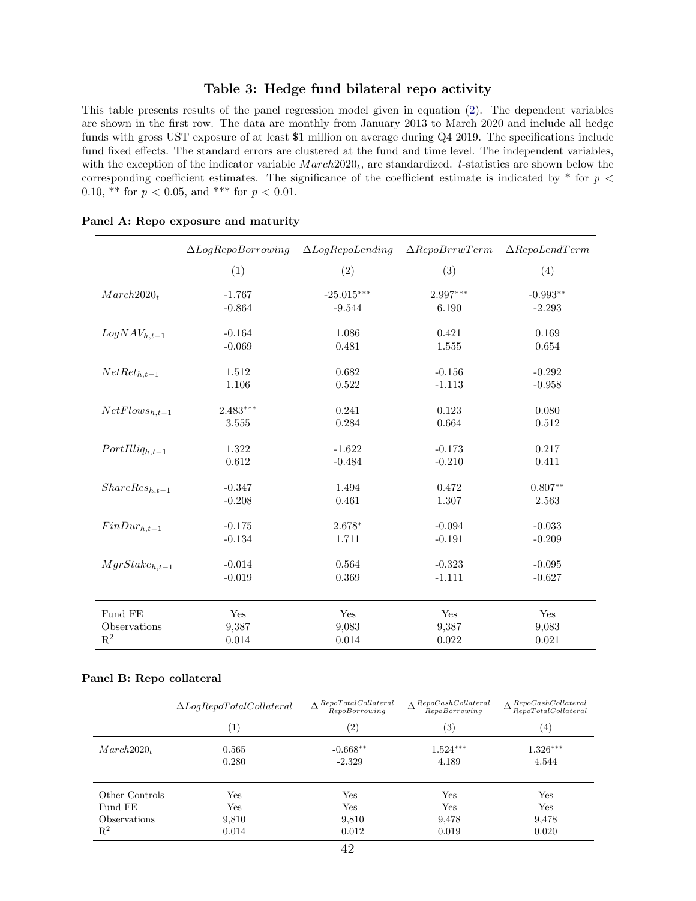## Table 3: Hedge fund bilateral repo activity

<span id="page-42-0"></span>This table presents results of the panel regression model given in equation [\(2\)](#page-11-0). The dependent variables are shown in the first row. The data are monthly from January 2013 to March 2020 and include all hedge funds with gross UST exposure of at least \$1 million on average during Q4 2019. The specifications include fund fixed effects. The standard errors are clustered at the fund and time level. The independent variables, with the exception of the indicator variable  $March2020_t$ , are standardized. t-statistics are shown below the corresponding coefficient estimates. The significance of the coefficient estimate is indicated by  $*$  for  $p <$ 0.10, \*\* for  $p < 0.05$ , and \*\*\* for  $p < 0.01$ .

|                        | $\Delta Log RepoBorrowing$ | $\Delta Log Repolending$ | $\Delta RepoBrrwTerm$ | $\Delta RepolendTerm$ |
|------------------------|----------------------------|--------------------------|-----------------------|-----------------------|
|                        | (1)                        | (2)                      | (3)                   | (4)                   |
| March2020 <sub>t</sub> | $-1.767$                   | $-25.015***$             | 2.997***              | $-0.993**$            |
|                        | $-0.864$                   | $-9.544$                 | 6.190                 | $-2.293$              |
| $LogNAV_{h,t-1}$       | $-0.164$                   | 1.086                    | 0.421                 | 0.169                 |
|                        | $-0.069$                   | 0.481                    | 1.555                 | 0.654                 |
| $NetRet_{h,t-1}$       | 1.512                      | 0.682                    | $-0.156$              | $-0.292$              |
|                        | 1.106                      | 0.522                    | $-1.113$              | $-0.958$              |
| $NetFlows_{h,t-1}$     | $2.483***$                 | 0.241                    | 0.123                 | 0.080                 |
|                        | 3.555                      | 0.284                    | 0.664                 | 0.512                 |
| $PortIlliq_{h,t-1}$    | 1.322                      | $-1.622$                 | $-0.173$              | 0.217                 |
|                        | 0.612                      | $-0.484$                 | $-0.210$              | 0.411                 |
| $ShareResh,t-1$        | $-0.347$                   | 1.494                    | 0.472                 | $0.807**$             |
|                        | $-0.208$                   | 0.461                    | 1.307                 | 2.563                 |
| $FinDur_{h,t-1}$       | $-0.175$                   | $2.678*$                 | $-0.094$              | $-0.033$              |
|                        | $-0.134$                   | 1.711                    | $-0.191$              | $-0.209$              |
| $MgrStake_{h,t-1}$     | $-0.014$                   | 0.564                    | $-0.323$              | $-0.095$              |
|                        | $-0.019$                   | 0.369                    | $-1.111$              | $-0.627$              |
| Fund FE                | Yes                        | Yes                      | Yes                   | Yes                   |
| Observations           | 9,387                      | 9,083                    | 9,387                 | 9,083                 |
| $\mathbf{R}^2$         | 0.014                      | 0.014                    | 0.022                 | 0.021                 |

|  |  |  | Panel A: Repo exposure and maturity |  |  |
|--|--|--|-------------------------------------|--|--|
|--|--|--|-------------------------------------|--|--|

#### Panel B: Repo collateral

|                            | $\Delta Log RepoTotalCollateral$ | $\Delta \frac{RepoTotalCollateral}{RepoBorrowing}$ | $\Delta \frac{RepoCashCollateral}{RepoBorrowing}$ | $\sqrt{\frac{RepoCashCollateral}{RepoTotalCollateral}}$ |
|----------------------------|----------------------------------|----------------------------------------------------|---------------------------------------------------|---------------------------------------------------------|
|                            | Ί                                | $\left( 2\right)$                                  | (3)                                               | (4)                                                     |
| March2020 <sub>t</sub>     | 0.565                            | $-0.668**$                                         | $1.524***$                                        | $1.326***$                                              |
|                            | 0.280                            | $-2.329$                                           | 4.189                                             | 4.544                                                   |
| Other Controls             | Yes                              | Yes                                                | Yes                                               | Yes                                                     |
| Fund FE                    | Yes                              | Yes                                                | Yes                                               | Yes                                                     |
| <i><b>Observations</b></i> | 9.810                            | 9.810                                              | 9,478                                             | 9.478                                                   |
| $R^2$                      | 0.014                            | 0.012                                              | 0.019                                             | 0.020                                                   |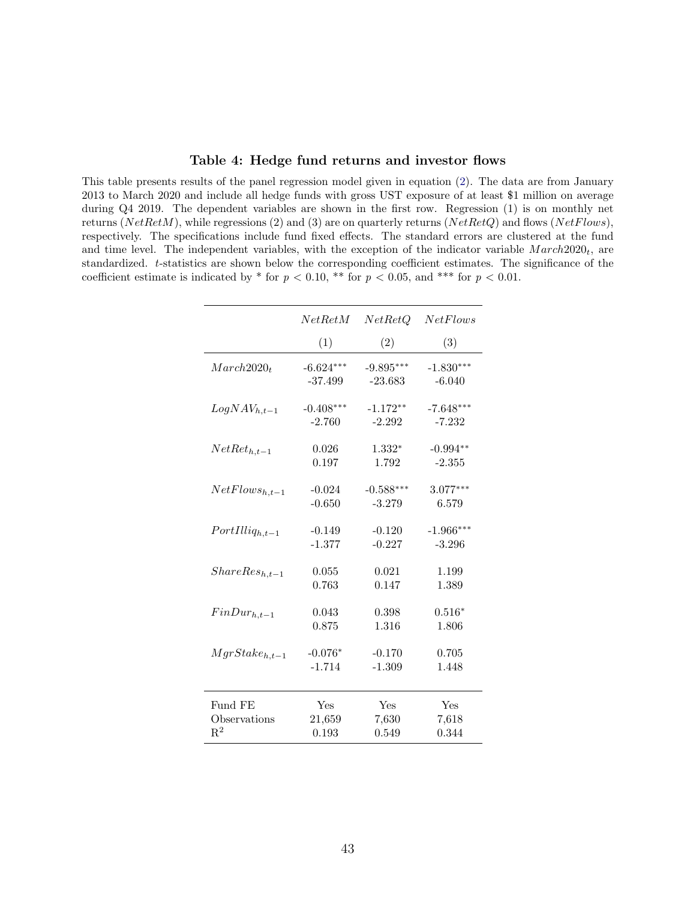### Table 4: Hedge fund returns and investor flows

<span id="page-43-0"></span>This table presents results of the panel regression model given in equation [\(2\)](#page-11-0). The data are from January 2013 to March 2020 and include all hedge funds with gross UST exposure of at least \$1 million on average during Q4 2019. The dependent variables are shown in the first row. Regression (1) is on monthly net returns ( $NetRetM$ ), while regressions (2) and (3) are on quarterly returns ( $NetRetQ$ ) and flows ( $NetFlows$ ), respectively. The specifications include fund fixed effects. The standard errors are clustered at the fund and time level. The independent variables, with the exception of the indicator variable  $March2020_t$ , are standardized. t-statistics are shown below the corresponding coefficient estimates. The significance of the coefficient estimate is indicated by  $*$  for  $p < 0.10$ ,  $**$  for  $p < 0.05$ , and  $***$  for  $p < 0.01$ .

|                        | NetRetM               | NetRetQ                 | NetFlows          |
|------------------------|-----------------------|-------------------------|-------------------|
|                        | (1)                   | (2)                     | (3)               |
| March2020 <sub>t</sub> | $-6.624***$           | $-9.895***$             | $-1.830***$       |
|                        | $-37.499$             | $-23.683$               | $-6.040$          |
| $LogNAV_{h,t-1}$       | $-0.408***$           | $-1.172**$              | $-7.648***$       |
|                        | $-2.760$              | $-2.292$                | $-7.232$          |
| $NetRet_{h,t-1}$       | 0.026                 | $1.332*$                | $-0.994**$        |
|                        | 0.197                 | 1.792                   | $-2.355$          |
|                        |                       |                         |                   |
| $NetFlows_{h,t-1}$     | $-0.024$<br>$-0.650$  | $-0.588***$<br>$-3.279$ | 3.077***<br>6.579 |
|                        |                       |                         |                   |
| $PortIlliq_{h,t-1}$    | $-0.149$              | $-0.120$                | $-1.966***$       |
|                        | $-1.377$              | $-0.227$                | $-3.296$          |
| $ShareResh,t-1$        | 0.055                 | 0.021                   | 1.199             |
|                        | 0.763                 | 0.147                   | 1.389             |
| $FinDur_{h,t-1}$       | 0.043                 | 0.398                   | $0.516*$          |
|                        | 0.875                 | 1.316                   | 1.806             |
|                        |                       |                         |                   |
| $MgrStake_{h,t-1}$     | $-0.076*$<br>$-1.714$ | $-0.170$<br>$-1.309$    | 0.705<br>1.448    |
|                        |                       |                         |                   |
| Fund FE                | Yes                   | Yes                     | Yes               |
| Observations           | 21,659                | 7,630                   | 7,618             |
| $\mathbf{R}^2$         | 0.193                 | 0.549                   | 0.344             |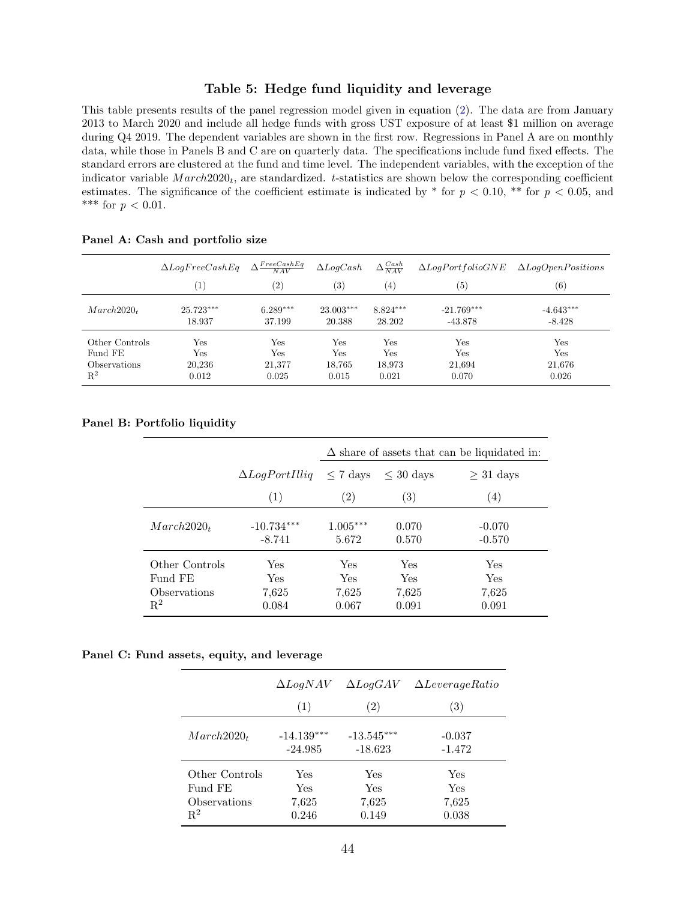## Table 5: Hedge fund liquidity and leverage

<span id="page-44-0"></span>This table presents results of the panel regression model given in equation [\(2\)](#page-11-0). The data are from January 2013 to March 2020 and include all hedge funds with gross UST exposure of at least \$1 million on average during Q4 2019. The dependent variables are shown in the first row. Regressions in Panel A are on monthly data, while those in Panels B and C are on quarterly data. The specifications include fund fixed effects. The standard errors are clustered at the fund and time level. The independent variables, with the exception of the indicator variable  $March2020_t$ , are standardized. t-statistics are shown below the corresponding coefficient estimates. The significance of the coefficient estimate is indicated by  $*$  for  $p < 0.10$ ,  $**$  for  $p < 0.05$ , and \*\*\* for  $p < 0.01$ .

|  |  |  | Panel A: Cash and portfolio size |  |
|--|--|--|----------------------------------|--|
|--|--|--|----------------------------------|--|

|                            | $\Delta LogFreeCashEq$ | $\Delta \frac{FreeCashEq}{NAV}$ | $\Delta LogCash$ | $\Delta \frac{Cash}{NAV}$ |              | $\Delta LogPortolio GNE \quad \Delta LogOpenPositions$ |
|----------------------------|------------------------|---------------------------------|------------------|---------------------------|--------------|--------------------------------------------------------|
|                            | $\left( 1\right)$      | $\left( 2\right)$               | (3)              | (4)                       | (5)          | (6)                                                    |
| March2020 <sub>t</sub>     | $25.723***$            | $6.289***$                      | $23.003***$      | $8.824***$                | $-21.769***$ | $-4.643***$                                            |
|                            | 18.937                 | 37.199                          | 20.388           | 28.202                    | $-43.878$    | $-8.428$                                               |
| Other Controls             | Yes                    | Yes                             | Yes              | Yes                       | Yes          | Yes                                                    |
| Fund FE                    | Yes                    | Yes                             | Yes              | Yes                       | Yes          | Yes                                                    |
| <i><b>Observations</b></i> | 20,236                 | 21,377                          | 18,765           | 18,973                    | 21,694       | 21,676                                                 |
| $\mathbb{R}^2$             | 0.012                  | 0.025                           | 0.015            | 0.021                     | 0.070        | 0.026                                                  |

#### Panel B: Portfolio liquidity

|                                                                           |                                                                | $\Delta$ share of assets that can be liquidated in: |                              |                              |  |  |  |
|---------------------------------------------------------------------------|----------------------------------------------------------------|-----------------------------------------------------|------------------------------|------------------------------|--|--|--|
|                                                                           | $\Delta LogPortilliq \leq 7 \text{ days} \leq 30 \text{ days}$ |                                                     |                              | $>$ 31 days                  |  |  |  |
|                                                                           | (1)                                                            | $\left( 2\right)$                                   | $\left( 3\right)$            | (4)                          |  |  |  |
| March2020 <sub>t</sub>                                                    | $-10.734***$<br>$-8.741$                                       | $1.005***$<br>5.672                                 | 0.070<br>0.570               | $-0.070$<br>$-0.570$         |  |  |  |
| Other Controls<br>Fund FE<br><i><b>Observations</b></i><br>$\mathrm{R}^2$ | Yes<br>Yes<br>7,625<br>0.084                                   | Yes<br>Yes<br>7,625<br>0.067                        | Yes<br>Yes<br>7.625<br>0.091 | Yes<br>Yes<br>7,625<br>0.091 |  |  |  |

#### Panel C: Fund assets, equity, and leverage

|                        | $\Delta Log NAV$          | $\Delta LogGAV$           | $\Delta Leverage Ratio$ |
|------------------------|---------------------------|---------------------------|-------------------------|
|                        | (1)                       | (2)                       | (3)                     |
| March2020 <sub>t</sub> | $-14.139***$<br>$-24.985$ | $-13.545***$<br>$-18.623$ | $-0.037$<br>$-1.472$    |
| Other Controls         | Yes                       | Yes                       | Yes                     |
| Fund FE                | <b>Yes</b>                | Yes                       | Yes                     |
| Observations           | 7,625                     | 7,625                     | 7,625                   |
| $R^2$                  | 0.246                     | 0.149                     | 0.038                   |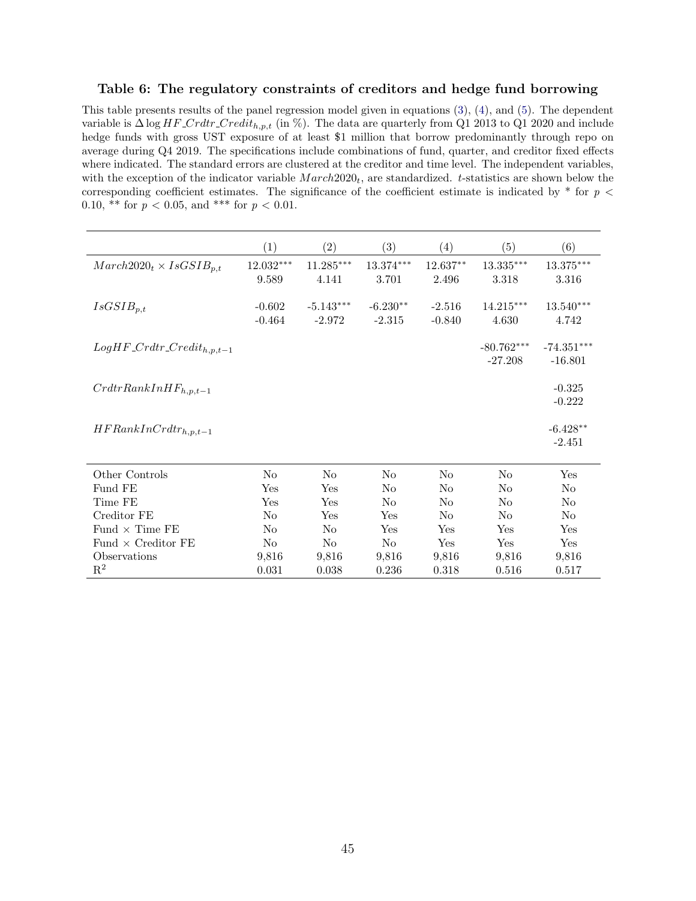### <span id="page-45-0"></span>Table 6: The regulatory constraints of creditors and hedge fund borrowing

This table presents results of the panel regression model given in equations [\(3\)](#page-17-2), [\(4\)](#page-17-3), and [\(5\)](#page-17-4). The dependent variable is  $\Delta \log HF_{\text{C}r} dtr_{\text{C}r} e^{i\theta}$  (in %). The data are quarterly from Q1 2013 to Q1 2020 and include hedge funds with gross UST exposure of at least \$1 million that borrow predominantly through repo on average during Q4 2019. The specifications include combinations of fund, quarter, and creditor fixed effects where indicated. The standard errors are clustered at the creditor and time level. The independent variables, with the exception of the indicator variable  $March2020_t$ , are standardized. t-statistics are shown below the corresponding coefficient estimates. The significance of the coefficient estimate is indicated by  $*$  for  $p \lt \mathcal{L}$ 0.10, \*\* for  $p < 0.05$ , and \*\*\* for  $p < 0.01$ .

|                                      | (1)            | (2)            | (3)            | (4)        | (5)            | (6)          |
|--------------------------------------|----------------|----------------|----------------|------------|----------------|--------------|
| $March2020t \times IsGSIBp,t$        | $12.032***$    | $11.285***$    | $13.374***$    | $12.637**$ | $13.335***$    | $13.375***$  |
|                                      | 9.589          | 4.141          | 3.701          | 2.496      | 3.318          | 3.316        |
|                                      |                |                |                |            |                |              |
| $IsGSIB_{p,t}$                       | $-0.602$       | $-5.143***$    | $-6.230**$     | $-2.516$   | $14.215***$    | $13.540***$  |
|                                      | $-0.464$       | $-2.972$       | $-2.315$       | $-0.840$   | 4.630          | 4.742        |
| $Log HF_C rdt$ r_ $Credit_{h,p,t-1}$ |                |                |                |            | $-80.762***$   | $-74.351***$ |
|                                      |                |                |                |            | $-27.208$      |              |
|                                      |                |                |                |            |                | $-16.801$    |
| $CrdtrRankInHF_{h,p,t-1}$            |                |                |                |            |                | $-0.325$     |
|                                      |                |                |                |            |                | $-0.222$     |
|                                      |                |                |                |            |                |              |
| $HFRankInCrdtr_{h,p,t-1}$            |                |                |                |            |                | $-6.428**$   |
|                                      |                |                |                |            |                | $-2.451$     |
|                                      |                |                |                |            |                |              |
| Other Controls                       | N <sub>o</sub> | N <sub>o</sub> | N <sub>0</sub> | No         | N <sub>0</sub> | Yes          |
| Fund FE                              | Yes            | $_{\rm Yes}$   | No             | No         | No             | No           |
| Time FE                              | Yes            | Yes            | No             | No         | N <sub>0</sub> | No           |
| Creditor FE                          | No             | Yes            | Yes            | No         | N <sub>0</sub> | No           |
| Fund $\times$ Time FE                | N <sub>0</sub> | No             | Yes            | Yes        | Yes            | Yes          |
| Fund $\times$ Creditor FE            | No             | No             | N <sub>0</sub> | Yes        | Yes            | Yes          |
| Observations                         | 9,816          | 9,816          | 9,816          | 9,816      | 9,816          | 9,816        |
| $\mathbf{R}^2$                       | 0.031          | 0.038          | 0.236          | 0.318      | 0.516          | 0.517        |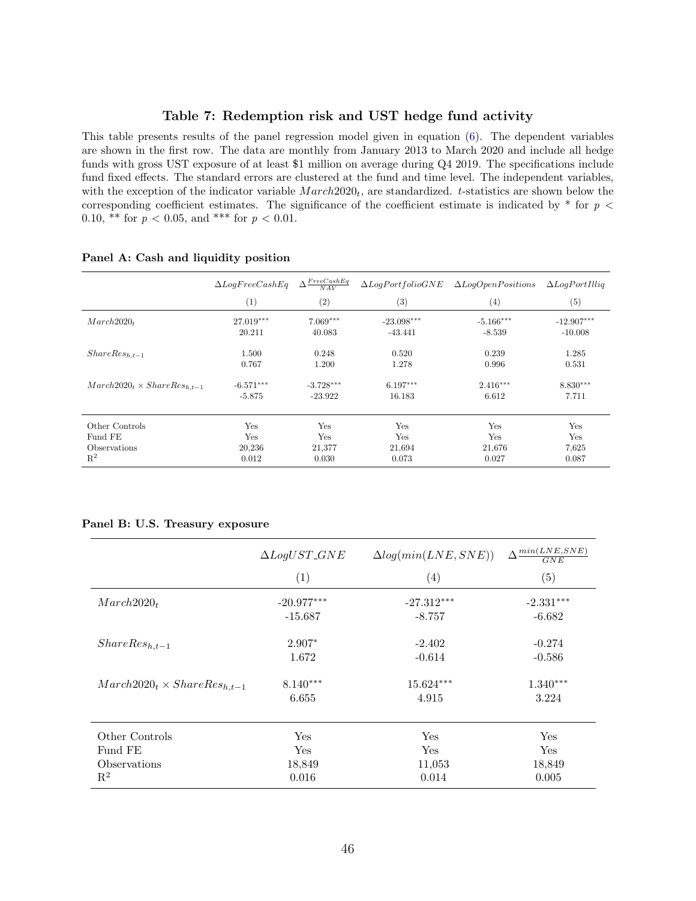## Table 7: Redemption risk and UST hedge fund activity

<span id="page-46-0"></span>This table presents results of the panel regression model given in equation [\(6\)](#page-19-3). The dependent variables are shown in the first row. The data are monthly from January 2013 to March 2020 and include all hedge funds with gross UST exposure of at least \$1 million on average during Q4 2019. The specifications include fund fixed effects. The standard errors are clustered at the fund and time level. The independent variables, with the exception of the indicator variable  $March2020_t$ , are standardized. t-statistics are shown below the corresponding coefficient estimates. The significance of the coefficient estimate is indicated by  $*$  for  $p <$ 0.10, \*\* for  $p < 0.05$ , and \*\*\* for  $p < 0.01$ .

|                                  | $\Delta LogFreeCashEq$ | $\Delta\frac{FreeCashEq}{NAV}$ | $\Delta LogPortfolio GNE$ | $\Delta LogOpenPositions$ | $\Delta LogPortillia$ |
|----------------------------------|------------------------|--------------------------------|---------------------------|---------------------------|-----------------------|
|                                  | (1)                    | (2)                            | $\left( 3\right)$         | (4)                       | (5)                   |
| March2020 <sub>t</sub>           | 27.019***              | $7.069***$                     | $-23.098***$              | $-5.166***$               | $-12.907***$          |
|                                  | 20.211                 | 40.083                         | $-43.441$                 | $-8.539$                  | $-10.008$             |
| $ShareResh.t-1$                  | 1.500                  | 0.248                          | 0.520                     | 0.239                     | 1.285                 |
|                                  | 0.767                  | 1.200                          | 1.278                     | 0.996                     | 0.531                 |
| $March2020t \timesShareResh.t-1$ | $-6.571***$            | $-3.728***$                    | $6.197***$                | $2.416***$                | 8.830***              |
|                                  | $-5.875$               | $-23.922$                      | 16.183                    | 6.612                     | 7.711                 |
| Other Controls                   | Yes                    | Yes                            | Yes                       | Yes                       | Yes                   |
| Fund FE                          | Yes                    | Yes                            | Yes                       | Yes                       | Yes                   |
| Observations                     | 20,236                 | 21,377                         | 21,694                    | 21,676                    | 7,625                 |
| $\mathbb{R}^2$                   | 0.012                  | 0.030                          | 0.073                     | 0.027                     | 0.087                 |

#### Panel A: Cash and liquidity position

| Panel B: U.S. Treasury exposure |  |  |
|---------------------------------|--|--|
|---------------------------------|--|--|

|                                   | $\triangle LogUST\_GNE$ | $\Delta log(min(LNE, SNE))$ | $\Delta \frac{min(LNE, SNE)}{GNE}$ |
|-----------------------------------|-------------------------|-----------------------------|------------------------------------|
|                                   | (1)                     | (4)                         | (5)                                |
| March2020 <sub>t</sub>            | $-20.977***$            | $-27.312***$                | $-2.331***$                        |
|                                   | $-15.687$               | $-8.757$                    | $-6.682$                           |
| $ShareResh,t-1$                   | $2.907*$                | $-2.402$                    | $-0.274$                           |
|                                   | 1.672                   | $-0.614$                    | $-0.586$                           |
| $March2020t \times ShareResh,t-1$ | $8.140***$              | $15.624***$                 | $1.340***$                         |
|                                   | 6.655                   | 4.915                       | 3.224                              |
| Other Controls                    | Yes                     | Yes                         | Yes                                |
| Fund FE                           | Yes                     | Yes                         | Yes                                |
| Observations                      | 18,849                  | 11,053                      | 18,849                             |
| $\mathbb{R}^2$                    | 0.016                   | 0.014                       | 0.005                              |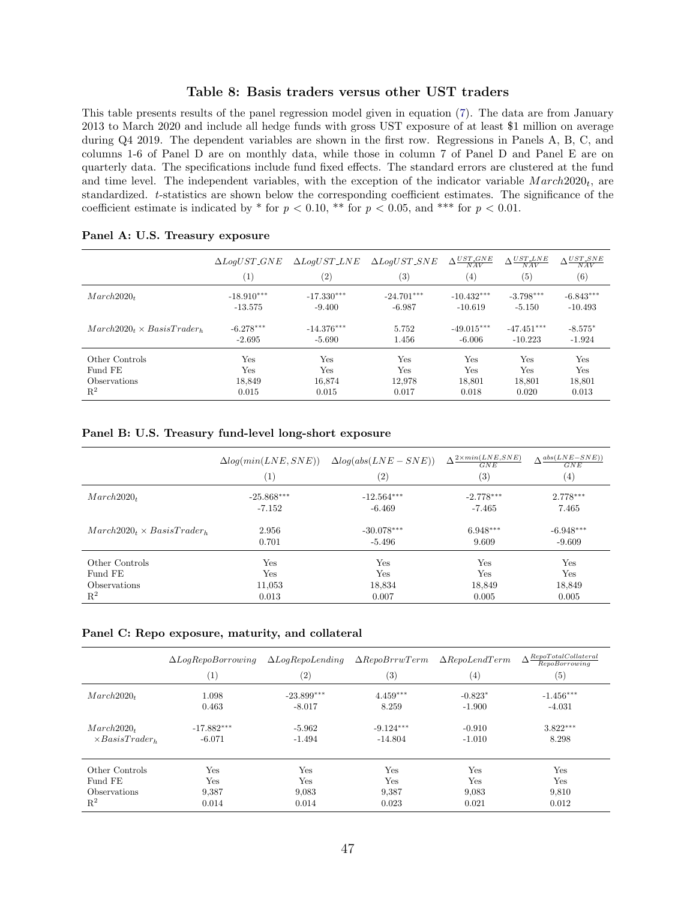#### Table 8: Basis traders versus other UST traders

<span id="page-47-0"></span>This table presents results of the panel regression model given in equation [\(7\)](#page-23-1). The data are from January 2013 to March 2020 and include all hedge funds with gross UST exposure of at least \$1 million on average during Q4 2019. The dependent variables are shown in the first row. Regressions in Panels A, B, C, and columns 1-6 of Panel D are on monthly data, while those in column 7 of Panel D and Panel E are on quarterly data. The specifications include fund fixed effects. The standard errors are clustered at the fund and time level. The independent variables, with the exception of the indicator variable  $March2020<sub>t</sub>$ , are standardized. t-statistics are shown below the corresponding coefficient estimates. The significance of the coefficient estimate is indicated by  $*$  for  $p < 0.10$ ,  $**$  for  $p < 0.05$ , and  $***$  for  $p < 0.01$ .

|                                    | $\Delta LogUST\_GNE$ | $\Delta LogUST\_LNE$ | $\Delta LogUST$ $SNE$ | $\Delta \frac{UST\_GNE}{NAV}$ | $\Delta \frac{UST\_LNE}{NAV}$ | $\Delta \frac{UST\_SNE}{NAV}$ |
|------------------------------------|----------------------|----------------------|-----------------------|-------------------------------|-------------------------------|-------------------------------|
|                                    | $\scriptstyle{(1)}$  | (2)                  | $\left( 3\right)$     | $\left( 4\right)$             | (5)                           | (6)                           |
| March2020 <sub>t</sub>             | $-18.910***$         | $-17.330***$         | $-24.701***$          | $-10.432***$                  | $-3.798***$                   | $-6.843***$                   |
|                                    | $-13.575$            | $-9.400$             | $-6.987$              | $-10.619$                     | $-5.150$                      | $-10.493$                     |
| $March2020_t \times BasisTrader_h$ | $-6.278***$          | $-14.376***$         | 5.752                 | $-49.015***$                  | $-47.451***$                  | $-8.575*$                     |
|                                    | $-2.695$             | $-5.690$             | 1.456                 | $-6.006$                      | $-10.223$                     | $-1.924$                      |
| Other Controls                     | Yes                  | Yes                  | Yes                   | Yes                           | Yes                           | Yes                           |
| Fund FE                            | Yes                  | Yes                  | Yes                   | Yes                           | Yes                           | Yes                           |
| <i><b>Observations</b></i>         | 18.849               | 16,874               | 12,978                | 18,801                        | 18,801                        | 18,801                        |
| $\mathbb{R}^2$                     | 0.015                | 0.015                | 0.017                 | 0.018                         | 0.020                         | 0.013                         |

#### Panel A: U.S. Treasury exposure

#### Panel B: U.S. Treasury fund-level long-short exposure

|                                   | $\Delta log(min(LNE, SNE))$<br>$\left( 1\right)$ | $\Delta log(abs(LNE - SNE))$<br>(2) | $\Delta \frac{2 \times min(LNE, SNE)}{2}$<br>GNE<br>$\left( 3\right)$ | $\Delta^{\,abs(LNE-SNE))}$<br>GNE<br>(4) |
|-----------------------------------|--------------------------------------------------|-------------------------------------|-----------------------------------------------------------------------|------------------------------------------|
| March2020 <sub>t</sub>            | $-25.868***$                                     | $-12.564***$                        | $-2.778***$                                                           | $2.778***$                               |
|                                   | $-7.152$                                         | $-6.469$                            | -7.465                                                                | 7.465                                    |
| $March2020_t \times BasisTrade_t$ | 2.956                                            | $-30.078***$                        | $6.948***$                                                            | $-6.948***$                              |
|                                   | 0.701                                            | -5.496                              | 9.609                                                                 | $-9.609$                                 |
| Other Controls                    | Yes                                              | Yes                                 | Yes                                                                   | Yes                                      |
| Fund FE                           | Yes                                              | Yes                                 | Yes                                                                   | Yes                                      |
| <i><b>Observations</b></i>        | 11,053                                           | 18,834                              | 18,849                                                                | 18,849                                   |
| $\mathbf{R}^2$                    | 0.013                                            | 0.007                               | 0.005                                                                 | 0.005                                    |

#### Panel C: Repo exposure, maturity, and collateral

|                            | $\Delta Log RepoBorrowing$<br>$\left( 1\right)$ | $\Delta Log RepoLending$<br>$\left( 2\right)$ | $\Delta RepoBrrwTerm$<br>$\left( 3\right)$ | $\Delta RepolendTerm$<br>$\left( 4\right)$ | RepoTotalCollateral<br>RepoBorrowing<br>$\left( 5\right)$ |
|----------------------------|-------------------------------------------------|-----------------------------------------------|--------------------------------------------|--------------------------------------------|-----------------------------------------------------------|
| March2020 <sub>t</sub>     | 1.098                                           | $-23.899***$                                  | $4.459***$                                 | $-0.823*$                                  | $-1.456***$                                               |
|                            | 0.463                                           | $-8.017$                                      | 8.259                                      | $-1.900$                                   | $-4.031$                                                  |
| March2020 <sub>t</sub>     | $-17.882***$                                    | $-5.962$                                      | $-9.124***$                                | $-0.910$                                   | $3.822***$                                                |
| $\times BasisTrader_h$     | $-6.071$                                        | $-1.494$                                      | $-14.804$                                  | $-1.010$                                   | 8.298                                                     |
| Other Controls             | Yes                                             | Yes                                           | Yes                                        | Yes                                        | Yes                                                       |
| Fund FE                    | Yes                                             | Yes                                           | Yes                                        | Yes                                        | Yes                                                       |
| <i><b>Observations</b></i> | 9.387                                           | 9.083                                         | 9.387                                      | 9.083                                      | 9.810                                                     |
| $\mathbb{R}^2$             | 0.014                                           | 0.014                                         | 0.023                                      | 0.021                                      | 0.012                                                     |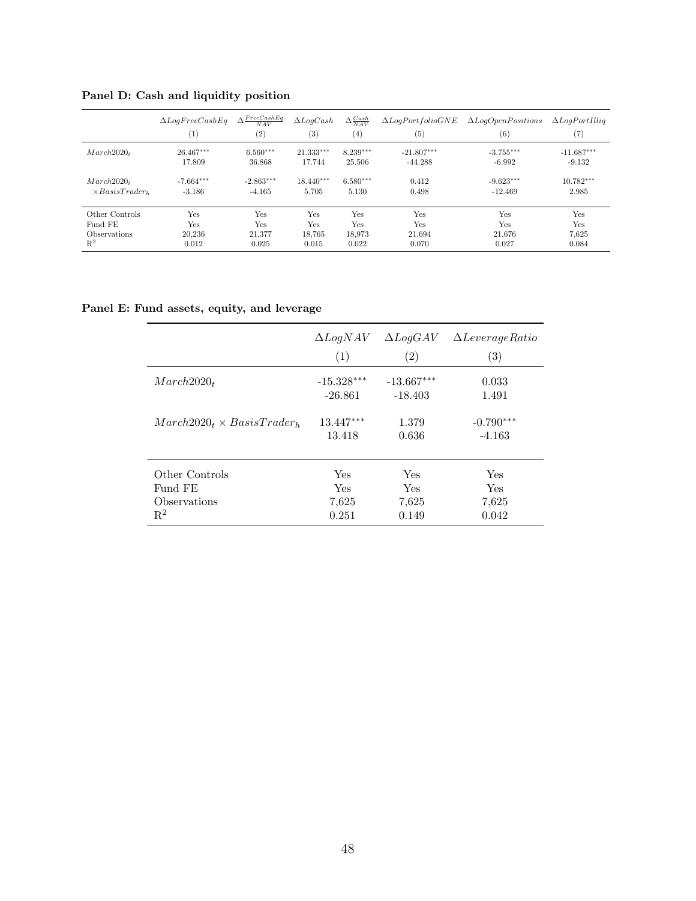|                            | $\Delta LogFreeCashEq$ | $\Delta\frac{FreeCashEq}{NAV}$ | $\Delta LogCash$ | $\Delta \frac{Cash}{NAV}$ | $\Delta LogPortfolio GNE$ | $\Delta LogOpenPositions$ | $\Delta LogPortilliq$ |
|----------------------------|------------------------|--------------------------------|------------------|---------------------------|---------------------------|---------------------------|-----------------------|
|                            | (1)                    | $\left( 2\right)$              | (3)              | (4)                       | (5)                       | (6)                       | $\scriptstyle{(7)}$   |
| March2020 <sub>t</sub>     | $26.467***$            | $6.560***$                     | $21.333***$      | $8.239***$                | $-21.807***$              | $-3.755***$               | $-11.687***$          |
|                            | 17.809                 | 36.868                         | 17.744           | 25.506                    | $-44.288$                 | $-6.992$                  | $-9.132$              |
| March2020 <sub>t</sub>     | $-7.664***$            | $-2.863***$                    | $18.440***$      | $6.580***$                | 0.412                     | $-9.623***$               | $10.782***$           |
| $\times Basis Traderh$     | $-3.186$               | $-4.165$                       | 5.705            | 5.130                     | 0.498                     | $-12.469$                 | 2.985                 |
| Other Controls             | Yes                    | Yes                            | Yes              | Yes                       | Yes                       | Yes                       | Yes                   |
| Fund FE                    | Yes                    | <b>Yes</b>                     | Yes              | Yes                       | Yes                       | Yes                       | Yes                   |
| <i><b>Observations</b></i> | 20,236                 | 21,377                         | 18.765           | 18.973                    | 21,694                    | 21,676                    | 7,625                 |
| $\mathbb{R}^2$             | 0.012                  | 0.025                          | 0.015            | 0.022                     | 0.070                     | 0.027                     | 0.084                 |

Panel D: Cash and liquidity position

Panel E: Fund assets, equity, and leverage

|                                   | $\Delta LogNAV$ | $\Delta LogGAV$   | $\Delta Leverage Ratio$ |
|-----------------------------------|-----------------|-------------------|-------------------------|
|                                   | (1)             | $\left( 2\right)$ | $\left( 3\right)$       |
| March2020 <sub>t</sub>            | $-15.328***$    | $-13.667***$      | 0.033                   |
|                                   | $-26.861$       | $-18.403$         | 1.491                   |
| $March2020_t \times BasisTrade_t$ | $13.447***$     | 1.379             | $-0.790***$             |
|                                   | 13.418          | 0.636             | $-4.163$                |
| Other Controls                    | Yes             | Yes               | Yes                     |
| Fund FE                           | Yes             | Yes               | Yes                     |
| Observations                      | 7,625           | 7,625             | 7.625                   |
| $\mathbf{R}^2$                    | 0.251           | 0.149             | 0.042                   |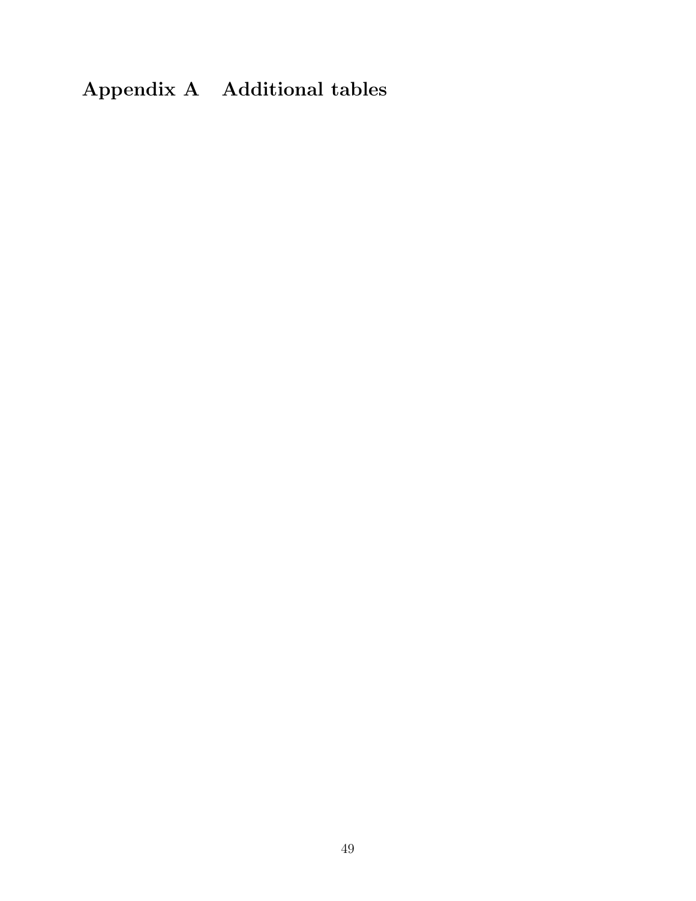# Appendix A Additional tables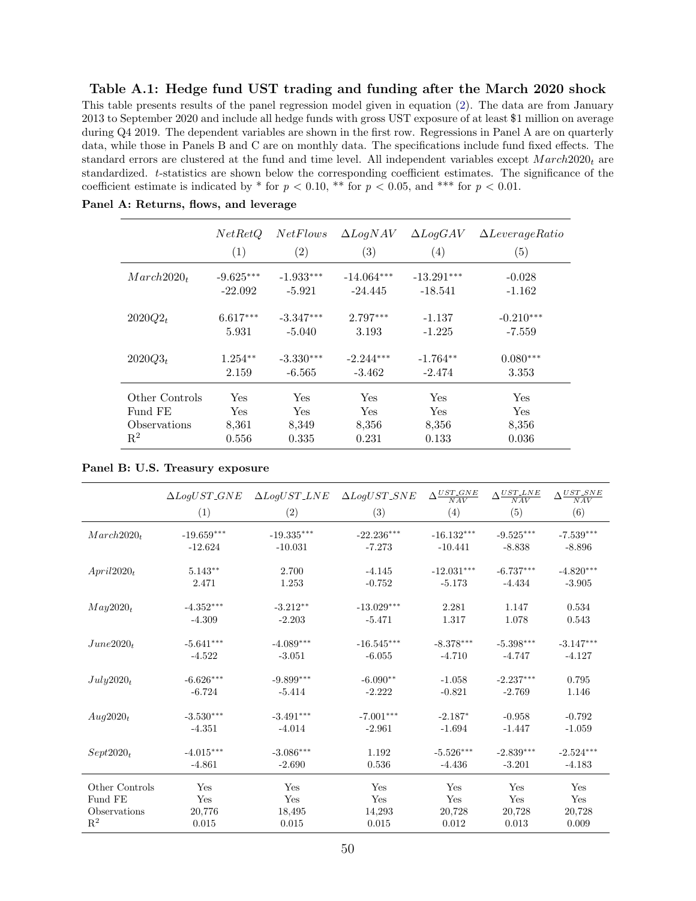<span id="page-50-0"></span>Table A.1: Hedge fund UST trading and funding after the March 2020 shock This table presents results of the panel regression model given in equation [\(2\)](#page-11-0). The data are from January 2013 to September 2020 and include all hedge funds with gross UST exposure of at least \$1 million on average during Q4 2019. The dependent variables are shown in the first row. Regressions in Panel A are on quarterly data, while those in Panels B and C are on monthly data. The specifications include fund fixed effects. The standard errors are clustered at the fund and time level. All independent variables except  $March2020_t$  are standardized. t-statistics are shown below the corresponding coefficient estimates. The significance of the coefficient estimate is indicated by  $*$  for  $p < 0.10$ ,  $**$  for  $p < 0.05$ , and  $***$  for  $p < 0.01$ .

|                        | NetRetQ     | NetFlows          | $\Delta Log NAV$ | $\Delta LogGAV$   | $\Delta Leverage Ratio$ |
|------------------------|-------------|-------------------|------------------|-------------------|-------------------------|
|                        | (1)         | $\left( 2\right)$ | (3)              | $\left( 4\right)$ | $\left( 5\right)$       |
| March2020 <sub>t</sub> | $-9.625***$ | $-1.933***$       | $-14.064***$     | $-13.291***$      | $-0.028$                |
|                        | $-22.092$   | $-5.921$          | $-24.445$        | $-18.541$         | $-1.162$                |
| $2020Q_{t}$            | $6.617***$  | $-3.347***$       | $2.797***$       | $-1.137$          | $-0.210***$             |
|                        | 5.931       | $-5.040$          | 3.193            | $-1.225$          | $-7.559$                |
| $2020Q3_t$             | $1.254**$   | $-3.330***$       | $-2.244***$      | $-1.764**$        | $0.080***$              |
|                        | 2.159       | $-6.565$          | $-3.462$         | $-2.474$          | 3.353                   |
| Other Controls         | Yes         | Yes               | Yes              | Yes               | Yes                     |
| Fund FE                | Yes         | Yes               | Yes              | <b>Yes</b>        | Yes                     |
| Observations           | 8,361       | 8,349             | 8,356            | 8,356             | 8,356                   |
| $\mathrm{R}^2$         | 0.556       | 0.335             | 0.231            | 0.133             | 0.036                   |

Panel A: Returns, flows, and leverage

|  |  | Panel B: U.S. Treasury exposure |  |
|--|--|---------------------------------|--|
|--|--|---------------------------------|--|

|                        | $\Delta LogUST\_GNE$ | $\Delta LogUST\_LNE$ | $\Delta LogUST\_SNE$ | $\Delta \frac{UST\_GNE}{NAV}$ | $\Delta \frac{UST\_LNE}{NAV}$    | $\Delta \frac{UST\_SNE}{NAV}$ |
|------------------------|----------------------|----------------------|----------------------|-------------------------------|----------------------------------|-------------------------------|
|                        | (1)                  | (2)                  | (3)                  | (4)                           | (5)                              | (6)                           |
| March2020 <sub>t</sub> | $-19.659***$         | $-19.335***$         | $-22.236***$         | $-16.132***$                  | $-9.525***$                      | $-7.539***$                   |
|                        | $-12.624$            | $-10.031$            | $-7.273$             | $-10.441$                     | $-8.838$                         | $-8.896$                      |
| April2020 <sub>t</sub> | $5.143**$            | 2.700                | $-4.145$             | $-12.031***$                  | $-6.737***$                      | $-4.820***$                   |
|                        | 2.471                | 1.253                | $-0.752$             | $-5.173$                      | $-4.434$                         | $-3.905$                      |
| May2020 <sub>t</sub>   | $-4.352***$          | $-3.212**$           | $-13.029***$         | 2.281                         | 1.147                            | 0.534                         |
|                        | $-4.309$             | $-2.203$             | $-5.471$             | 1.317                         | 1.078                            | 0.543                         |
| June2020 <sub>t</sub>  | $-5.641***$          | $-4.089***$          | $-16.545***$         | $-8.378***$                   | $\textbf{-5.398}^{\ast\ast\ast}$ | $-3.147***$                   |
|                        | $-4.522$             | $-3.051$             | $-6.055$             | $-4.710$                      | $-4.747$                         | $-4.127$                      |
| July2020 <sub>t</sub>  | $-6.626***$          | $-9.899***$          | $-6.090**$           | $-1.058$                      | $-2.237***$                      | 0.795                         |
|                        | $-6.724$             | $-5.414$             | $-2.222$             | $-0.821$                      | $-2.769$                         | 1.146                         |
| $Aug2020_t$            | $-3.530***$          | $-3.491***$          | $-7.001***$          | $-2.187*$                     | $-0.958$                         | $-0.792$                      |
|                        | $-4.351$             | $-4.014$             | $-2.961$             | $-1.694$                      | $-1.447$                         | $-1.059$                      |
| Sept2020 <sub>t</sub>  | $-4.015***$          | $-3.086***$          | 1.192                | $-5.526***$                   | $-2.839***$                      | $-2.524***$                   |
|                        | $-4.861$             | $-2.690$             | 0.536                | $-4.436$                      | $-3.201$                         | $-4.183$                      |
| Other Controls         | Yes                  | Yes                  | Yes                  | Yes                           | Yes                              | Yes                           |
| Fund FE                | Yes                  | Yes                  | Yes                  | Yes                           | Yes                              | Yes                           |
| Observations           | 20,776               | 18,495               | 14,293               | 20,728                        | 20,728                           | 20,728                        |
| $\mathbf{R}^2$         | 0.015                | 0.015                | 0.015                | 0.012                         | 0.013                            | 0.009                         |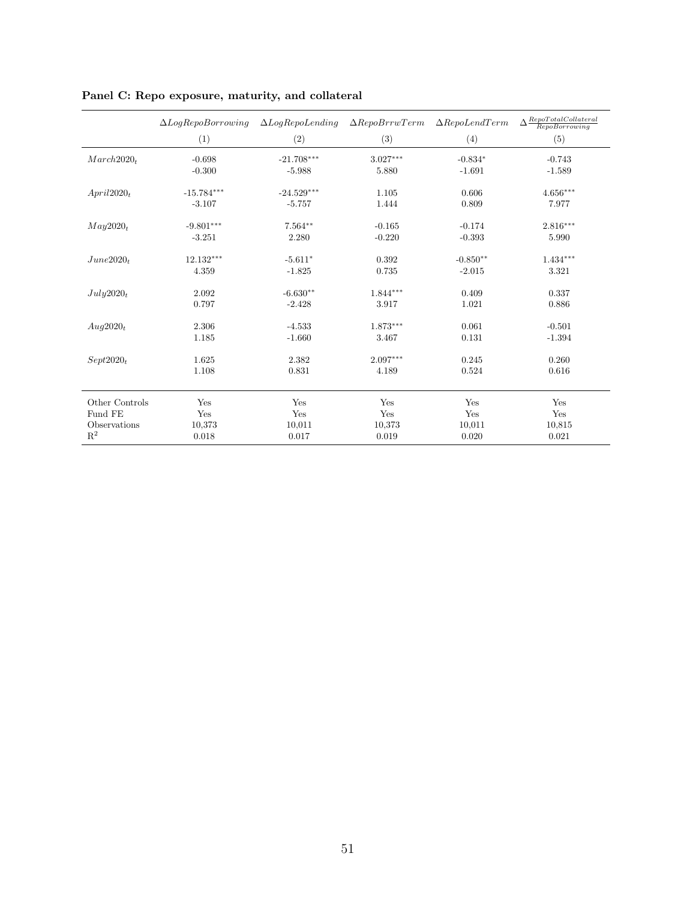|                        | $\Delta Log RepoBorrowing$ | $\Delta Log Repolending$ | $\Delta RepoBrrwTerm$ | $\Delta RepolendTerm$ | $\Delta \frac{\textit{Repof} \textit{totalCollateral}}{\textit{Repo} \textit{Borrowing}}$ |
|------------------------|----------------------------|--------------------------|-----------------------|-----------------------|-------------------------------------------------------------------------------------------|
|                        | (1)                        | (2)                      | (3)                   | (4)                   | (5)                                                                                       |
| March2020 <sub>t</sub> | $-0.698$                   | $-21.708***$             | $3.027***$            | $-0.834*$             | $-0.743$                                                                                  |
|                        | $-0.300$                   | $-5.988$                 | 5.880                 | $-1.691$              | $-1.589$                                                                                  |
| April2020 <sub>t</sub> | $-15.784***$               | $-24.529***$             | 1.105                 | 0.606                 | $4.656***$                                                                                |
|                        | $-3.107$                   | $-5.757$                 | 1.444                 | 0.809                 | 7.977                                                                                     |
| May2020 <sub>t</sub>   | $-9.801***$                | $7.564**$                | $-0.165$              | $-0.174$              | $2.816***$                                                                                |
|                        | $-3.251$                   | 2.280                    | $-0.220$              | $-0.393$              | 5.990                                                                                     |
| June2020 <sub>t</sub>  | 12.132***                  | $-5.611*$                | 0.392                 | $-0.850**$            | $1.434***$                                                                                |
|                        | 4.359                      | $-1.825$                 | 0.735                 | $-2.015$              | 3.321                                                                                     |
| July2020 <sub>t</sub>  | 2.092                      | $-6.630**$               | $1.844***$            | 0.409                 | 0.337                                                                                     |
|                        | 0.797                      | $-2.428$                 | 3.917                 | 1.021                 | 0.886                                                                                     |
| $Auq2020_t$            | 2.306                      | $-4.533$                 | $1.873***$            | 0.061                 | $-0.501$                                                                                  |
|                        | 1.185                      | $-1.660$                 | 3.467                 | 0.131                 | $-1.394$                                                                                  |
| Sept2020 <sub>t</sub>  | 1.625                      | 2.382                    | $2.097***$            | 0.245                 | 0.260                                                                                     |
|                        | 1.108                      | 0.831                    | 4.189                 | 0.524                 | 0.616                                                                                     |
| Other Controls         | Yes                        | Yes                      | Yes                   | Yes                   | Yes                                                                                       |
| Fund FE                | Yes                        | Yes                      | Yes                   | Yes                   | Yes                                                                                       |
| Observations           | 10,373                     | 10,011                   | 10,373                | 10,011                | 10,815                                                                                    |
| $\mathbf{R}^2$         | 0.018                      | 0.017                    | 0.019                 | 0.020                 | 0.021                                                                                     |

# Panel C: Repo exposure, maturity, and collateral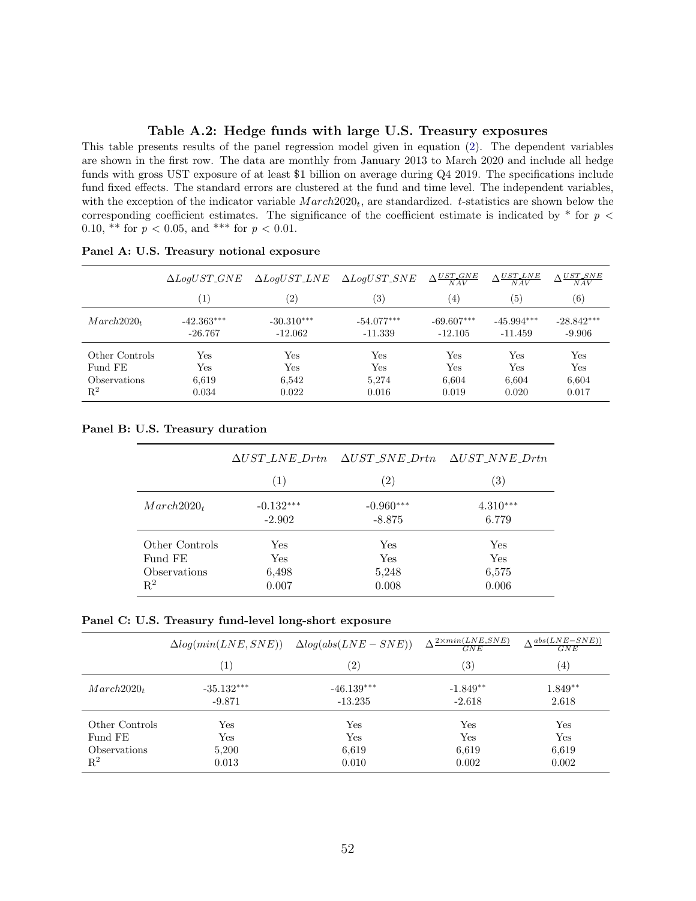## Table A.2: Hedge funds with large U.S. Treasury exposures

This table presents results of the panel regression model given in equation [\(2\)](#page-11-0). The dependent variables are shown in the first row. The data are monthly from January 2013 to March 2020 and include all hedge funds with gross UST exposure of at least \$1 billion on average during Q4 2019. The specifications include fund fixed effects. The standard errors are clustered at the fund and time level. The independent variables, with the exception of the indicator variable  $March2020<sub>t</sub>$ , are standardized. t-statistics are shown below the corresponding coefficient estimates. The significance of the coefficient estimate is indicated by  $*$  for  $p <$ 0.10, \*\* for  $p < 0.05$ , and \*\*\* for  $p < 0.01$ .

|                        | $\Delta LogUST\_GNE$ | $\Delta LogUST\_LNE$ | $\Delta LogUST\_SNE$ | $\Delta \frac{UST\_GNE}{NAV}$ | $\Delta \frac{UST\_LNE}{NAV}$ | $\Delta \frac{UST\_SNE}{NAV}$ |
|------------------------|----------------------|----------------------|----------------------|-------------------------------|-------------------------------|-------------------------------|
|                        | $\left(1\right)$     | $\left( 2\right)$    | $\left( 3\right)$    | $\left( 4\right)$             | (5)                           | (6)                           |
| March2020 <sub>t</sub> | $-42.363***$         | $-30.310***$         | $-54.077***$         | $-69.607***$                  | $-45.994***$                  | $-28.842***$                  |
|                        | $-26.767$            | $-12.062$            | $-11.339$            | $-12.105$                     | $-11.459$                     | $-9.906$                      |
| Other Controls         | Yes                  | Yes                  | Yes                  | Yes                           | Yes                           | Yes                           |
| Fund FE                | Yes                  | Yes                  | Yes                  | Yes                           | Yes                           | Yes                           |
| Observations           | 6,619                | 6,542                | 5,274                | 6,604                         | 6,604                         | 6,604                         |
| $\mathbb{R}^2$         | 0.034                | 0.022                | 0.016                | 0.019                         | 0.020                         | 0.017                         |

Panel A: U.S. Treasury notional exposure

#### Panel B: U.S. Treasury duration

|                        | $\Delta UST\_LNE\_Drtn$ | $\Delta UST$ SNE Drtn $\Delta UST$ NNE Drtn |                   |
|------------------------|-------------------------|---------------------------------------------|-------------------|
|                        | $\left(1\right)$        | 2)                                          | $\left( 3\right)$ |
| March2020 <sub>t</sub> | $-0.132***$             | $-0.960***$                                 | $4.310***$        |
|                        | $-2.902$                | $-8.875$                                    | 6.779             |
| Other Controls         | Yes                     | Yes                                         | Yes               |
| Fund FE                | Yes                     | Yes                                         | Yes               |
| Observations           | 6,498                   | 5,248                                       | 6,575             |
| $\mathrm{R}^2$         | 0.007                   | 0.008                                       | 0.006             |

|  |  | Panel C: U.S. Treasury fund-level long-short exposure |  |
|--|--|-------------------------------------------------------|--|
|  |  |                                                       |  |

|                        | $\Delta log(min(LNE, SNE))$ | $\Delta log(abs(LNE - SNE))$ | $\Delta \frac{2 \times min(LNE, SNE)}{2}$<br>GNE | $\Lambda$ abs(LNE-SNE))<br>GNE |
|------------------------|-----------------------------|------------------------------|--------------------------------------------------|--------------------------------|
|                        | $\left( 1\right)$           | $\left( 2\right)$            | $\left( 3\right)$                                | (4)                            |
| March2020 <sub>t</sub> | $-35.132***$                | $-46.139***$                 | $-1.849**$                                       | $1.849**$                      |
|                        | $-9.871$                    | $-13.235$                    | $-2.618$                                         | 2.618                          |
| Other Controls         | Yes                         | Yes                          | Yes                                              | $\operatorname{Yes}$           |
| Fund FE                | $\operatorname{Yes}$        | Yes                          | Yes                                              | Yes                            |
| Observations           | 5,200                       | 6,619                        | 6,619                                            | 6,619                          |
| $\mathbf{R}^2$         | 0.013                       | 0.010                        | 0.002                                            | 0.002                          |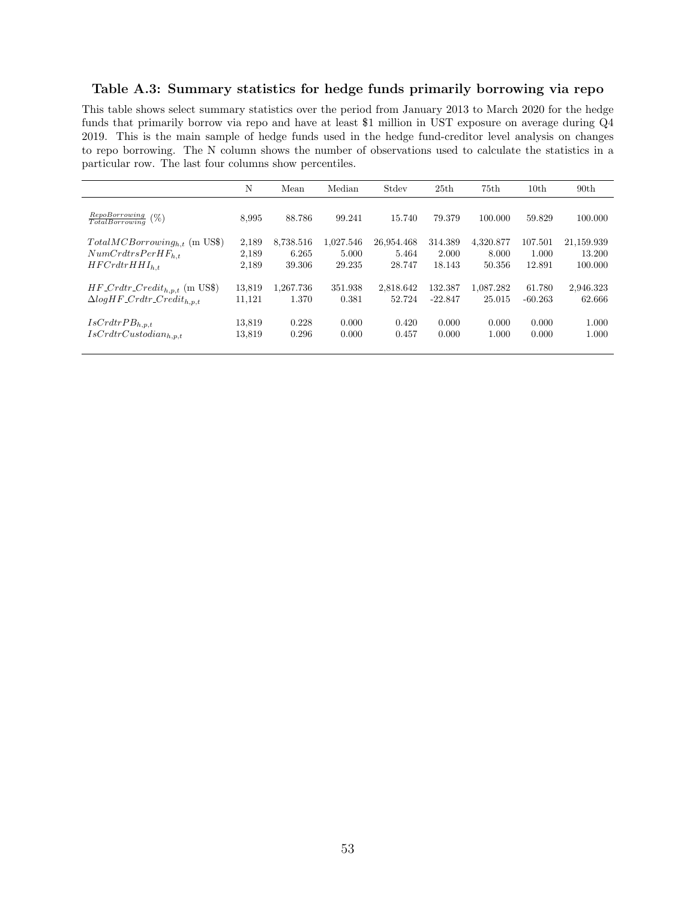## Table A.3: Summary statistics for hedge funds primarily borrowing via repo

This table shows select summary statistics over the period from January 2013 to March 2020 for the hedge funds that primarily borrow via repo and have at least \$1 million in UST exposure on average during Q4 2019. This is the main sample of hedge funds used in the hedge fund-creditor level analysis on changes to repo borrowing. The N column shows the number of observations used to calculate the statistics in a particular row. The last four columns show percentiles.

|                                                 | N      | Mean      | Median    | Stdev      | 25th      | 75th      | 10 <sub>th</sub> | 90 <sub>th</sub> |
|-------------------------------------------------|--------|-----------|-----------|------------|-----------|-----------|------------------|------------------|
| $\frac{RepoBorrowing}{TotalBorrowing}$<br>(%    | 8,995  | 88.786    | 99.241    | 15.740     | 79.379    | 100.000   | 59.829           | 100.000          |
| $Total MCBorrowing_{h.t.}$ (m US\$)             | 2,189  | 8,738.516 | 1,027.546 | 26,954.468 | 314.389   | 4,320.877 | 107.501          | 21,159.939       |
| $NumCrdtrsPer HF_{h.t.}$                        | 2,189  | 6.265     | 5.000     | 5.464      | 2.000     | 8.000     | 1.000            | 13.200           |
| $HFCrdrHHH_{h,t}$                               | 2,189  | 39.306    | 29.235    | 28.747     | 18.143    | 50.356    | 12.891           | 100.000          |
| $HF_Crdr_Credit_{h.p.t.}$ (m US\$)              | 13.819 | 1.267.736 | 351.938   | 2,818.642  | 132.387   | 1.087.282 | 61.780           | 2,946.323        |
| $\Delta log HF_C rdt$ r_Credit <sub>h.p.t</sub> | 11,121 | 1.370     | 0.381     | 52.724     | $-22.847$ | 25.015    | $-60.263$        | 62.666           |
| $IsCrdtrPB_{h,p,t}$                             | 13,819 | 0.228     | 0.000     | 0.420      | 0.000     | 0.000     | 0.000            | 1.000            |
| $IsCrdt rCustodian_{h,p,t}$                     | 13,819 | 0.296     | 0.000     | 0.457      | 0.000     | 1.000     | 0.000            | 1.000            |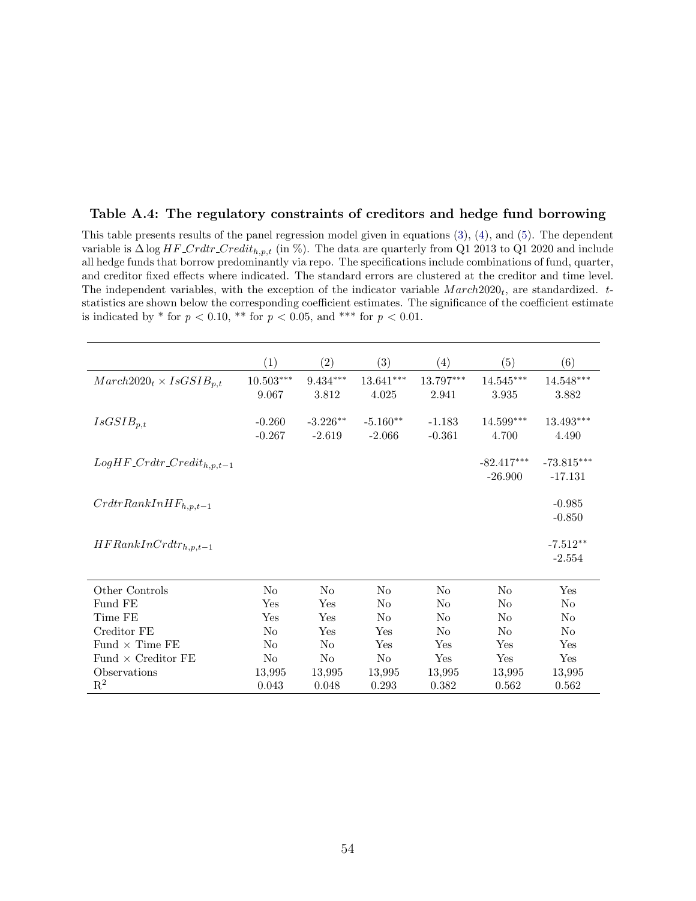### <span id="page-54-0"></span>Table A.4: The regulatory constraints of creditors and hedge fund borrowing

This table presents results of the panel regression model given in equations [\(3\)](#page-17-2), [\(4\)](#page-17-3), and [\(5\)](#page-17-4). The dependent variable is  $\Delta \log HF_{\textit{C}r} dtr_{\textit{C}r} e^{i\theta}$  (in %). The data are quarterly from Q1 2013 to Q1 2020 and include all hedge funds that borrow predominantly via repo. The specifications include combinations of fund, quarter, and creditor fixed effects where indicated. The standard errors are clustered at the creditor and time level. The independent variables, with the exception of the indicator variable  $March2020_t$ , are standardized.  $t$ statistics are shown below the corresponding coefficient estimates. The significance of the coefficient estimate is indicated by \* for  $p < 0.10$ , \*\* for  $p < 0.05$ , and \*\*\* for  $p < 0.01$ .

| $10.503***$<br>$March2020t \times IsGSIBp,t$<br>$9.434***$<br>13.641***<br>13.797***<br>$14.545***$<br>14.548***<br>9.067<br>3.812<br>4.025<br>2.941<br>3.935<br>3.882<br>$14.599***$<br>$IsGSIB_{p,t}$<br>$-0.260$<br>$-3.226**$<br>$-5.160**$<br>$13.493***$<br>$-1.183$<br>$-0.267$<br>$-2.619$<br>$-2.066$<br>$-0.361$<br>4.700<br>4.490<br>$-82.417***$<br>$Log HF_C rdt$ r_ $Credit_{h,p,t-1}$<br>$-73.815***$<br>$-26.900$<br>$-17.131$<br>$CrdtrRankInHF_{h,p,t-1}$<br>$-0.985$<br>$-0.850$ |                           | (1) | (2) | (3) | (4) | (5) | (6)        |
|-----------------------------------------------------------------------------------------------------------------------------------------------------------------------------------------------------------------------------------------------------------------------------------------------------------------------------------------------------------------------------------------------------------------------------------------------------------------------------------------------------|---------------------------|-----|-----|-----|-----|-----|------------|
|                                                                                                                                                                                                                                                                                                                                                                                                                                                                                                     |                           |     |     |     |     |     |            |
|                                                                                                                                                                                                                                                                                                                                                                                                                                                                                                     |                           |     |     |     |     |     |            |
|                                                                                                                                                                                                                                                                                                                                                                                                                                                                                                     |                           |     |     |     |     |     |            |
|                                                                                                                                                                                                                                                                                                                                                                                                                                                                                                     |                           |     |     |     |     |     |            |
|                                                                                                                                                                                                                                                                                                                                                                                                                                                                                                     |                           |     |     |     |     |     |            |
|                                                                                                                                                                                                                                                                                                                                                                                                                                                                                                     |                           |     |     |     |     |     |            |
|                                                                                                                                                                                                                                                                                                                                                                                                                                                                                                     |                           |     |     |     |     |     |            |
|                                                                                                                                                                                                                                                                                                                                                                                                                                                                                                     |                           |     |     |     |     |     |            |
|                                                                                                                                                                                                                                                                                                                                                                                                                                                                                                     |                           |     |     |     |     |     |            |
|                                                                                                                                                                                                                                                                                                                                                                                                                                                                                                     |                           |     |     |     |     |     |            |
|                                                                                                                                                                                                                                                                                                                                                                                                                                                                                                     |                           |     |     |     |     |     |            |
|                                                                                                                                                                                                                                                                                                                                                                                                                                                                                                     |                           |     |     |     |     |     |            |
|                                                                                                                                                                                                                                                                                                                                                                                                                                                                                                     | $HFRankInCrdtr_{h,p,t-1}$ |     |     |     |     |     | $-7.512**$ |
| $-2.554$                                                                                                                                                                                                                                                                                                                                                                                                                                                                                            |                           |     |     |     |     |     |            |
|                                                                                                                                                                                                                                                                                                                                                                                                                                                                                                     |                           |     |     |     |     |     |            |
| Other Controls<br>N <sub>0</sub><br>N <sub>o</sub><br>N <sub>o</sub><br>No<br>No<br>Yes                                                                                                                                                                                                                                                                                                                                                                                                             |                           |     |     |     |     |     |            |
| Fund FE<br>Yes<br>Yes<br>N <sub>0</sub><br>$\rm No$<br>N <sub>0</sub><br>N <sub>o</sub>                                                                                                                                                                                                                                                                                                                                                                                                             |                           |     |     |     |     |     |            |
| Time FE                                                                                                                                                                                                                                                                                                                                                                                                                                                                                             |                           |     |     |     |     |     |            |
| Yes<br>N <sub>0</sub><br>$\rm No$<br>N <sub>o</sub><br>Yes<br>No                                                                                                                                                                                                                                                                                                                                                                                                                                    |                           |     |     |     |     |     |            |
| Creditor FE<br>N <sub>o</sub><br>Yes<br>Yes<br>No<br>No<br>No                                                                                                                                                                                                                                                                                                                                                                                                                                       |                           |     |     |     |     |     |            |
| Fund $\times$ Time FE<br>N <sub>0</sub><br>Yes<br>Yes<br>Yes<br>Yes<br>N <sub>0</sub>                                                                                                                                                                                                                                                                                                                                                                                                               |                           |     |     |     |     |     |            |
| Fund $\times$ Creditor FE<br>No<br>No<br>Yes<br>Yes<br>N <sub>0</sub><br>Yes                                                                                                                                                                                                                                                                                                                                                                                                                        |                           |     |     |     |     |     |            |
| 13,995<br>Observations<br>13,995<br>13,995<br>13,995<br>13,995<br>13,995                                                                                                                                                                                                                                                                                                                                                                                                                            |                           |     |     |     |     |     |            |
| $\mathrm{R}^2$<br>0.043<br>0.048<br>0.293<br>0.382<br>0.562<br>0.562                                                                                                                                                                                                                                                                                                                                                                                                                                |                           |     |     |     |     |     |            |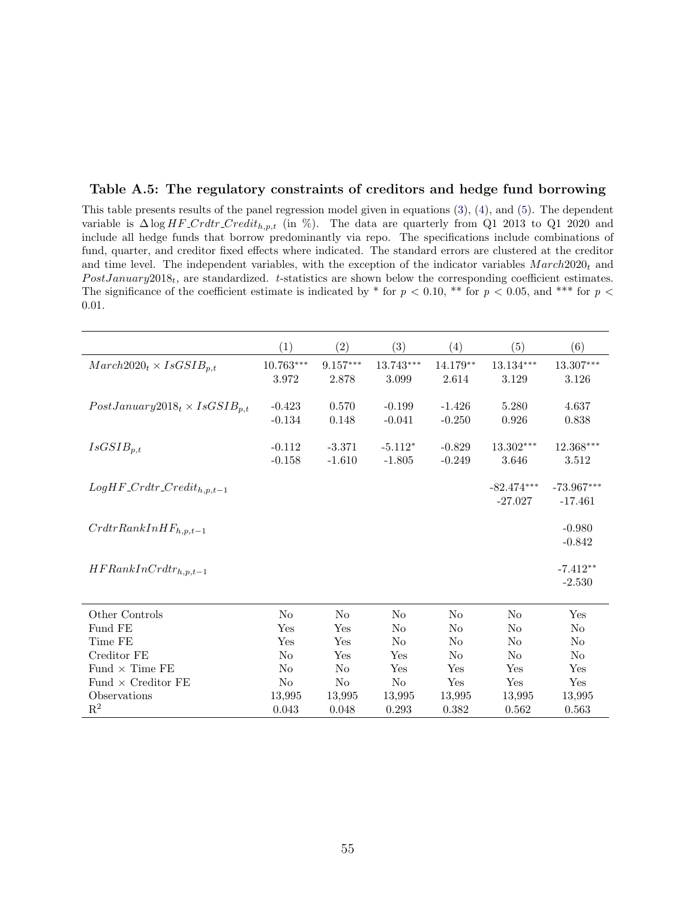## Table A.5: The regulatory constraints of creditors and hedge fund borrowing

This table presents results of the panel regression model given in equations [\(3\)](#page-17-2), [\(4\)](#page-17-3), and [\(5\)](#page-17-4). The dependent variable is  $\Delta \log HF_{\text{C}r}$  Credit<sub>h,p,t</sub> (in %). The data are quarterly from Q1 2013 to Q1 2020 and include all hedge funds that borrow predominantly via repo. The specifications include combinations of fund, quarter, and creditor fixed effects where indicated. The standard errors are clustered at the creditor and time level. The independent variables, with the exception of the indicator variables  $March2020<sub>t</sub>$  and  $PostJanuary2018<sub>t</sub>$ , are standardized. t-statistics are shown below the corresponding coefficient estimates. The significance of the coefficient estimate is indicated by  $*$  for  $p < 0.10$ ,  $**$  for  $p < 0.05$ , and  $***$  for  $p <$ 0.01.

|                                         | (1)            | (2)            | (3)            | (4)            | (5)                     | (6)            |
|-----------------------------------------|----------------|----------------|----------------|----------------|-------------------------|----------------|
| $March2020t \times IsGSIBp,t$           | $10.763***$    | $9.157***$     | $13.743***$    | 14.179**       | $13.134^{\ast\ast\ast}$ | 13.307***      |
|                                         | 3.972          | 2.878          | 3.099          | 2.614          | 3.129                   | 3.126          |
|                                         |                |                |                |                |                         |                |
| $PostJanuary2018_t \times IsGSIB_{p,t}$ | $-0.423$       | 0.570          | $-0.199$       | $-1.426$       | 5.280                   | 4.637          |
|                                         | $-0.134$       | 0.148          | $-0.041$       | $-0.250$       | 0.926                   | 0.838          |
| $IsGSIB_{p,t}$                          | $-0.112$       | $-3.371$       | $-5.112*$      | $-0.829$       | 13.302***               | 12.368***      |
|                                         | $-0.158$       | $-1.610$       | $-1.805$       | $-0.249$       | 3.646                   | 3.512          |
|                                         |                |                |                |                |                         |                |
| $Log HF_C rdt$ r_ $Credit_{h,p,t-1}$    |                |                |                |                | $-82.474***$            | $-73.967***$   |
|                                         |                |                |                |                | $-27.027$               | $-17.461$      |
|                                         |                |                |                |                |                         |                |
| $CrdtrRankInHF_{h,p,t-1}$               |                |                |                |                |                         | $-0.980$       |
|                                         |                |                |                |                |                         | $-0.842$       |
|                                         |                |                |                |                |                         |                |
| $HFRankInCrdtr_{h,p,t-1}$               |                |                |                |                |                         | $-7.412**$     |
|                                         |                |                |                |                |                         | $-2.530$       |
|                                         |                |                |                |                |                         |                |
| Other Controls<br>Fund FE               | N <sub>o</sub> | N <sub>o</sub> | N <sub>0</sub> | N <sub>0</sub> | N <sub>o</sub>          | Yes            |
|                                         | Yes            | Yes            | No             | N <sub>0</sub> | N <sub>o</sub>          | N <sub>0</sub> |
| Time FE                                 | Yes            | Yes            | No             | N <sub>0</sub> | N <sub>o</sub>          | N <sub>0</sub> |
| Creditor FE                             | No             | Yes            | Yes            | N <sub>0</sub> | N <sub>o</sub>          | No             |
| Fund $\times$ Time FE                   | N <sub>o</sub> | N <sub>o</sub> | Yes            | Yes            | Yes                     | Yes            |
| Fund $\times$ Creditor FE               | N <sub>o</sub> | N <sub>0</sub> | N <sub>o</sub> | Yes            | Yes                     | Yes            |
| Observations                            | 13,995         | 13,995         | 13,995         | 13,995         | 13,995                  | 13,995         |
| $\mathbf{R}^2$                          | 0.043          | 0.048          | 0.293          | 0.382          | 0.562                   | 0.563          |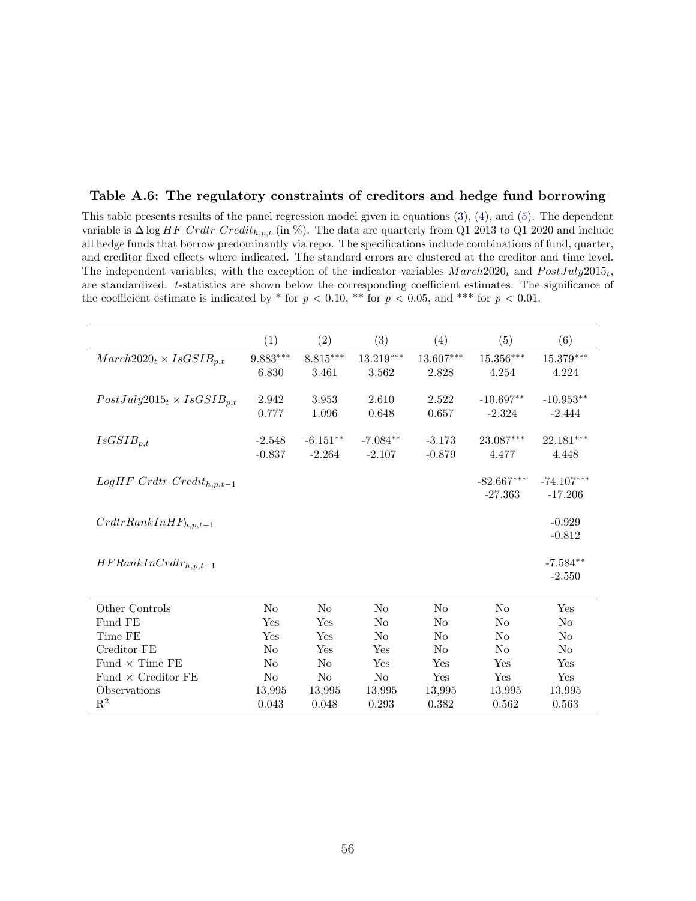# Table A.6: The regulatory constraints of creditors and hedge fund borrowing

This table presents results of the panel regression model given in equations [\(3\)](#page-17-2), [\(4\)](#page-17-3), and [\(5\)](#page-17-4). The dependent variable is  $\Delta \log HF_{\text{C}} r r dt$  Credit<sub>h,p,t</sub> (in %). The data are quarterly from Q1 2013 to Q1 2020 and include all hedge funds that borrow predominantly via repo. The specifications include combinations of fund, quarter, and creditor fixed effects where indicated. The standard errors are clustered at the creditor and time level. The independent variables, with the exception of the indicator variables  $March2020<sub>t</sub>$  and  $PostJuly2015<sub>t</sub>$ , are standardized. t-statistics are shown below the corresponding coefficient estimates. The significance of the coefficient estimate is indicated by  $*$  for  $p < 0.10$ ,  $**$  for  $p < 0.05$ , and  $**$  for  $p < 0.01$ .

|                                      | (1)            | (2)            | (3)            | (4)            | (5)            | (6)            |
|--------------------------------------|----------------|----------------|----------------|----------------|----------------|----------------|
| $March2020t \times IsGSIBp,t$        | $9.883***$     | $8.815***$     | $13.219***$    | 13.607***      | $15.356***$    | $15.379***$    |
|                                      | 6.830          | 3.461          | 3.562          | 2.828          | 4.254          | 4.224          |
|                                      |                |                |                |                |                |                |
| $PostJuly2015_t \times IsGSIB_{p,t}$ | 2.942          | 3.953          | 2.610          | 2.522          | $-10.697**$    | $-10.953**$    |
|                                      | 0.777          | 1.096          | 0.648          | 0.657          | $-2.324$       | $-2.444$       |
|                                      |                |                |                |                |                |                |
| $IsGSIB_{p,t}$                       | $-2.548$       | $-6.151**$     | $-7.084**$     | $-3.173$       | $23.087***$    | 22.181***      |
|                                      | $-0.837$       | $-2.264$       | $-2.107$       | $-0.879$       | 4.477          | 4.448          |
| $Log HF_C rdt$ r_ $Credit_{h,p,t-1}$ |                |                |                |                | $-82.667***$   | $-74.107***$   |
|                                      |                |                |                |                | $-27.363$      | $-17.206$      |
|                                      |                |                |                |                |                |                |
| $CrdtrRankInHF_{h,p,t-1}$            |                |                |                |                |                | $-0.929$       |
|                                      |                |                |                |                |                | $-0.812$       |
|                                      |                |                |                |                |                |                |
| $HFRankInCrdtr_{h,p,t-1}$            |                |                |                |                |                | $-7.584**$     |
|                                      |                |                |                |                |                | $-2.550$       |
|                                      |                |                |                |                |                |                |
| Other Controls                       | N <sub>0</sub> | N <sub>0</sub> | N <sub>0</sub> | N <sub>o</sub> | N <sub>0</sub> | Yes            |
| Fund FE                              | Yes            | Yes            | No             | No             | No             | N <sub>o</sub> |
| Time FE                              | Yes            | Yes            | No             | N <sub>o</sub> | No             | N <sub>o</sub> |
| Creditor FE                          | No             | Yes            | Yes            | N <sub>o</sub> | No             | N <sub>o</sub> |
| Fund $\times$ Time FE                | No             | No             | Yes            | Yes            | Yes            | Yes            |
| Fund $\times$ Creditor FE            | N <sub>o</sub> | N <sub>0</sub> | $\rm No$       | Yes            | Yes            | Yes            |
| Observations                         | 13,995         | 13,995         | 13,995         | 13,995         | 13,995         | 13,995         |
| $\mathbf{R}^2$                       | 0.043          | 0.048          | 0.293          | 0.382          | 0.562          | 0.563          |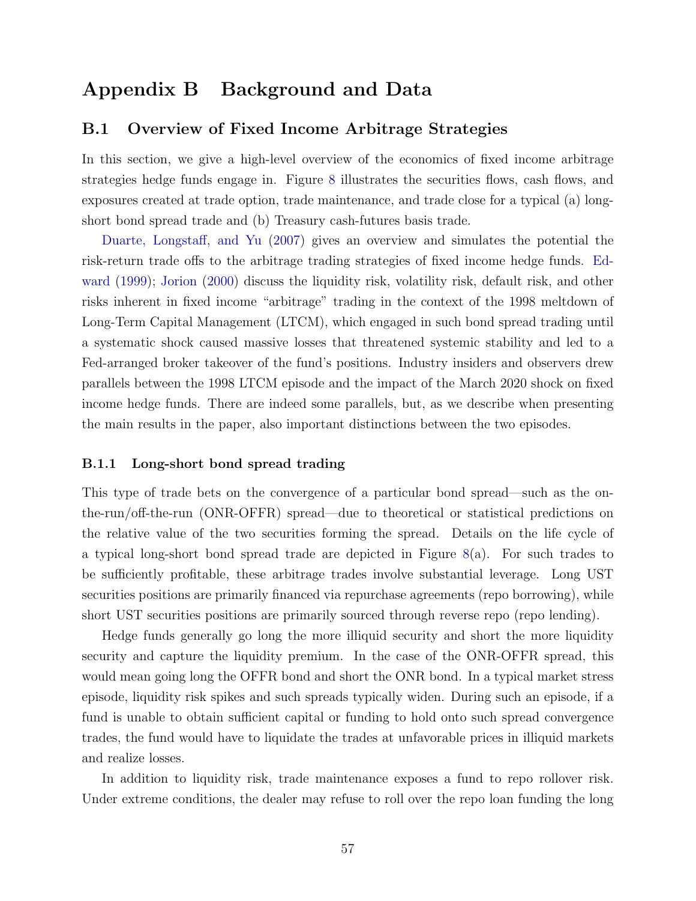# Appendix B Background and Data

# <span id="page-57-0"></span>B.1 Overview of Fixed Income Arbitrage Strategies

In this section, we give a high-level overview of the economics of fixed income arbitrage strategies hedge funds engage in. Figure [8](#page-37-0) illustrates the securities flows, cash flows, and exposures created at trade option, trade maintenance, and trade close for a typical (a) longshort bond spread trade and (b) Treasury cash-futures basis trade.

[Duarte, Longstaff, and Yu](#page-27-3) [\(2007\)](#page-27-3) gives an overview and simulates the potential the risk-return trade offs to the arbitrage trading strategies of fixed income hedge funds. [Ed](#page-27-2)[ward](#page-27-2) [\(1999\)](#page-27-2); [Jorion](#page-28-1) [\(2000\)](#page-28-1) discuss the liquidity risk, volatility risk, default risk, and other risks inherent in fixed income "arbitrage" trading in the context of the 1998 meltdown of Long-Term Capital Management (LTCM), which engaged in such bond spread trading until a systematic shock caused massive losses that threatened systemic stability and led to a Fed-arranged broker takeover of the fund's positions. Industry insiders and observers drew parallels between the 1998 LTCM episode and the impact of the March 2020 shock on fixed income hedge funds. There are indeed some parallels, but, as we describe when presenting the main results in the paper, also important distinctions between the two episodes.

### B.1.1 Long-short bond spread trading

This type of trade bets on the convergence of a particular bond spread—such as the onthe-run/off-the-run (ONR-OFFR) spread—due to theoretical or statistical predictions on the relative value of the two securities forming the spread. Details on the life cycle of a typical long-short bond spread trade are depicted in Figure [8\(](#page-37-0)a). For such trades to be sufficiently profitable, these arbitrage trades involve substantial leverage. Long UST securities positions are primarily financed via repurchase agreements (repo borrowing), while short UST securities positions are primarily sourced through reverse repo (repo lending).

Hedge funds generally go long the more illiquid security and short the more liquidity security and capture the liquidity premium. In the case of the ONR-OFFR spread, this would mean going long the OFFR bond and short the ONR bond. In a typical market stress episode, liquidity risk spikes and such spreads typically widen. During such an episode, if a fund is unable to obtain sufficient capital or funding to hold onto such spread convergence trades, the fund would have to liquidate the trades at unfavorable prices in illiquid markets and realize losses.

In addition to liquidity risk, trade maintenance exposes a fund to repo rollover risk. Under extreme conditions, the dealer may refuse to roll over the repo loan funding the long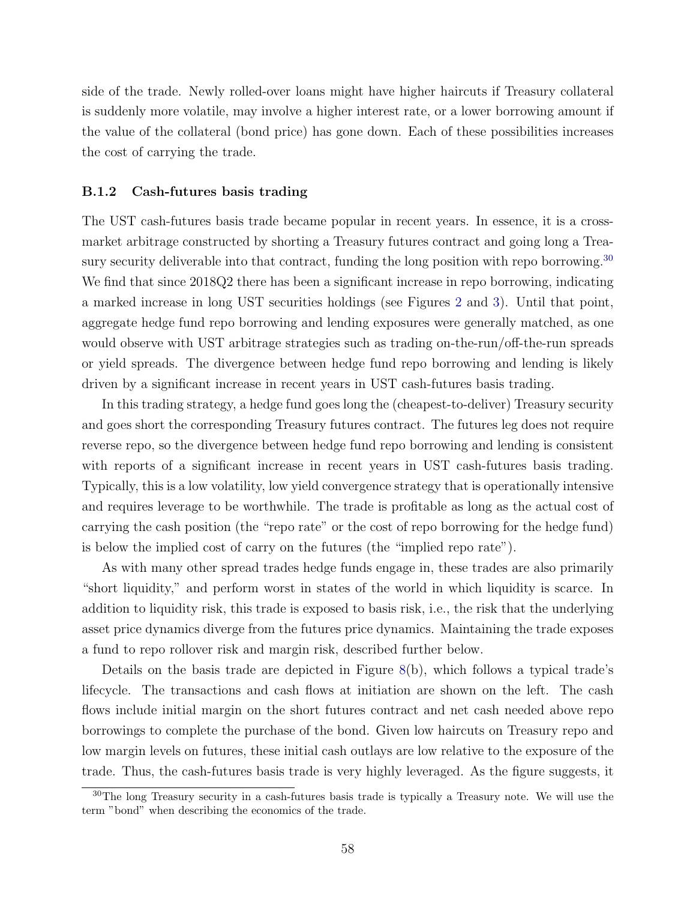side of the trade. Newly rolled-over loans might have higher haircuts if Treasury collateral is suddenly more volatile, may involve a higher interest rate, or a lower borrowing amount if the value of the collateral (bond price) has gone down. Each of these possibilities increases the cost of carrying the trade.

#### B.1.2 Cash-futures basis trading

The UST cash-futures basis trade became popular in recent years. In essence, it is a crossmarket arbitrage constructed by shorting a Treasury futures contract and going long a Trea-sury security deliverable into that contract, funding the long position with repo borrowing.<sup>[30](#page-58-0)</sup> We find that since  $2018Q2$  there has been a significant increase in repo borrowing, indicating a marked increase in long UST securities holdings (see Figures [2](#page-31-0) and [3\)](#page-32-0). Until that point, aggregate hedge fund repo borrowing and lending exposures were generally matched, as one would observe with UST arbitrage strategies such as trading on-the-run/off-the-run spreads or yield spreads. The divergence between hedge fund repo borrowing and lending is likely driven by a significant increase in recent years in UST cash-futures basis trading.

In this trading strategy, a hedge fund goes long the (cheapest-to-deliver) Treasury security and goes short the corresponding Treasury futures contract. The futures leg does not require reverse repo, so the divergence between hedge fund repo borrowing and lending is consistent with reports of a significant increase in recent years in UST cash-futures basis trading. Typically, this is a low volatility, low yield convergence strategy that is operationally intensive and requires leverage to be worthwhile. The trade is profitable as long as the actual cost of carrying the cash position (the "repo rate" or the cost of repo borrowing for the hedge fund) is below the implied cost of carry on the futures (the "implied repo rate").

As with many other spread trades hedge funds engage in, these trades are also primarily "short liquidity," and perform worst in states of the world in which liquidity is scarce. In addition to liquidity risk, this trade is exposed to basis risk, i.e., the risk that the underlying asset price dynamics diverge from the futures price dynamics. Maintaining the trade exposes a fund to repo rollover risk and margin risk, described further below.

Details on the basis trade are depicted in Figure [8\(](#page-37-0)b), which follows a typical trade's lifecycle. The transactions and cash flows at initiation are shown on the left. The cash flows include initial margin on the short futures contract and net cash needed above repo borrowings to complete the purchase of the bond. Given low haircuts on Treasury repo and low margin levels on futures, these initial cash outlays are low relative to the exposure of the trade. Thus, the cash-futures basis trade is very highly leveraged. As the figure suggests, it

<span id="page-58-0"></span><sup>&</sup>lt;sup>30</sup>The long Treasury security in a cash-futures basis trade is typically a Treasury note. We will use the term "bond" when describing the economics of the trade.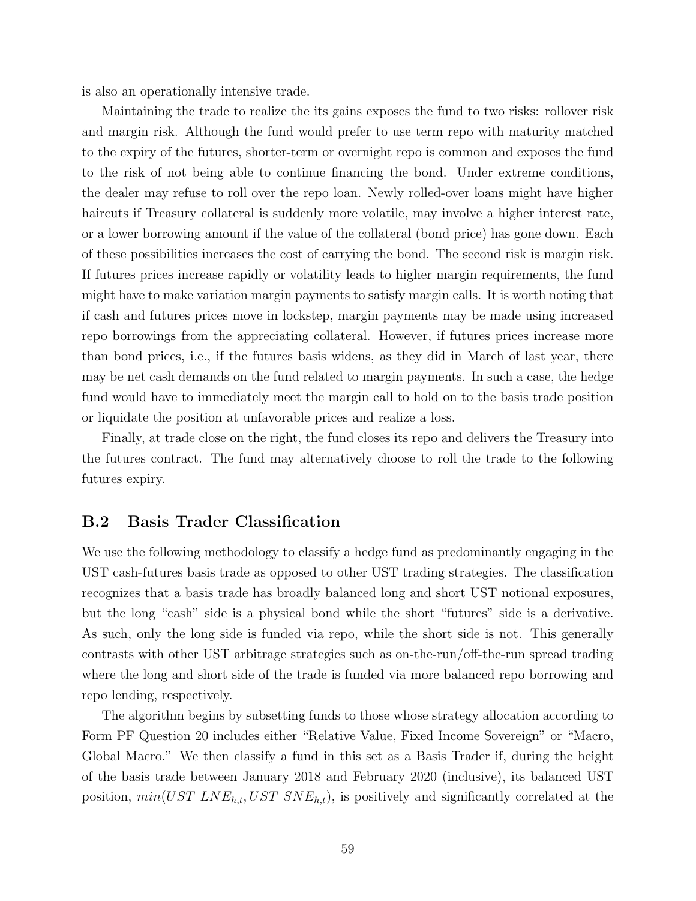is also an operationally intensive trade.

Maintaining the trade to realize the its gains exposes the fund to two risks: rollover risk and margin risk. Although the fund would prefer to use term repo with maturity matched to the expiry of the futures, shorter-term or overnight repo is common and exposes the fund to the risk of not being able to continue financing the bond. Under extreme conditions, the dealer may refuse to roll over the repo loan. Newly rolled-over loans might have higher haircuts if Treasury collateral is suddenly more volatile, may involve a higher interest rate, or a lower borrowing amount if the value of the collateral (bond price) has gone down. Each of these possibilities increases the cost of carrying the bond. The second risk is margin risk. If futures prices increase rapidly or volatility leads to higher margin requirements, the fund might have to make variation margin payments to satisfy margin calls. It is worth noting that if cash and futures prices move in lockstep, margin payments may be made using increased repo borrowings from the appreciating collateral. However, if futures prices increase more than bond prices, i.e., if the futures basis widens, as they did in March of last year, there may be net cash demands on the fund related to margin payments. In such a case, the hedge fund would have to immediately meet the margin call to hold on to the basis trade position or liquidate the position at unfavorable prices and realize a loss.

Finally, at trade close on the right, the fund closes its repo and delivers the Treasury into the futures contract. The fund may alternatively choose to roll the trade to the following futures expiry.

# <span id="page-59-0"></span>B.2 Basis Trader Classification

We use the following methodology to classify a hedge fund as predominantly engaging in the UST cash-futures basis trade as opposed to other UST trading strategies. The classification recognizes that a basis trade has broadly balanced long and short UST notional exposures, but the long "cash" side is a physical bond while the short "futures" side is a derivative. As such, only the long side is funded via repo, while the short side is not. This generally contrasts with other UST arbitrage strategies such as on-the-run/off-the-run spread trading where the long and short side of the trade is funded via more balanced repo borrowing and repo lending, respectively.

The algorithm begins by subsetting funds to those whose strategy allocation according to Form PF Question 20 includes either "Relative Value, Fixed Income Sovereign" or "Macro, Global Macro." We then classify a fund in this set as a Basis Trader if, during the height of the basis trade between January 2018 and February 2020 (inclusive), its balanced UST position,  $min(UST\_LNE_{h,t},UST\_SNE_{h,t})$ , is positively and significantly correlated at the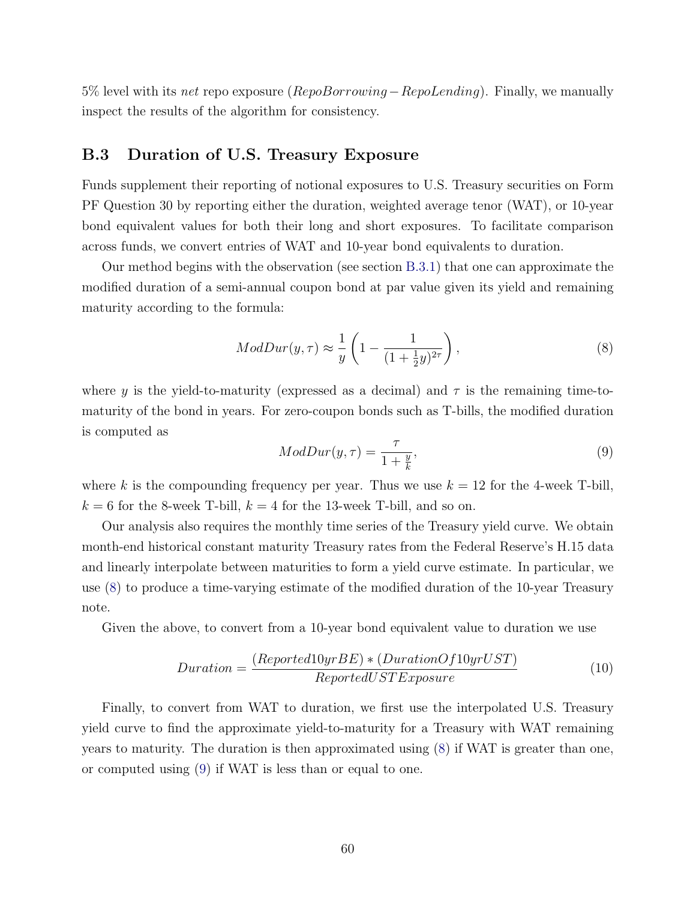5% level with its net repo exposure (RepoBorrowing−RepoLending). Finally, we manually inspect the results of the algorithm for consistency.

# <span id="page-60-0"></span>B.3 Duration of U.S. Treasury Exposure

Funds supplement their reporting of notional exposures to U.S. Treasury securities on Form PF Question 30 by reporting either the duration, weighted average tenor (WAT), or 10-year bond equivalent values for both their long and short exposures. To facilitate comparison across funds, we convert entries of WAT and 10-year bond equivalents to duration.

Our method begins with the observation (see section [B.3.1\)](#page-61-0) that one can approximate the modified duration of a semi-annual coupon bond at par value given its yield and remaining maturity according to the formula:

<span id="page-60-1"></span>
$$
ModDur(y, \tau) \approx \frac{1}{y} \left( 1 - \frac{1}{(1 + \frac{1}{2}y)^{2\tau}} \right),\tag{8}
$$

where y is the yield-to-maturity (expressed as a decimal) and  $\tau$  is the remaining time-tomaturity of the bond in years. For zero-coupon bonds such as T-bills, the modified duration is computed as

<span id="page-60-2"></span>
$$
ModDur(y, \tau) = \frac{\tau}{1 + \frac{y}{k}},\tag{9}
$$

where k is the compounding frequency per year. Thus we use  $k = 12$  for the 4-week T-bill,  $k = 6$  for the 8-week T-bill,  $k = 4$  for the 13-week T-bill, and so on.

Our analysis also requires the monthly time series of the Treasury yield curve. We obtain month-end historical constant maturity Treasury rates from the Federal Reserve's H.15 data and linearly interpolate between maturities to form a yield curve estimate. In particular, we use [\(8\)](#page-60-1) to produce a time-varying estimate of the modified duration of the 10-year Treasury note.

Given the above, to convert from a 10-year bond equivalent value to duration we use

<span id="page-60-3"></span>
$$
Duration = \frac{(Reported10yrBE) * (DurationOf10yrUST)}{ReportedUSTExposure}
$$
\n(10)

Finally, to convert from WAT to duration, we first use the interpolated U.S. Treasury yield curve to find the approximate yield-to-maturity for a Treasury with WAT remaining years to maturity. The duration is then approximated using [\(8\)](#page-60-1) if WAT is greater than one, or computed using [\(9\)](#page-60-2) if WAT is less than or equal to one.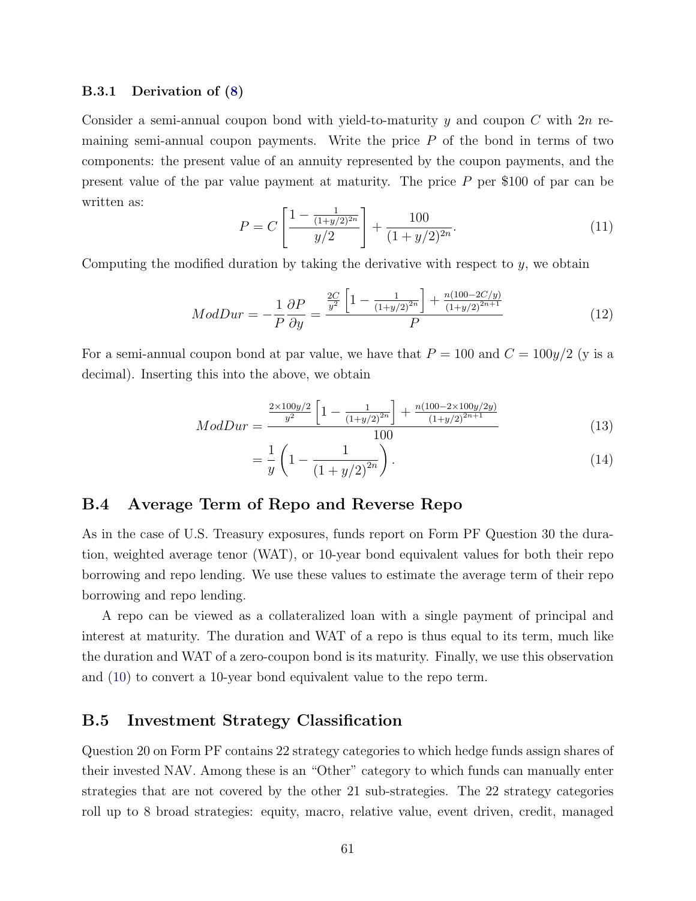#### <span id="page-61-0"></span>B.3.1 Derivation of [\(8\)](#page-60-1)

Consider a semi-annual coupon bond with yield-to-maturity y and coupon  $C$  with  $2n$  remaining semi-annual coupon payments. Write the price  $P$  of the bond in terms of two components: the present value of an annuity represented by the coupon payments, and the present value of the par value payment at maturity. The price P per \$100 of par can be written as:

$$
P = C \left[ \frac{1 - \frac{1}{(1+y/2)^{2n}}}{y/2} \right] + \frac{100}{(1+y/2)^{2n}}.
$$
\n(11)

Computing the modified duration by taking the derivative with respect to  $y$ , we obtain

$$
ModDur = -\frac{1}{P}\frac{\partial P}{\partial y} = \frac{\frac{2C}{y^2}\left[1 - \frac{1}{(1+y/2)^{2n}}\right] + \frac{n(100 - 2C/y)}{(1+y/2)^{2n+1}}}{P}
$$
(12)

For a semi-annual coupon bond at par value, we have that  $P = 100$  and  $C = 100y/2$  (y is a decimal). Inserting this into the above, we obtain

$$
ModDur = \frac{\frac{2 \times 100y/2}{y^2} \left[1 - \frac{1}{(1 + y/2)^{2n}}\right] + \frac{n(100 - 2 \times 100y/2y)}{(1 + y/2)^{2n + 1}}}{100}
$$
(13)

$$
=\frac{1}{y}\left(1-\frac{1}{(1+y/2)^{2n}}\right).
$$
\n(14)

# B.4 Average Term of Repo and Reverse Repo

As in the case of U.S. Treasury exposures, funds report on Form PF Question 30 the duration, weighted average tenor (WAT), or 10-year bond equivalent values for both their repo borrowing and repo lending. We use these values to estimate the average term of their repo borrowing and repo lending.

A repo can be viewed as a collateralized loan with a single payment of principal and interest at maturity. The duration and WAT of a repo is thus equal to its term, much like the duration and WAT of a zero-coupon bond is its maturity. Finally, we use this observation and [\(10\)](#page-60-3) to convert a 10-year bond equivalent value to the repo term.

# B.5 Investment Strategy Classification

Question 20 on Form PF contains 22 strategy categories to which hedge funds assign shares of their invested NAV. Among these is an "Other" category to which funds can manually enter strategies that are not covered by the other 21 sub-strategies. The 22 strategy categories roll up to 8 broad strategies: equity, macro, relative value, event driven, credit, managed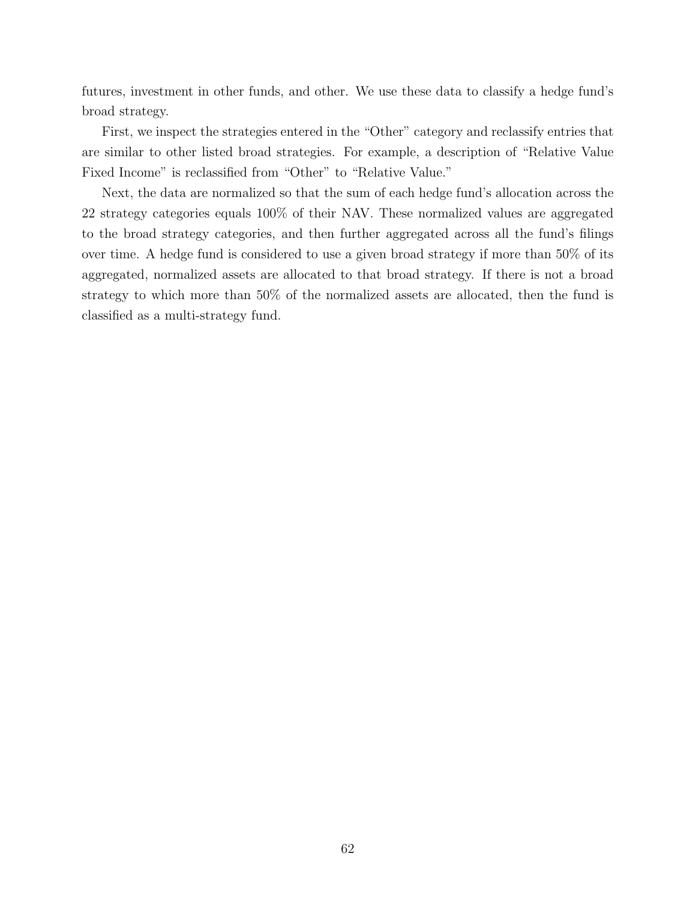futures, investment in other funds, and other. We use these data to classify a hedge fund's broad strategy.

First, we inspect the strategies entered in the "Other" category and reclassify entries that are similar to other listed broad strategies. For example, a description of "Relative Value Fixed Income" is reclassified from "Other" to "Relative Value."

Next, the data are normalized so that the sum of each hedge fund's allocation across the 22 strategy categories equals 100% of their NAV. These normalized values are aggregated to the broad strategy categories, and then further aggregated across all the fund's filings over time. A hedge fund is considered to use a given broad strategy if more than 50% of its aggregated, normalized assets are allocated to that broad strategy. If there is not a broad strategy to which more than 50% of the normalized assets are allocated, then the fund is classified as a multi-strategy fund.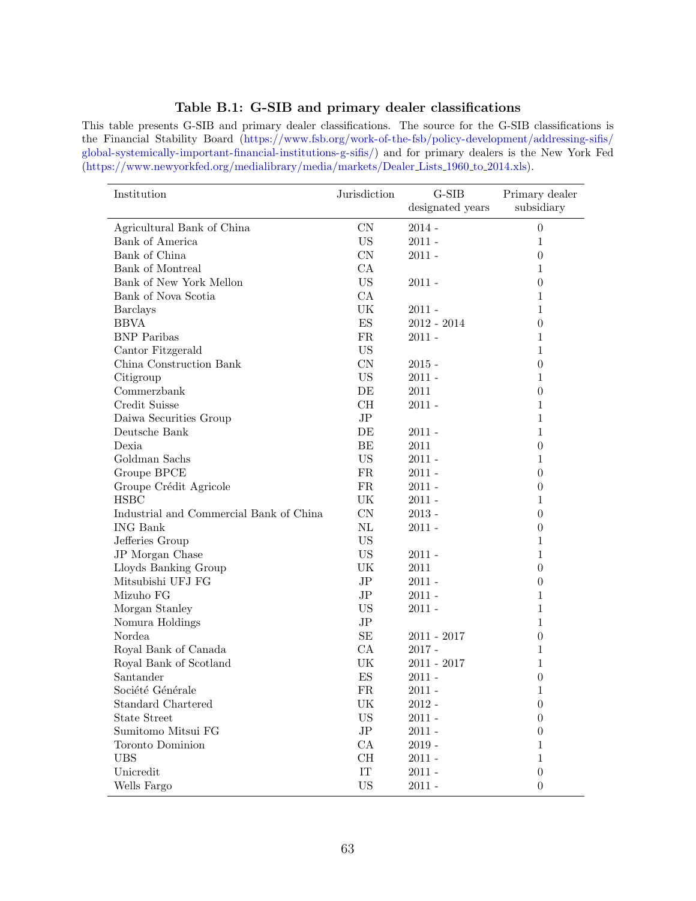# Table B.1: G-SIB and primary dealer classifications

<span id="page-63-0"></span>This table presents G-SIB and primary dealer classifications. The source for the G-SIB classifications is the Financial Stability Board [\(https://www.fsb.org/work-of-the-fsb/policy-development/addressing-sifis/](https://www.fsb.org/work-of-the-fsb/policy-development/addressing-sifis/global-systemically-important-financial-institutions-g-sifis/) [global-systemically-important-financial-institutions-g-sifis/\)](https://www.fsb.org/work-of-the-fsb/policy-development/addressing-sifis/global-systemically-important-financial-institutions-g-sifis/) and for primary dealers is the New York Fed [\(https://www.newyorkfed.org/medialibrary/media/markets/Dealer](https://www.newyorkfed.org/medialibrary/media/markets/Dealer_Lists_1960_to_2014.xls) Lists 1960 to 2014.xls).

| Institution                             | Jurisdiction             | $G-SIB$          | Primary dealer   |
|-----------------------------------------|--------------------------|------------------|------------------|
|                                         |                          | designated years | subsidiary       |
| Agricultural Bank of China              | CN                       | $2014 -$         | $\boldsymbol{0}$ |
| <b>Bank of America</b>                  | <b>US</b>                | $2011 -$         | 1                |
| Bank of China                           | $\mbox{CN}$              | $2011 -$         | $\boldsymbol{0}$ |
| Bank of Montreal                        | CA                       |                  | $\mathbf{1}$     |
| Bank of New York Mellon                 | <b>US</b>                | $2011 -$         | $\boldsymbol{0}$ |
| Bank of Nova Scotia                     | CA                       |                  | $\mathbf{1}$     |
| <b>Barclays</b>                         | UK                       | $2011 -$         | $\mathbf{1}$     |
| <b>BBVA</b>                             | $\mathop{\hbox{\rm ES}}$ | $2012 - 2014$    | $\boldsymbol{0}$ |
| <b>BNP</b> Paribas                      | FR                       | $2011 -$         | $\mathbf{1}$     |
| Cantor Fitzgerald                       | <b>US</b>                |                  | $\mathbf{1}$     |
| China Construction Bank                 | $\mbox{CN}$              | $2015 -$         | $\boldsymbol{0}$ |
| Citigroup                               | <b>US</b>                | $2011 -$         | $\mathbf{1}$     |
| Commerzbank                             | DE                       | 2011             | $\boldsymbol{0}$ |
| Credit Suisse                           | CH                       | $2011 -$         | $\mathbf{1}$     |
| Daiwa Securities Group                  | $\rm{JP}$                |                  | $\mathbf{1}$     |
| Deutsche Bank                           | DE                       | $2011 -$         | $\mathbf{1}$     |
| Dexia                                   | BE                       | 2011             | $\boldsymbol{0}$ |
| Goldman Sachs                           | <b>US</b>                | $2011 -$         | $\mathbf{1}$     |
| Groupe BPCE                             | FR                       | $2011 -$         | $\boldsymbol{0}$ |
| Groupe Crédit Agricole                  | FR                       | $2011 -$         | $\boldsymbol{0}$ |
| <b>HSBC</b>                             | UK                       | $2011 -$         | $\mathbf{1}$     |
| Industrial and Commercial Bank of China | $\mbox{CN}$              | $2013 -$         | $\boldsymbol{0}$ |
| <b>ING Bank</b>                         | $\rm NL$                 | $2011 -$         | $\boldsymbol{0}$ |
| Jefferies Group                         | <b>US</b>                |                  | $\mathbf{1}$     |
| JP Morgan Chase                         | <b>US</b>                | $2011 -$         | $\mathbf{1}$     |
| Lloyds Banking Group                    | UK                       | 2011             | $\boldsymbol{0}$ |
| Mitsubishi UFJ FG                       | $\rm{JP}$                | $2011 -$         | $\boldsymbol{0}$ |
| Mizuho FG                               | $\rm{JP}$                | $2011 -$         | 1                |
| Morgan Stanley                          | <b>US</b>                | $2011 -$         | $\mathbf{1}$     |
| Nomura Holdings                         | $\rm{JP}$                |                  | $\mathbf{1}$     |
| Nordea                                  | SE                       | $2011 - 2017$    | $\boldsymbol{0}$ |
| Royal Bank of Canada                    | CA                       | $2017 -$         | 1                |
| Royal Bank of Scotland                  | UK                       | $2011 - 2017$    | 1                |
| Santander                               | ES                       | $2011 -$         | $\boldsymbol{0}$ |
| Société Générale                        | FR                       | $2011 -$         | 1                |
| <b>Standard Chartered</b>               | UK                       | $2012 -$         | $\theta$         |
| <b>State Street</b>                     | <b>US</b>                | $2011 -$         | $\overline{0}$   |
| Sumitomo Mitsui FG                      | $\rm{JP}$                | $2011 -$         | $\theta$         |
| Toronto Dominion                        | CA                       | $2019 -$         | 1                |
| UBS                                     | CH                       | $2011 -$         | $\mathbf{1}$     |
| Unicredit                               | $\ensuremath{\text{IT}}$ | $2011 -$         | $\boldsymbol{0}$ |
| Wells Fargo                             | <b>US</b>                | 2011 -           | $\overline{0}$   |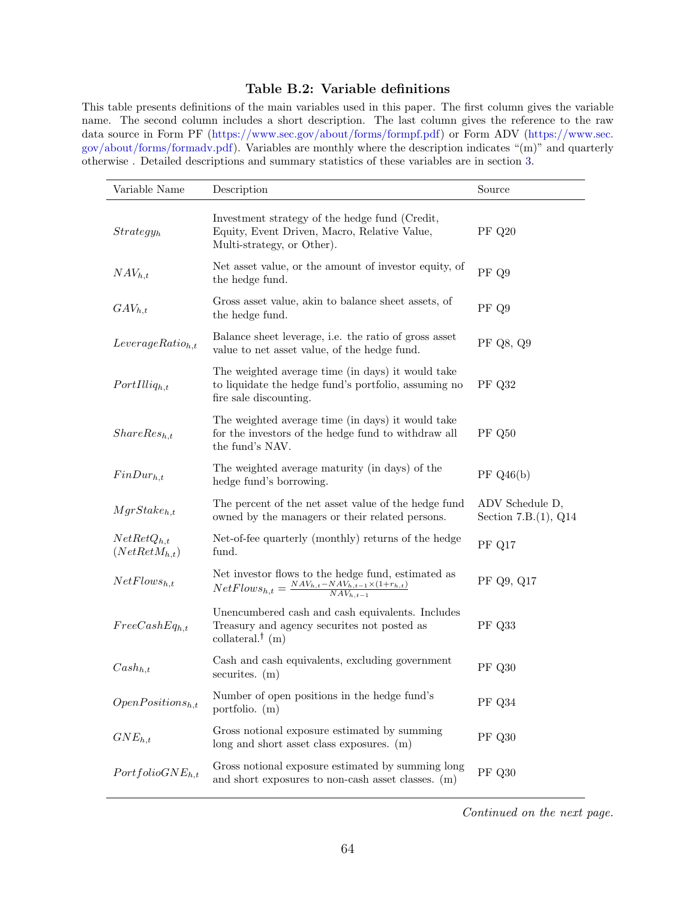# Table B.2: Variable definitions

<span id="page-64-0"></span>This table presents definitions of the main variables used in this paper. The first column gives the variable name. The second column includes a short description. The last column gives the reference to the raw data source in Form PF [\(https://www.sec.gov/about/forms/formpf.pdf\)](https://www.sec.gov/about/forms/formpf.pdf) or Form ADV [\(https://www.sec.](https://www.sec.gov/about/forms/formadv.pdf) [gov/about/forms/formadv.pdf\)](https://www.sec.gov/about/forms/formadv.pdf). Variables are monthly where the description indicates "(m)" and quarterly otherwise . Detailed descriptions and summary statistics of these variables are in section [3.](#page-9-2)

| Variable Name                        | Description                                                                                                                               | Source                                    |
|--------------------------------------|-------------------------------------------------------------------------------------------------------------------------------------------|-------------------------------------------|
| Strategy <sub>h</sub>                | Investment strategy of the hedge fund (Credit,<br>Equity, Event Driven, Macro, Relative Value,<br>Multi-strategy, or Other).              | <b>PF Q20</b>                             |
| $NAV_{h,t}$                          | Net asset value, or the amount of investor equity, of<br>the hedge fund.                                                                  | PF Q9                                     |
| $GAV_{h,t}$                          | Gross asset value, akin to balance sheet assets, of<br>the hedge fund.                                                                    | PF Q9                                     |
| $LeverageRatio_{h,t}$                | Balance sheet leverage, i.e. the ratio of gross asset<br>value to net asset value, of the hedge fund.                                     | PF Q8, Q9                                 |
| $Portilliq_{h,t}$                    | The weighted average time (in days) it would take<br>to liquidate the hedge fund's portfolio, assuming no<br>fire sale discounting.       | PF Q32                                    |
| $ShareRes_{h,t}$                     | The weighted average time (in days) it would take<br>for the investors of the hedge fund to withdraw all<br>the fund's NAV.               | <b>PF Q50</b>                             |
| $FinDur_{h,t}$                       | The weighted average maturity (in days) of the<br>hedge fund's borrowing.                                                                 | PFQ46(b)                                  |
| $MgrStake_{h,t}$                     | The percent of the net asset value of the hedge fund<br>owned by the managers or their related persons.                                   | ADV Schedule D,<br>Section $7.B.(1), Q14$ |
| $NetRetQ_{h.t}$<br>$(NetRetM_{h,t})$ | Net-of-fee quarterly (monthly) returns of the hedge<br>fund.                                                                              | PF Q17                                    |
| $NetFlows_{h,t}$                     | Net investor flows to the hedge fund, estimated as<br>$NetFlows_{h,t} = \frac{NAV_{h,t} - NAV_{h,t-1} \times (1 + r_{h,t})}{NAV_{h,t-1}}$ | PF Q9, Q17                                |
| $FreeCashEq_{h,t}$                   | Unencumbered cash and cash equivalents. Includes<br>Treasury and agency securites not posted as<br>collateral. <sup>†</sup> $(m)$         | PF Q33                                    |
| $Cash_{h,t}$                         | Cash and cash equivalents, excluding government<br>securities. $(m)$                                                                      | <b>PF Q30</b>                             |
| $OpenPositions_{h,t}$                | Number of open positions in the hedge fund's<br>portfolio. (m)                                                                            | PF Q34                                    |
| $GNE_{h,t}$                          | Gross notional exposure estimated by summing<br>long and short asset class exposures. (m)                                                 | <b>PF Q30</b>                             |
| $Portfolio GNE_{h,t}$                | Gross notional exposure estimated by summing long<br>and short exposures to non-cash asset classes. (m)                                   | <b>PF Q30</b>                             |

Continued on the next page.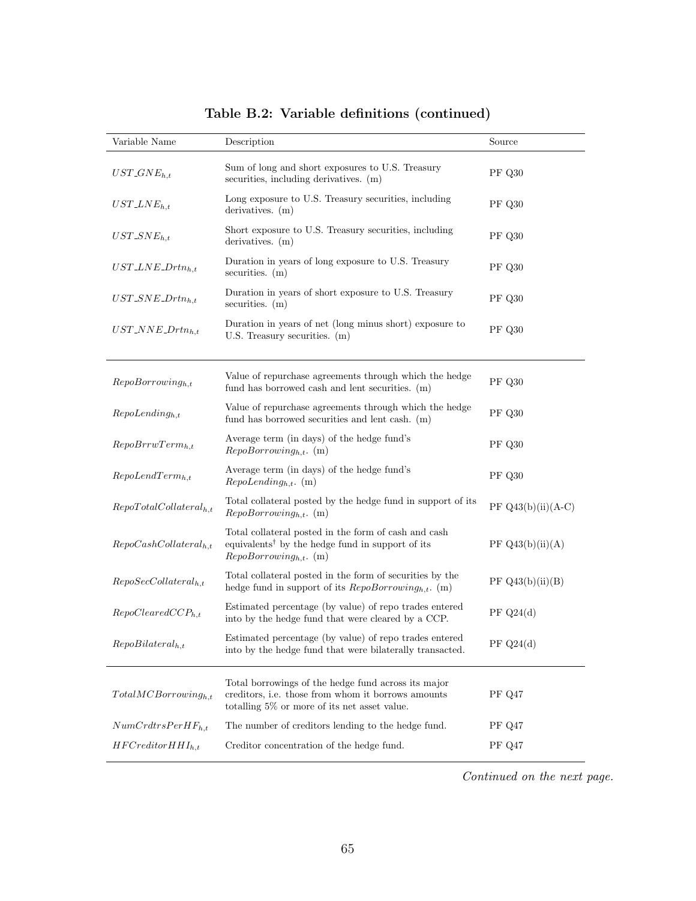| Variable Name                       | Description                                                                                                                                               | Source               |
|-------------------------------------|-----------------------------------------------------------------------------------------------------------------------------------------------------------|----------------------|
| $UST\_GNE_{h,t}$                    | Sum of long and short exposures to U.S. Treasury<br>securities, including derivatives. (m)                                                                | PF Q30               |
| $UST\_LNE_{h,t}$                    | Long exposure to U.S. Treasury securities, including<br>derivatives. $(m)$                                                                                | PF Q30               |
| $UST\_SNE_{h,t}$                    | Short exposure to U.S. Treasury securities, including<br>derivatives. (m)                                                                                 | PF Q30               |
| $UST\_LNE\_Drtn_{h.t}$              | Duration in years of long exposure to U.S. Treasury<br>securities. $(m)$                                                                                  | PF Q30               |
| $UST\_SNE\_Drtn_{h,t}$              | Duration in years of short exposure to U.S. Treasury<br>securities. $(m)$                                                                                 | PF Q30               |
| $UST\_NNE\_Drtn_{h,t}$              | Duration in years of net (long minus short) exposure to<br>$U.S.$ Treasury securities. $(m)$                                                              | PF Q30               |
| $RepoBorrowing_{h,t}$               | Value of repurchase agreements through which the hedge<br>fund has borrowed cash and lent securities. (m)                                                 | PF Q30               |
| $RepoLending_{h,t}$                 | Value of repurchase agreements through which the hedge<br>fund has borrowed securities and lent cash. (m)                                                 | PF Q30               |
| $_{\mathit{RepoBrrwTerm}_{h,t}}$    | Average term (in days) of the hedge fund's<br>$RepoBorrowing_{h,t}.$ (m)                                                                                  | PF Q30               |
| $RepoLendTerm_{h,t}$                | Average term (in days) of the hedge fund's<br>$Repolending_{h,t}.$ (m)                                                                                    | PF Q30               |
| $RepoTotalCollateral_{h,t}$         | Total collateral posted by the hedge fund in support of its<br>$RepoBorrowing_{h,t}.$ (m)                                                                 | PF $Q43(b)(ii)(A-C)$ |
| $\mathbb{R}epoCashCollateral_{h,t}$ | Total collateral posted in the form of cash and cash<br>equivalents <sup>†</sup> by the hedge fund in support of its<br>$RepoBorrowing_{h,t}.$ (m)        | PF $Q43(b)(ii)(A)$   |
| $RepoSecCollateral_{h,t}$           | Total collateral posted in the form of securities by the<br>hedge fund in support of its $RepoBorrowing_{h,t}.$ (m)                                       | PF Q43(b)(ii)(B)     |
| $RepoClearedCCP_{h,t}$              | Estimated percentage (by value) of repo trades entered<br>into by the hedge fund that were cleared by a CCP.                                              | PF Q24(d)            |
| $RepoBilateral_{h,t}$               | Estimated percentage (by value) of repo trades entered<br>into by the hedge fund that were bilaterally transacted.                                        | $PF$ Q24(d)          |
| $Total MCB or rowing_{h,t}$         | Total borrowings of the hedge fund across its major<br>creditors, i.e. those from whom it borrows amounts<br>totalling 5% or more of its net asset value. | PF Q47               |
| $NumCrdtrsPerHF_{h,t}$              | The number of creditors lending to the hedge fund.                                                                                                        | PF Q47               |
| $HFCreditor HHI_{h,t}$              | Creditor concentration of the hedge fund.                                                                                                                 | PF Q47               |

Table B.2: Variable definitions (continued)

Continued on the next page.